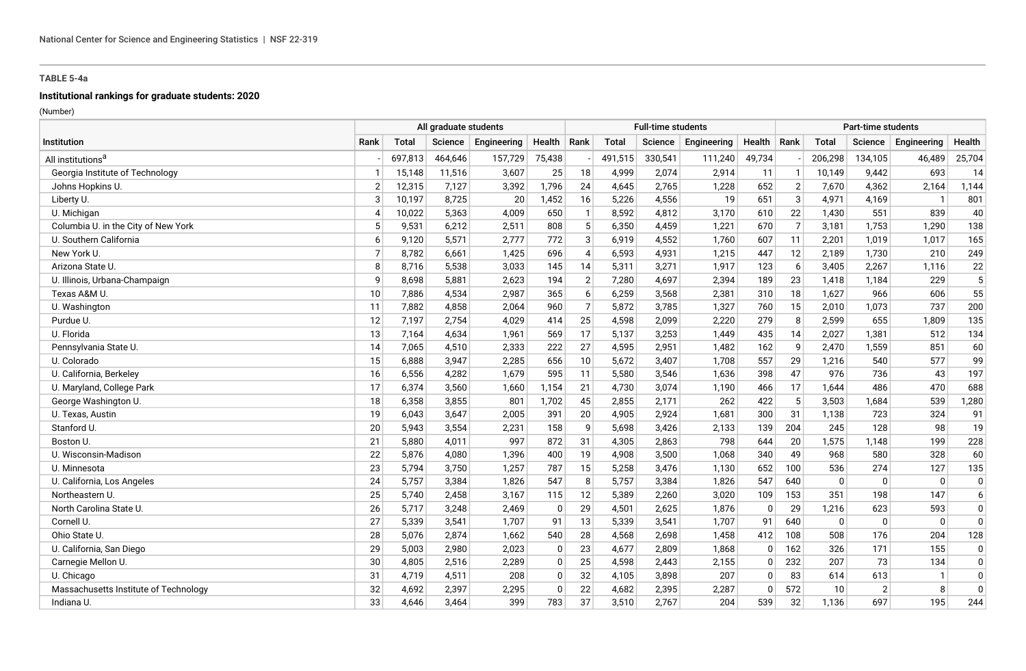# **Institutional rankings for graduate students: 2020**

|                                       | All graduate students |              |         |             |                |                |         | <b>Full-time students</b> |             |          |                |              | <b>Part-time students</b> |              |                |
|---------------------------------------|-----------------------|--------------|---------|-------------|----------------|----------------|---------|---------------------------|-------------|----------|----------------|--------------|---------------------------|--------------|----------------|
| <b>Institution</b>                    | Rank                  | <b>Total</b> | Science | Engineering | Health   Rank  |                | Total   | Science                   | Engineering | Health   | Rank           | <b>Total</b> | Science                   | Engineering  | Health         |
| All institutions <sup>a</sup>         |                       | 697,813      | 464.646 | 157,729     | 75,438         |                | 491,515 | 330,541                   | 111,240     | 49.734   |                | 206,298      | 134,105                   | 46,489       | 25,704         |
| Georgia Institute of Technology       |                       | 15,148       | 11,516  | 3,607       | 25             | 18             | 4,999   | 2,074                     | 2,914       | 11       | -1             | 10,149       | 9,442                     | 693          | 14             |
| Johns Hopkins U.                      | $\overline{2}$        | 12,315       | 7,127   | 3,392       | 1,796          | 24             | 4,645   | 2,765                     | 1,228       | 652      | $\overline{2}$ | 7,670        | 4,362                     | 2,164        | 1,144          |
| Liberty U.                            | 3                     | 10,197       | 8,725   | 20          | 1,452          | 16             | 5,226   | 4,556                     | 19          | 651      | 3              | 4,971        | 4,169                     | -1           | 801            |
| U. Michigan                           | $\overline{4}$        | 10,022       | 5,363   | 4,009       | 650            | $\mathbf{1}$   | 8,592   | 4,812                     | 3,170       | 610      | 22             | 1,430        | 551                       | 839          | 40             |
| Columbia U. in the City of New York   | .5                    | 9,531        | 6,212   | 2,511       | 808            | 5              | 6,350   | 4,459                     | 1,221       | 670      | $\overline{7}$ | 3,181        | 1,753                     | 1,290        | 138            |
| U. Southern California                | 6                     | 9,120        | 5,571   | 2,777       | 772            | 3              | 6,919   | 4,552                     | 1,760       | 607      | 11             | 2,201        | 1,019                     | 1,017        | 165            |
| New York U.                           | $\overline{7}$        | 8,782        | 6,661   | 1,425       | 696            | $\overline{4}$ | 6,593   | 4,931                     | 1,215       | 447      | 12             | 2,189        | 1,730                     | 210          | 249            |
| Arizona State U.                      | 8                     | 8,716        | 5,538   | 3,033       | 145            | 14             | 5,311   | 3,271                     | 1,917       | 123      | 6              | 3,405        | 2,267                     | 1,116        | 22             |
| U. Illinois, Urbana-Champaign         | 9                     | 8,698        | 5,881   | 2,623       | 194            | $\overline{2}$ | 7,280   | 4,697                     | 2,394       | 189      | 23             | 1,418        | 1,184                     | 229          | $\overline{5}$ |
| Texas A&M U.                          | 10                    | 7,886        | 4,534   | 2,987       | 365            | 6              | 6,259   | 3,568                     | 2,381       | 310      | 18             | 1,627        | 966                       | 606          | 55             |
| U. Washington                         | 11                    | 7,882        | 4,858   | 2,064       | 960            | $\overline{7}$ | 5,872   | 3,785                     | 1,327       | 760      | 15             | 2,010        | 1,073                     | 737          | 200            |
| Purdue U.                             | 12                    | 7,197        | 2,754   | 4,029       | 414            | 25             | 4,598   | 2,099                     | 2,220       | 279      | 8              | 2,599        | 655                       | 1,809        | 135            |
| U. Florida                            | 13                    | 7,164        | 4,634   | 1,961       | 569            | 17             | 5,137   | 3,253                     | 1.449       | 435      | 14             | 2,027        | 1,381                     | 512          | 134            |
| Pennsylvania State U.                 | 14                    | 7,065        | 4,510   | 2,333       | 222            | 27             | 4,595   | 2,951                     | 1,482       | 162      | 9              | 2,470        | 1,559                     | 851          | 60             |
| U. Colorado                           | 15                    | 6,888        | 3.947   | 2,285       | 656            | 10             | 5,672   | 3,407                     | 1,708       | 557      | 29             | 1,216        | 540                       | 577          | 99             |
| U. California, Berkeley               | 16                    | 6,556        | 4,282   | 1,679       | 595            | 11             | 5,580   | 3,546                     | 1,636       | 398      | 47             | 976          | 736                       | 43           | 197            |
| U. Maryland, College Park             | 17                    | 6,374        | 3,560   | 1,660       | 1,154          | 21             | 4,730   | 3,074                     | 1,190       | 466      | 17             | 1,644        | 486                       | 470          | 688            |
| George Washington U.                  | 18                    | 6,358        | 3,855   | 801         | 1,702          | 45             | 2,855   | 2,171                     | 262         | 422      | .5             | 3,503        | 1,684                     | 539          | 1,280          |
| U. Texas, Austin                      | 19                    | 6,043        | 3,647   | 2,005       | 391            | 20             | 4,905   | 2,924                     | 1,681       | 300      | 31             | 1,138        | 723                       | 324          | 91             |
| Stanford U.                           | 20                    | 5,943        | 3,554   | 2,231       | 158            | 9              | 5,698   | 3,426                     | 2,133       | 139      | 204            | 245          | 128                       | 98           | 19             |
| Boston U.                             | 21                    | 5,880        | 4,011   | 997         | 872            | 31             | 4,305   | 2,863                     | 798         | 644      | 20             | 1,575        | 1,148                     | 199          | 228            |
| U. Wisconsin-Madison                  | 22                    | 5,876        | 4,080   | 1,396       | 400            | 19             | 4,908   | 3,500                     | 1,068       | 340      | 49             | 968          | 580                       | 328          | 60             |
| U. Minnesota                          | 23                    | 5,794        | 3,750   | 1,257       | 787            | 15             | 5,258   | 3,476                     | 1,130       | 652      | 100            | 536          | 274                       | 127          | 135            |
| U. California, Los Angeles            | 24                    | 5,757        | 3,384   | 1,826       | 547            | 8              | 5,757   | 3,384                     | 1,826       | 547      | 640            | $\mathbf{0}$ | $\mathbf{0}$              | $\mathbf{0}$ | $\mathbf 0$    |
| Northeastern U.                       | 25                    | 5,740        | 2,458   | 3,167       | 115            | 12             | 5,389   | 2,260                     | 3,020       | 109      | 153            | 351          | 198                       | 147          | 6              |
| North Carolina State U.               | 26                    | 5,717        | 3,248   | 2,469       | $\mathbf{0}$   | 29             | 4,501   | 2,625                     | 1,876       | $\Omega$ | 29             | 1,216        | 623                       | 593          | $\mathbf 0$    |
| Cornell U.                            | 27                    | 5,339        | 3,541   | 1,707       | 91             | 13             | 5,339   | 3,541                     | 1,707       | 91       | 640            | $\mathbf{0}$ | $\mathbf 0$               | $\mathbf{0}$ | $\mathbf 0$    |
| Ohio State U.                         | 28                    | 5,076        | 2,874   | 1,662       | 540            | 28             | 4,568   | 2,698                     | 1,458       | 412      | 108            | 508          | 176                       | 204          | 128            |
| U. California, San Diego              | 29                    | 5,003        | 2,980   | 2,023       | $\mathbf{0}$   | 23             | 4,677   | 2,809                     | 1,868       | $\Omega$ | 162            | 326          | 171                       | 155          | $\mathbf 0$    |
| Carnegie Mellon U.                    | 30                    | 4,805        | 2,516   | 2,289       | $\mathbf 0$    | 25             | 4,598   | 2,443                     | 2,155       | $\Omega$ | 232            | 207          | 73                        | 134          | $\Omega$       |
| U. Chicago                            | 31                    | 4,719        | 4,511   | 208         | $\overline{0}$ | 32             | 4,105   | 3,898                     | 207         | n        | 83             | 614          | 613                       |              | $\mathbf 0$    |
| Massachusetts Institute of Technology | 32                    | 4,692        | 2,397   | 2,295       | $\mathbf 0$    | 22             | 4,682   | 2,395                     | 2,287       |          | 572            | 10           | $\overline{2}$            | 8            | $\Omega$       |
| Indiana U.                            | 33                    | 4,646        | 3.464   | 399         | 783            | 37             | 3,510   | 2,767                     | 204         | 539      | 32             | 1,136        | 697                       | 195          | 244            |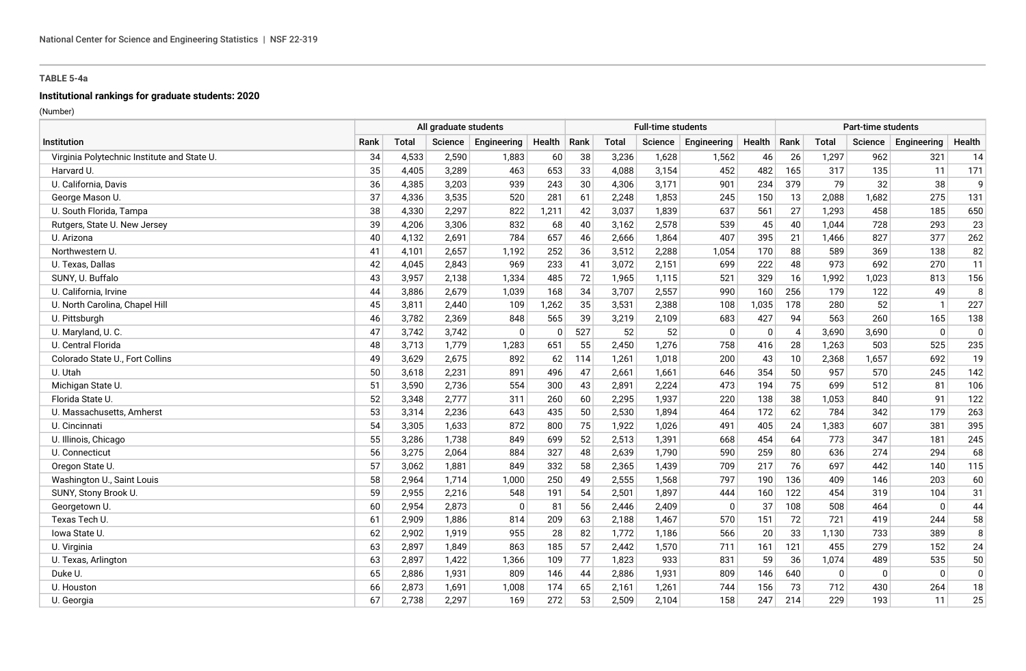# **Institutional rankings for graduate students: 2020**

|                                             |      | All graduate students |         |              |               |     |              | <b>Full-time students</b> |             |          |                |              | <b>Part-time students</b> |              |                |
|---------------------------------------------|------|-----------------------|---------|--------------|---------------|-----|--------------|---------------------------|-------------|----------|----------------|--------------|---------------------------|--------------|----------------|
| Institution                                 | Rank | <b>Total</b>          | Science | Engineering  | Health   Rank |     | <b>Total</b> | Science                   | Engineering | Health   | Rank           | <b>Total</b> | Science                   | Engineering  | Health         |
| Virginia Polytechnic Institute and State U. | 34   | 4,533                 | 2,590   | 1,883        | 60            | 38  | 3,236        | 1,628                     | 1,562       | 46       | 26             | 1,297        | 962                       | 321          | 14             |
| Harvard U.                                  | 35   | 4,405                 | 3,289   | 463          | 653           | 33  | 4.088        | 3,154                     | 452         | 482      | 165            | 317          | 135                       | 11           | 171            |
| U. California, Davis                        | 36   | 4,385                 | 3,203   | 939          | 243           | 30  | 4,306        | 3,171                     | 901         | 234      | 379            | 79           | 32                        | 38           | 9              |
| George Mason U.                             | 37   | 4,336                 | 3,535   | 520          | 281           | 61  | 2,248        | 1,853                     | 245         | 150      | 13             | 2,088        | 1,682                     | 275          | 131            |
| U. South Florida, Tampa                     | 38   | 4,330                 | 2,297   | 822          | 1,211         | 42  | 3,037        | 1,839                     | 637         | 561      | 27             | 1,293        | 458                       | 185          | 650            |
| Rutgers, State U. New Jersey                | 39   | 4,206                 | 3,306   | 832          | 68            | 40  | 3,162        | 2,578                     | 539         | 45       | 40             | 1,044        | 728                       | 293          | 23             |
| U. Arizona                                  | 40   | 4,132                 | 2,691   | 784          | 657           | 46  | 2,666        | 1,864                     | 407         | 395      | 21             | 1,466        | 827                       | 377          | 262            |
| Northwestern U.                             | 41   | 4,101                 | 2,657   | 1,192        | 252           | 36  | 3,512        | 2,288                     | 1,054       | 170      | 88             | 589          | 369                       | 138          | 82             |
| U. Texas, Dallas                            | 42   | 4,045                 | 2,843   | 969          | 233           | 41  | 3,072        | 2,151                     | 699         | 222      | 48             | 973          | 692                       | 270          | 11             |
| SUNY, U. Buffalo                            | 43   | 3,957                 | 2,138   | 1,334        | 485           | 72  | 1,965        | 1,115                     | 521         | 329      | 16             | 1,992        | 1,023                     | 813          | 156            |
| U. California, Irvine                       | 44   | 3,886                 | 2,679   | 1,039        | 168           | 34  | 3,707        | 2,557                     | 990         | 160      | 256            | 179          | 122                       | 49           | 8              |
| U. North Carolina, Chapel Hill              | 45   | 3,811                 | 2,440   | 109          | 1,262         | 35  | 3,531        | 2,388                     | 108         | 1,035    | 178            | 280          | 52                        | $\mathbf{1}$ | 227            |
| U. Pittsburgh                               | 46   | 3,782                 | 2,369   | 848          | 565           | 39  | 3,219        | 2,109                     | 683         | 427      | 94             | 563          | 260                       | 165          | 138            |
| U. Maryland, U. C.                          | 47   | 3,742                 | 3,742   | $\mathbf{0}$ | $\mathbf 0$   | 527 | 52           | 52                        | $\mathbf 0$ | $\Omega$ | $\overline{4}$ | 3,690        | 3,690                     | $\Omega$     | $\mathbf 0$    |
| U. Central Florida                          | 48   | 3,713                 | 1,779   | 1,283        | 651           | 55  | 2,450        | 1,276                     | 758         | 416      | 28             | 1,263        | 503                       | 525          | 235            |
| Colorado State U., Fort Collins             | 49   | 3,629                 | 2,675   | 892          | 62            | 114 | 1,261        | 1,018                     | 200         | 43       | 10             | 2,368        | 1,657                     | 692          | 19             |
| U. Utah                                     | 50   | 3,618                 | 2,231   | 891          | 496           | 47  | 2,661        | 1,661                     | 646         | 354      | 50             | 957          | 570                       | 245          | 142            |
| Michigan State U.                           | 51   | 3,590                 | 2,736   | 554          | 300           | 43  | 2,891        | 2,224                     | 473         | 194      | 75             | 699          | 512                       | 81           | 106            |
| Florida State U.                            | 52   | 3,348                 | 2,777   | 311          | 260           | 60  | 2,295        | 1,937                     | 220         | 138      | 38             | 1,053        | 840                       | 91           | 122            |
| U. Massachusetts, Amherst                   | 53   | 3,314                 | 2,236   | 643          | 435           | 50  | 2,530        | 1,894                     | 464         | 172      | 62             | 784          | 342                       | 179          | 263            |
| U. Cincinnati                               | 54   | 3,305                 | 1,633   | 872          | 800           | 75  | 1,922        | 1,026                     | 491         | 405      | 24             | 1,383        | 607                       | 381          | 395            |
| U. Illinois, Chicago                        | 55   | 3,286                 | 1,738   | 849          | 699           | 52  | 2,513        | 1,391                     | 668         | 454      | 64             | 773          | 347                       | 181          | 245            |
| U. Connecticut                              | 56   | 3,275                 | 2,064   | 884          | 327           | 48  | 2,639        | 1,790                     | 590         | 259      | 80             | 636          | 274                       | 294          | 68             |
| Oregon State U.                             | 57   | 3,062                 | 1,881   | 849          | 332           | 58  | 2,365        | 1,439                     | 709         | 217      | 76             | 697          | 442                       | 140          | 115            |
| Washington U., Saint Louis                  | 58   | 2,964                 | 1,714   | 1,000        | 250           | 49  | 2,555        | 1,568                     | 797         | 190      | 136            | 409          | 146                       | 203          | 60             |
| SUNY, Stony Brook U.                        | 59   | 2,955                 | 2,216   | 548          | 191           | 54  | 2,501        | 1,897                     | 444         | 160      | 122            | 454          | 319                       | 104          | 31             |
| Georgetown U.                               | 60   | 2,954                 | 2,873   | $\Omega$     | 81            | 56  | 2.446        | 2,409                     | $\Omega$    | 37       | 108            | 508          | 464                       | $\mathbf{0}$ | 44             |
| Texas Tech U.                               | 61   | 2,909                 | 1,886   | 814          | 209           | 63  | 2,188        | 1,467                     | 570         | 151      | 72             | 721          | 419                       | 244          | 58             |
| lowa State U.                               | 62   | 2,902                 | 1,919   | 955          | 28            | 82  | 1,772        | 1,186                     | 566         | 20       | 33             | 1,130        | 733                       | 389          | 8              |
| U. Virginia                                 | 63   | 2,897                 | 1,849   | 863          | 185           | 57  | 2,442        | 1,570                     | 711         | 161      | 121            | 455          | 279                       | 152          | 24             |
| U. Texas, Arlington                         | 63   | 2,897                 | 1,422   | 1,366        | 109           | 77  | 1,823        | 933                       | 831         | 59       | 36             | 1,074        | 489                       | 535          | 50             |
| Duke U.                                     | 65   | 2,886                 | 1,931   | 809          | 146           | 44  | 2,886        | 1,931                     | 809         | 146      | 640            | $\Omega$     | $\mathbf 0$               | $\mathbf 0$  | $\overline{0}$ |
| U. Houston                                  | 66   | 2,873                 | 1,691   | 1,008        | 174           | 65  | 2,161        | 1,261                     | 744         | 156      | 73             | 712          | 430                       | 264          | 18             |
| U. Georgia                                  | 67   | 2,738                 | 2,297   | 169          | 272           | 53  | 2,509        | 2,104                     | 158         | 247      | 214            | 229          | 193                       | 11           | 25             |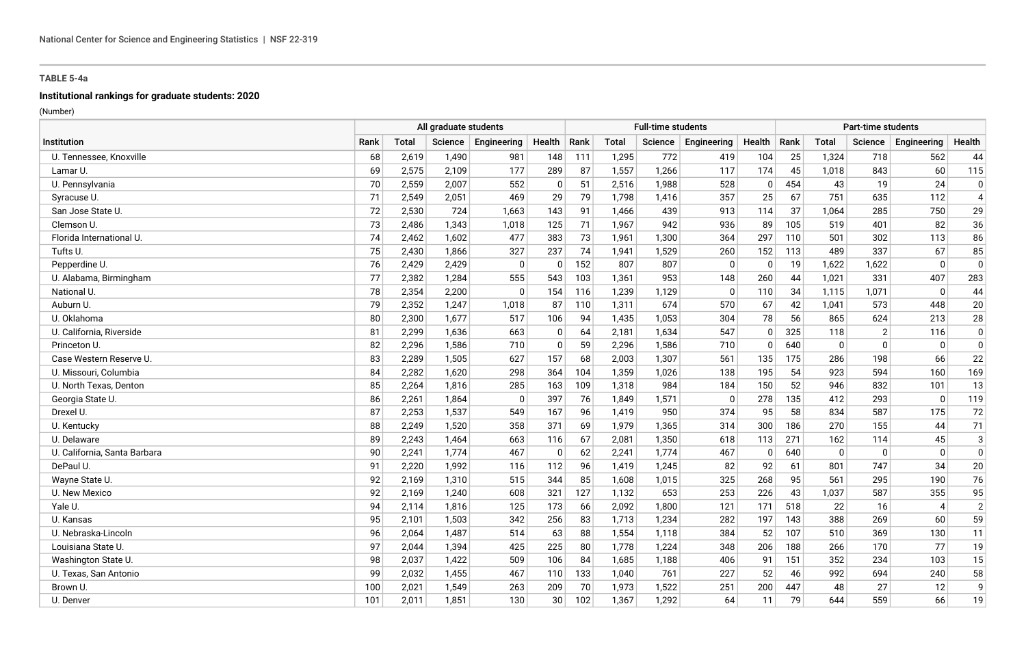# **Institutional rankings for graduate students: 2020**

|                              | All graduate students |              |                |              |                |      |       | <b>Full-time students</b> |             |             |      |              | <b>Part-time students</b> |                          |                |
|------------------------------|-----------------------|--------------|----------------|--------------|----------------|------|-------|---------------------------|-------------|-------------|------|--------------|---------------------------|--------------------------|----------------|
| <b>Institution</b>           | Rank                  | <b>Total</b> | <b>Science</b> | Engineering  | Health         | Rank | Total | Science                   | Engineering | Health      | Rank | <b>Total</b> | Science                   | Engineering              | Health         |
| U. Tennessee, Knoxville      | 68                    | 2,619        | 1,490          | 981          | 148            | 111  | 1,295 | 772                       | 419         | 104         | 25   | 1,324        | 718                       | 562                      | 44             |
| Lamar U.                     | 69                    | 2,575        | 2,109          | 177          | 289            | 87   | 1,557 | 1,266                     | 117         | 174         | 45   | 1,018        | 843                       | 60                       | 115            |
| U. Pennsylvania              | 70                    | 2,559        | 2,007          | 552          | 0              | 51   | 2,516 | 1,988                     | 528         | 0           | 454  | 43           | 19                        | 24                       | 0              |
| Syracuse U.                  | 71                    | 2,549        | 2,051          | 469          | 29             | 79   | 1,798 | 1,416                     | 357         | 25          | 67   | 751          | 635                       | 112                      | $\overline{4}$ |
| San Jose State U.            | 72                    | 2,530        | 724            | 1,663        | 143            | 91   | 1,466 | 439                       | 913         | 114         | 37   | 1,064        | 285                       | 750                      | 29             |
| Clemson U.                   | 73                    | 2,486        | 1,343          | 1,018        | 125            | 71   | 1,967 | 942                       | 936         | 89          | 105  | 519          | 401                       | 82                       | 36             |
| Florida International U.     | 74                    | 2,462        | 1,602          | 477          | 383            | 73   | 1,961 | 1.300                     | 364         | 297         | 110  | 501          | 302                       | 113                      | 86             |
| Tufts U.                     | 75                    | 2,430        | 1,866          | 327          | 237            | 74   | 1,941 | 1,529                     | 260         | 152         | 113  | 489          | 337                       | 67                       | 85             |
| Pepperdine U.                | 76                    | 2,429        | 2,429          | $\mathbf{0}$ | $\overline{0}$ | 152  | 807   | 807                       | $\Omega$    | $\mathbf 0$ | 19   | 1,622        | 1,622                     | $\Omega$                 | $\mathbf 0$    |
| U. Alabama, Birmingham       | 77                    | 2,382        | 1,284          | 555          | 543            | 103  | 1,361 | 953                       | 148         | 260         | 44   | 1,021        | 331                       | 407                      | 283            |
| National U.                  | 78                    | 2,354        | 2,200          | $\Omega$     | 154            | 116  | 1,239 | 1,129                     | 0           | 110         | 34   | 1,115        | 1,071                     | $\Omega$                 | 44             |
| Auburn U.                    | 79                    | 2,352        | 1,247          | 1,018        | 87             | 110  | 1,311 | 674                       | 570         | 67          | 42   | 1,041        | 573                       | 448                      | 20             |
| U. Oklahoma                  | 80                    | 2,300        | 1,677          | 517          | 106            | 94   | 1,435 | 1,053                     | 304         | 78          | 56   | 865          | 624                       | 213                      | 28             |
| U. California. Riverside     | 81                    | 2,299        | 1,636          | 663          | 0              | 64   | 2,181 | 1,634                     | 547         | $\Omega$    | 325  | 118          | 2                         | 116                      | $\mathbf 0$    |
| Princeton U.                 | 82                    | 2,296        | 1,586          | 710          | $\mathbf 0$    | 59   | 2,296 | 1,586                     | 710         | $\Omega$    | 640  | $\mathbf{0}$ | $\Omega$                  | $\Omega$                 | $\mathbf 0$    |
| Case Western Reserve U.      | 83                    | 2,289        | 1,505          | 627          | 157            | 68   | 2,003 | 1,307                     | 561         | 135         | 175  | 286          | 198                       | 66                       | 22             |
| U. Missouri, Columbia        | 84                    | 2,282        | 1.620          | 298          | 364            | 104  | 1,359 | 1,026                     | 138         | 195         | 54   | 923          | 594                       | 160                      | 169            |
| U. North Texas, Denton       | 85                    | 2,264        | 1,816          | 285          | 163            | 109  | 1,318 | 984                       | 184         | 150         | 52   | 946          | 832                       | 101                      | 13             |
| Georgia State U.             | 86                    | 2,261        | 1,864          | $\Omega$     | 397            | 76   | 1,849 | 1,571                     | $\Omega$    | 278         | 135  | 412          | 293                       | $\mathbf{0}$             | 119            |
| Drexel U.                    | 87                    | 2,253        | 1,537          | 549          | 167            | 96   | 1,419 | 950                       | 374         | 95          | 58   | 834          | 587                       | 175                      | 72             |
| U. Kentucky                  | 88                    | 2,249        | 1,520          | 358          | 371            | 69   | 1,979 | 1,365                     | 314         | 300         | 186  | 270          | 155                       | 44                       | 71             |
| U. Delaware                  | 89                    | 2,243        | 1,464          | 663          | 116            | 67   | 2,081 | 1,350                     | 618         | 113         | 271  | 162          | 114                       | 45                       | $\sqrt{3}$     |
| U. California, Santa Barbara | 90                    | 2,241        | 1,774          | 467          | $\mathbf 0$    | 62   | 2,241 | 1,774                     | 467         | $\mathbf 0$ | 640  | $\mathbf 0$  | $\Omega$                  | $\Omega$                 | $\mathbf 0$    |
| DePaul U.                    | 91                    | 2,220        | 1.992          | 116          | 112            | 96   | 1,419 | 1,245                     | 82          | 92          | 61   | 801          | 747                       | 34                       | 20             |
| Wayne State U.               | 92                    | 2,169        | 1,310          | 515          | 344            | 85   | 1,608 | 1,015                     | 325         | 268         | 95   | 561          | 295                       | 190                      | 76             |
| U. New Mexico                | 92                    | 2,169        | 1,240          | 608          | 321            | 127  | 1,132 | 653                       | 253         | 226         | 43   | 1,037        | 587                       | 355                      | 95             |
| Yale U.                      | 94                    | 2,114        | 1,816          | 125          | 173            | 66   | 2,092 | 1,800                     | 121         | 171         | 518  | 22           | 16                        | $\boldsymbol{\varDelta}$ | $\sqrt{2}$     |
| U. Kansas                    | 95                    | 2,101        | 1,503          | 342          | 256            | 83   | 1,713 | 1,234                     | 282         | 197         | 143  | 388          | 269                       | 60                       | 59             |
| U. Nebraska-Lincoln          | 96                    | 2,064        | 1.487          | 514          | 63             | 88   | 1,554 | 1,118                     | 384         | 52          | 107  | 510          | 369                       | 130                      | 11             |
| Louisiana State U            | 97                    | 2,044        | 1,394          | 425          | 225            | 80   | 1,778 | 1,224                     | 348         | 206         | 188  | 266          | 170                       | 77                       | 19             |
| Washington State U.          | 98                    | 2,037        | 1.422          | 509          | 106            | 84   | 1,685 | 1,188                     | 406         | 91          | 151  | 352          | 234                       | 103                      | 15             |
| U. Texas, San Antonio        | 99                    | 2,032        | 1,455          | 467          | 110            | 133  | 1,040 | 761                       | 227         | 52          | 46   | 992          | 694                       | 240                      | 58             |
| Brown U.                     | 100                   | 2,021        | 1,549          | 263          | 209            | 70   | 1,973 | 1,522                     | 251         | 200         | 447  | 48           | 27                        | 12                       | 9              |
| U. Denver                    | 101                   | 2,011        | 1,851          | 130          | 30             | 102  | 1,367 | 1,292                     | 64          | 11          | 79   | 644          | 559                       | 66                       | 19             |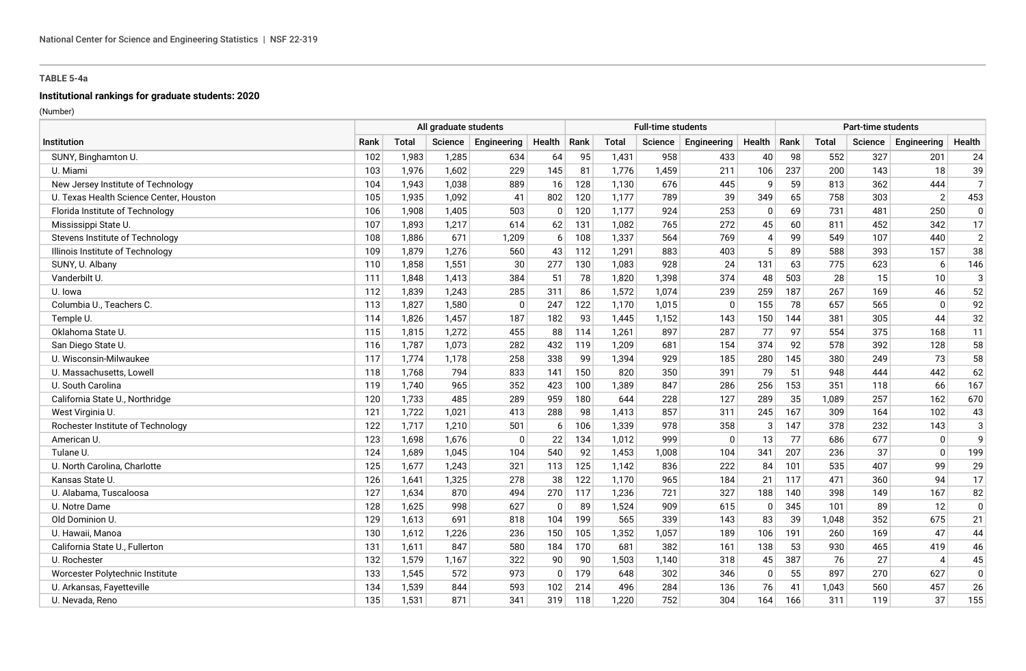#### **Institutional rankings for graduate students: 2020**

|                                         |      |              | All graduate students |              |              |      |              | <b>Full-time students</b> |             |                          |      |              | <b>Part-time students</b> |                          |                |
|-----------------------------------------|------|--------------|-----------------------|--------------|--------------|------|--------------|---------------------------|-------------|--------------------------|------|--------------|---------------------------|--------------------------|----------------|
| Institution                             | Rank | <b>Total</b> | Science               | Engineering  | Health       | Rank | <b>Total</b> | Science                   | Engineering | Health                   | Rank | <b>Total</b> | Science                   | Engineering              | Health         |
| SUNY, Binghamton U.                     | 102  | 1,983        | 1,285                 | 634          | 64           | 95   | 1,431        | 958                       | 433         | 40                       | 98   | 552          | 327                       | 201                      | 24             |
| U. Miami                                | 103  | 1,976        | 1,602                 | 229          | 145          | 81   | 1,776        | 1,459                     | 211         | 106                      | 237  | 200          | 143                       | 18                       | 39             |
| New Jersey Institute of Technology      | 104  | 1,943        | 1,038                 | 889          | 16           | 128  | 1,130        | 676                       | 445         | q                        | 59   | 813          | 362                       | 444                      | $\overline{7}$ |
| U. Texas Health Science Center, Houston | 105  | 1,935        | 1,092                 | 41           | 802          | 120  | 1,177        | 789                       | 39          | 349                      | 65   | 758          | 303                       | $\overline{2}$           | 453            |
| Florida Institute of Technology         | 106  | 1,908        | 1,405                 | 503          | $\mathbf{0}$ | 120  | 1,177        | 924                       | 253         | $\Omega$                 | 69   | 731          | 481                       | 250                      | $\mathbf 0$    |
| Mississippi State U.                    | 107  | 1,893        | 1,217                 | 614          | 62           | 131  | 1,082        | 765                       | 272         | 45                       | 60   | 811          | 452                       | 342                      | 17             |
| Stevens Institute of Technology         | 108  | 1,886        | 671                   | 1,209        | 6            | 108  | 1,337        | 564                       | 769         | $\boldsymbol{\varDelta}$ | 99   | 549          | 107                       | 440                      | $\overline{2}$ |
| Illinois Institute of Technology        | 109  | 1,879        | 1,276                 | 560          | 43           | 112  | 1,291        | 883                       | 403         | -5                       | 89   | 588          | 393                       | 157                      | 38             |
| SUNY, U. Albany                         | 110  | 1,858        | 1,551                 | 30           | 277          | 130  | 1,083        | 928                       | 24          | 131                      | 63   | 775          | 623                       | 6                        | 146            |
| Vanderbilt U.                           | 111  | 1,848        | 1,413                 | 384          | 51           | 78   | 1,820        | 1,398                     | 374         | 48                       | 503  | 28           | 15                        | 10                       | 3              |
| U. Iowa                                 | 112  | 1,839        | 1,243                 | 285          | 311          | 86   | 1,572        | 1,074                     | 239         | 259                      | 187  | 267          | 169                       | 46                       | 52             |
| Columbia U., Teachers C.                | 113  | 1,827        | 1,580                 | $\Omega$     | 247          | 122  | 1,170        | 1,015                     | $\Omega$    | 155                      | 78   | 657          | 565                       | $\mathbf{0}$             | 92             |
| Temple U.                               | 114  | 1,826        | 1,457                 | 187          | 182          | 93   | 1,445        | 1,152                     | 143         | 150                      | 144  | 381          | 305                       | 44                       | 32             |
| Oklahoma State U.                       | 115  | 1,815        | 1,272                 | 455          | 88           | 114  | 1,261        | 897                       | 287         | 77                       | 97   | 554          | 375                       | 168                      | 11             |
| San Diego State U.                      | 116  | 1,787        | 1,073                 | 282          | 432          | 119  | 1,209        | 681                       | 154         | 374                      | 92   | 578          | 392                       | 128                      | 58             |
| U. Wisconsin-Milwaukee                  | 117  | 1,774        | 1,178                 | 258          | 338          | 99   | 1,394        | 929                       | 185         | 280                      | 145  | 380          | 249                       | 73                       | 58             |
| U. Massachusetts, Lowell                | 118  | 1,768        | 794                   | 833          | 141          | 150  | 820          | 350                       | 391         | 79                       | 51   | 948          | 444                       | 442                      | 62             |
| U. South Carolina                       | 119  | 1,740        | 965                   | 352          | 423          | 100  | 1,389        | 847                       | 286         | 256                      | 153  | 351          | 118                       | 66                       | 167            |
| California State U., Northridge         | 120  | 1,733        | 485                   | 289          | 959          | 180  | 644          | 228                       | 127         | 289                      | 35   | 1,089        | 257                       | 162                      | 670            |
| West Virginia U.                        | 121  | 1,722        | 1,021                 | 413          | 288          | 98   | 1,413        | 857                       | 311         | 245                      | 167  | 309          | 164                       | 102                      | 43             |
| Rochester Institute of Technology       | 122  | 1,717        | 1,210                 | 501          | 6            | 106  | 1,339        | 978                       | 358         | 3                        | 147  | 378          | 232                       | 143                      | 3              |
| American U.                             | 123  | 1,698        | 1,676                 | $\mathbf{0}$ | 22           | 134  | 1,012        | 999                       | 0           | 13                       | 77   | 686          | 677                       | $\mathbf 0$              | 9              |
| Tulane U.                               | 124  | 1,689        | 1,045                 | 104          | 540          | 92   | 1,453        | 1,008                     | 104         | 341                      | 207  | 236          | 37                        | $\mathbf{0}$             | 199            |
| U. North Carolina, Charlotte            | 125  | 1,677        | 1.243                 | 321          | 113          | 125  | 1,142        | 836                       | 222         | 84                       | 101  | 535          | 407                       | 99                       | 29             |
| Kansas State U.                         | 126  | 1,641        | 1,325                 | 278          | 38           | 122  | 1,170        | 965                       | 184         | 21                       | 117  | 471          | 360                       | 94                       | 17             |
| U. Alabama, Tuscaloosa                  | 127  | 1,634        | 870                   | 494          | 270          | 117  | 1,236        | 721                       | 327         | 188                      | 140  | 398          | 149                       | 167                      | 82             |
| U. Notre Dame                           | 128  | 1,625        | 998                   | 627          | $\mathbf 0$  | 89   | 1,524        | 909                       | 615         | $\Omega$                 | 345  | 101          | 89                        | 12                       | $\mathbf 0$    |
| Old Dominion U.                         | 129  | 1,613        | 691                   | 818          | 104          | 199  | 565          | 339                       | 143         | 83                       | 39   | 1,048        | 352                       | 675                      | 21             |
| U. Hawaii. Manoa                        | 130  | 1,612        | 1.226                 | 236          | 150          | 105  | 1,352        | 1,057                     | 189         | 106                      | 191  | 260          | 169                       | 47                       | 44             |
| California State U., Fullerton          | 131  | 1,611        | 847                   | 580          | 184          | 170  | 681          | 382                       | 161         | 138                      | 53   | 930          | 465                       | 419                      | 46             |
| U. Rochester                            | 132  | 1,579        | 1,167                 | 322          | 90           | 90   | 1,503        | 1,140                     | 318         | 45                       | 387  | 76           | 27                        | $\boldsymbol{\varDelta}$ | 45             |
| Worcester Polytechnic Institute         | 133  | 1,545        | 572                   | 973          | $\mathbf{0}$ | 179  | 648          | 302                       | 346         | $\Omega$                 | 55   | 897          | 270                       | 627                      | $\mathbf 0$    |
| U. Arkansas, Fayetteville               | 134  | 1,539        | 844                   | 593          | 102          | 214  | 496          | 284                       | 136         | 76                       | 41   | 1,043        | 560                       | 457                      | 26             |
| U. Nevada, Reno                         | 135  | 1,531        | 871                   | 341          | 319          | 118  | 1,220        | 752                       | 304         | 164                      | 166  | 311          | 119                       | 37                       | 155            |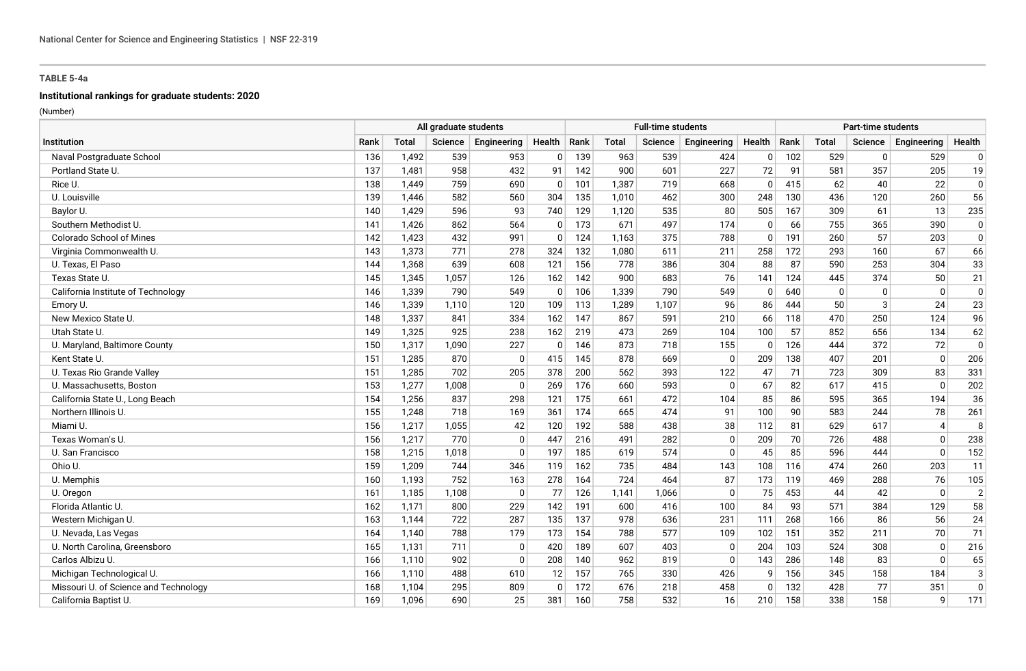# **Institutional rankings for graduate students: 2020**

|                                       |      | All graduate students |         |              |                |      |              | <b>Full-time students</b> |             |          |      |              | Part-time students |                             |                |
|---------------------------------------|------|-----------------------|---------|--------------|----------------|------|--------------|---------------------------|-------------|----------|------|--------------|--------------------|-----------------------------|----------------|
| Institution                           | Rank | <b>Total</b>          | Science | Engineering  | Health         | Rank | <b>Total</b> | Science                   | Engineering | Health   | Rank | <b>Total</b> | Science            | Engineering                 | Health         |
| Naval Postgraduate School             | 136  | 1,492                 | 539     | 953          | $\overline{0}$ | 139  | 963          | 539                       | 424         | $\Omega$ | 102  | 529          | $\mathbf{0}$       | 529                         | 0              |
| Portland State U.                     | 137  | 1.481                 | 958     | 432          | 91             | 142  | 900          | 601                       | 227         | 72       | 91   | 581          | 357                | 205                         | 19             |
| Rice U.                               | 138  | 1,449                 | 759     | 690          | $\mathbf 0$    | 101  | 1,387        | 719                       | 668         | $\Omega$ | 415  | 62           | 40                 | 22                          | $\mathbf 0$    |
| U. Louisville                         | 139  | 1.446                 | 582     | 560          | 304            | 135  | 1.010        | 462                       | 300         | 248      | 130  | 436          | 120                | 260                         | 56             |
| Baylor U.                             | 140  | 1,429                 | 596     | 93           | 740            | 129  | 1,120        | 535                       | 80          | 505      | 167  | 309          | 61                 | 13                          | 235            |
| Southern Methodist U.                 | 141  | 1,426                 | 862     | 564          | $\mathbf{0}$   | 173  | 671          | 497                       | 174         | $\Omega$ | 66   | 755          | 365                | 390                         | $\overline{0}$ |
| <b>Colorado School of Mines</b>       | 142  | 1,423                 | 432     | 991          | $\mathbf 0$    | 124  | 1,163        | 375                       | 788         | $\Omega$ | 191  | 260          | 57                 | 203                         | 0              |
| Virginia Commonwealth U.              | 143  | 1,373                 | 771     | 278          | 324            | 132  | 1,080        | 611                       | 211         | 258      | 172  | 293          | 160                | 67                          | 66             |
| U. Texas, El Paso                     | 144  | 1,368                 | 639     | 608          | 121            | 156  | 778          | 386                       | 304         | 88       | 87   | 590          | 253                | 304                         | 33             |
| Texas State U.                        | 145  | 1,345                 | 1,057   | 126          | 162            | 142  | 900          | 683                       | 76          | 141      | 124  | 445          | 374                | 50                          | 21             |
| California Institute of Technology    | 146  | 1,339                 | 790     | 549          | $\mathbf{0}$   | 106  | 1,339        | 790                       | 549         | $\Omega$ | 640  | $\Omega$     | $\mathbf{0}$       | $\Omega$                    | $\mathbf 0$    |
| Emory U.                              | 146  | 1,339                 | 1,110   | 120          | 109            | 113  | 1,289        | 1,107                     | 96          | 86       | 444  | 50           | 3                  | 24                          | 23             |
| New Mexico State U.                   | 148  | 1,337                 | 841     | 334          | 162            | 147  | 867          | 591                       | 210         | 66       | 118  | 470          | 250                | 124                         | 96             |
| Utah State U.                         | 149  | 1,325                 | 925     | 238          | 162            | 219  | 473          | 269                       | 104         | 100      | 57   | 852          | 656                | 134                         | 62             |
| U. Maryland, Baltimore County         | 150  | 1,317                 | 1.090   | 227          | $\mathbf{0}$   | 146  | 873          | 718                       | 155         | $\Omega$ | 126  | 444          | 372                | 72                          | $\pmb{0}$      |
| Kent State U.                         | 151  | 1,285                 | 870     | $\mathbf{0}$ | 415            | 145  | 878          | 669                       | 0           | 209      | 138  | 407          | 201                | $\mathbf{0}$                | 206            |
| U. Texas Rio Grande Valley            | 151  | 1,285                 | 702     | 205          | 378            | 200  | 562          | 393                       | 122         | 47       | 71   | 723          | 309                | 83                          | 331            |
| U. Massachusetts, Boston              | 153  | 1,277                 | 1.008   | $\Omega$     | 269            | 176  | 660          | 593                       | $\Omega$    | 67       | 82   | 617          | 415                | $\Omega$                    | 202            |
| California State U., Long Beach       | 154  | 1,256                 | 837     | 298          | 121            | 175  | 661          | 472                       | 104         | 85       | 86   | 595          | 365                | 194                         | 36             |
| Northern Illinois U.                  | 155  | 1,248                 | 718     | 169          | 361            | 174  | 665          | 474                       | 91          | 100      | 90   | 583          | 244                | 78                          | 261            |
| Miami U.                              | 156  | 1,217                 | 1,055   | 42           | 120            | 192  | 588          | 438                       | 38          | 112      | 81   | 629          | 617                | $\boldsymbol{\vartriangle}$ | 8              |
| Texas Woman's U.                      | 156  | 1,217                 | 770     | 0            | 447            | 216  | 491          | 282                       | 0           | 209      | 70   | 726          | 488                | $\mathbf{0}$                | 238            |
| U. San Francisco                      | 158  | 1,215                 | 1,018   | $\mathbf{0}$ | 197            | 185  | 619          | 574                       | $\mathbf 0$ | 45       | 85   | 596          | 444                | $\mathbf 0$                 | 152            |
| Ohio U.                               | 159  | 1,209                 | 744     | 346          | 119            | 162  | 735          | 484                       | 143         | 108      | 116  | 474          | 260                | 203                         | 11             |
| U. Memphis                            | 160  | 1,193                 | 752     | 163          | 278            | 164  | 724          | 464                       | 87          | 173      | 119  | 469          | 288                | 76                          | 105            |
| U. Oregon                             | 161  | 1,185                 | 1,108   | $\mathbf{0}$ | 77             | 126  | 1,141        | 1,066                     | 0           | 75       | 453  | 44           | 42                 | $\mathbf{0}$                | $\overline{c}$ |
| Florida Atlantic U.                   | 162  | 1,171                 | 800     | 229          | 142            | 191  | 600          | 416                       | 100         | 84       | 93   | 571          | 384                | 129                         | 58             |
| Western Michigan U.                   | 163  | 1,144                 | 722     | 287          | 135            | 137  | 978          | 636                       | 231         | 111      | 268  | 166          | 86                 | 56                          | 24             |
| U. Nevada, Las Vegas                  | 164  | 1,140                 | 788     | 179          | 173            | 154  | 788          | 577                       | 109         | 102      | 151  | 352          | 211                | 70                          | 71             |
| U. North Carolina, Greensboro         | 165  | 1,131                 | 711     | $\mathbf{0}$ | 420            | 189  | 607          | 403                       | $\Omega$    | 204      | 103  | 524          | 308                | $\Omega$                    | 216            |
| Carlos Albizu U                       | 166  | 1,110                 | 902     | $\Omega$     | 208            | 140  | 962          | 819                       | $\Omega$    | 143      | 286  | 148          | 83                 | $\Omega$                    | 65             |
| Michigan Technological U.             | 166  | 1,110                 | 488     | 610          | 12             | 157  | 765          | 330                       | 426         | -9       | 156  | 345          | 158                | 184                         | 3              |
| Missouri U. of Science and Technology | 168  | 1,104                 | 295     | 809          | $\mathbf{0}$   | 172  | 676          | 218                       | 458         |          | 132  | 428          | 77                 | 351                         | $\mathbf 0$    |
| California Baptist U.                 | 169  | 1,096                 | 690     | 25           | 381            | 160  | 758          | 532                       | 16          | 210      | 158  | 338          | 158                | q                           | 171            |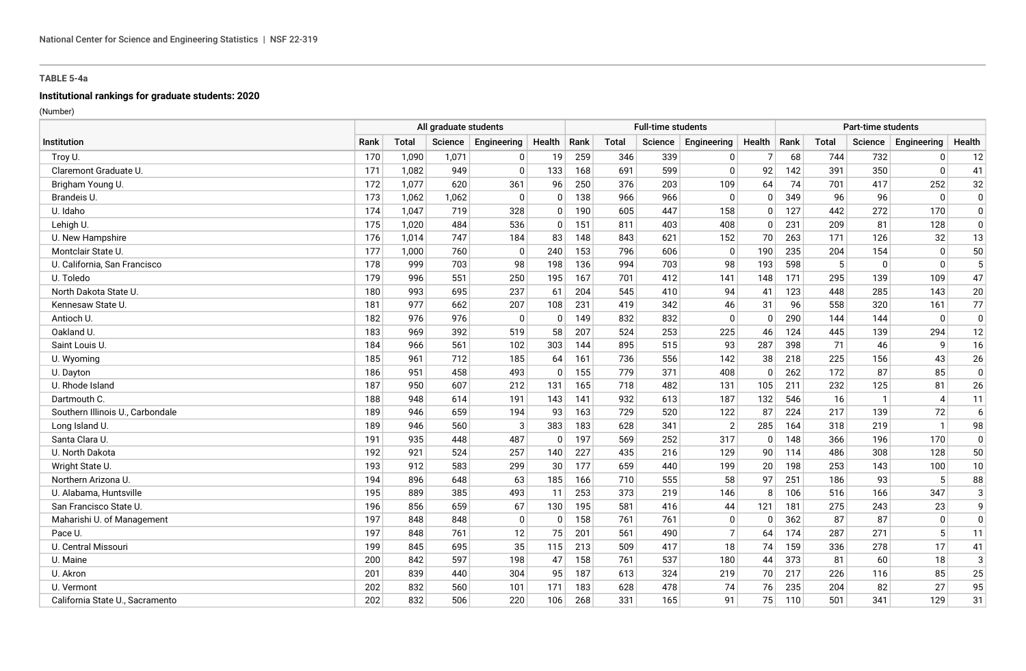# **Institutional rankings for graduate students: 2020**

|                                  | All graduate students |              |         |              |                |      |              | <b>Full-time students</b> |                |          |      |       | <b>Part-time students</b> |                |              |
|----------------------------------|-----------------------|--------------|---------|--------------|----------------|------|--------------|---------------------------|----------------|----------|------|-------|---------------------------|----------------|--------------|
| Institution                      | Rank                  | <b>Total</b> | Science | Engineering  | Health         | Rank | <b>Total</b> | <b>Science</b>            | Engineering    | Health   | Rank | Total | Science                   | Engineering    | Health       |
| Troy U.                          | 170                   | 1,090        | 1,071   | 0            | 19             | 259  | 346          | 339                       | 0              | 7        | 68   | 744   | 732                       | $\mathbf{0}$   | 12           |
| Claremont Graduate U.            | 171                   | 1,082        | 949     | $\mathbf{0}$ | 133            | 168  | 691          | 599                       | $\Omega$       | 92       | 142  | 391   | 350                       | $\mathbf{0}$   | 41           |
| Brigham Young U.                 | 172                   | 1.077        | 620     | 361          | 96             | 250  | 376          | 203                       | 109            | 64       | 74   | 701   | 417                       | 252            | 32           |
| Brandeis U.                      | 173                   | 1,062        | 1,062   | $\Omega$     | $\mathbf{0}$   | 138  | 966          | 966                       | $\mathbf 0$    | $\Omega$ | 349  | 96    | 96                        | $\mathbf{0}$   | $\mathbf 0$  |
| U. Idaho                         | 174                   | 1.047        | 719     | 328          | $\Omega$       | 190  | 605          | 447                       | 158            | $\Omega$ | 127  | 442   | 272                       | 170            | $\mathbf 0$  |
| Lehigh U.                        | 175                   | 1,020        | 484     | 536          | $\overline{0}$ | 151  | 811          | 403                       | 408            | $\Omega$ | 231  | 209   | 81                        | 128            | $\mathbf 0$  |
| U. New Hampshire                 | 176                   | 1,014        | 747     | 184          | 83             | 148  | 843          | 621                       | 152            | 70       | 263  | 171   | 126                       | 32             | 13           |
| Montclair State U.               | 177                   | 1,000        | 760     | $\Omega$     | 240            | 153  | 796          | 606                       | $\Omega$       | 190      | 235  | 204   | 154                       | $\mathbf{0}$   | 50           |
| U. California, San Francisco     | 178                   | 999          | 703     | 98           | 198            | 136  | 994          | 703                       | 98             | 193      | 598  | 5     | $\mathbf{0}$              | $\mathbf{0}$   | 5            |
| U. Toledo                        | 179                   | 996          | 551     | 250          | 195            | 167  | 701          | 412                       | 141            | 148      | 171  | 295   | 139                       | 109            | 47           |
| North Dakota State U.            | 180                   | 993          | 695     | 237          | 61             | 204  | 545          | 410                       | 94             | 41       | 123  | 448   | 285                       | 143            | 20           |
| Kennesaw State U.                | 181                   | 977          | 662     | 207          | 108            | 231  | 419          | 342                       | 46             | 31       | 96   | 558   | 320                       | 161            | 77           |
| Antioch U.                       | 182                   | 976          | 976     | $\Omega$     | $\mathbf{0}$   | 149  | 832          | 832                       | $\Omega$       | $\Omega$ | 290  | 144   | 144                       | $\mathbf{0}$   | $\pmb{0}$    |
| Oakland U.                       | 183                   | 969          | 392     | 519          | 58             | 207  | 524          | 253                       | 225            | 46       | 124  | 445   | 139                       | 294            | 12           |
| Saint Louis U.                   | 184                   | 966          | 561     | 102          | 303            | 144  | 895          | 515                       | 93             | 287      | 398  | 71    | 46                        | 9              | 16           |
| U. Wyoming                       | 185                   | 961          | 712     | 185          | 64             | 161  | 736          | 556                       | 142            | 38       | 218  | 225   | 156                       | 43             | 26           |
| U. Dayton                        | 186                   | 951          | 458     | 493          | $\mathbf{0}$   | 155  | 779          | 371                       | 408            | $\Omega$ | 262  | 172   | 87                        | 85             | $\pmb{0}$    |
| U. Rhode Island                  | 187                   | 950          | 607     | 212          | 131            | 165  | 718          | 482                       | 131            | 105      | 211  | 232   | 125                       | 81             | 26           |
| Dartmouth C.                     | 188                   | 948          | 614     | 191          | 143            | 141  | 932          | 613                       | 187            | 132      | 546  | 16    | $\mathbf{1}$              | $\overline{4}$ | 11           |
| Southern Illinois U., Carbondale | 189                   | 946          | 659     | 194          | 93             | 163  | 729          | 520                       | 122            | 87       | 224  | 217   | 139                       | 72             | 6            |
| Long Island U.                   | 189                   | 946          | 560     | 3            | 383            | 183  | 628          | 341                       | $\overline{2}$ | 285      | 164  | 318   | 219                       | $\mathbf{1}$   | 98           |
| Santa Clara U.                   | 191                   | 935          | 448     | 487          | $\mathbf{0}$   | 197  | 569          | 252                       | 317            | $\Omega$ | 148  | 366   | 196                       | 170            | $\mathbf 0$  |
| U. North Dakota                  | 192                   | 921          | 524     | 257          | 140            | 227  | 435          | 216                       | 129            | 90       | 114  | 486   | 308                       | 128            | 50           |
| Wright State U.                  | 193                   | 912          | 583     | 299          | 30             | 177  | 659          | 440                       | 199            | 20       | 198  | 253   | 143                       | 100            | 10           |
| Northern Arizona U.              | 194                   | 896          | 648     | 63           | 185            | 166  | 710          | 555                       | 58             | 97       | 251  | 186   | 93                        | 5              | 88           |
| U. Alabama, Huntsville           | 195                   | 889          | 385     | 493          | 11             | 253  | 373          | 219                       | 146            | 8        | 106  | 516   | 166                       | 347            | $\mathbf{3}$ |
| San Francisco State U.           | 196                   | 856          | 659     | 67           | 130            | 195  | 581          | 416                       | 44             | 121      | 181  | 275   | 243                       | 23             | 9            |
| Maharishi U. of Management       | 197                   | 848          | 848     | 0            | $\mathbf{0}$   | 158  | 761          | 761                       | 0              | $\Omega$ | 362  | 87    | 87                        | $\mathbf{0}$   | $\mathbf 0$  |
| Pace U.                          | 197                   | 848          | 761     | 12           | 75             | 201  | 561          | 490                       | $\overline{7}$ | 64       | 174  | 287   | 271                       | 5              | 11           |
| U. Central Missouri              | 199                   | 845          | 695     | 35           | 115            | 213  | 509          | 417                       | 18             | 74       | 159  | 336   | 278                       | 17             | 41           |
| U. Maine                         | 200                   | 842          | 597     | 198          | 47             | 158  | 761          | 537                       | 180            | 44       | 373  | 81    | 60                        | 18             | $\mathbf{3}$ |
| U. Akron                         | 201                   | 839          | 440     | 304          | 95             | 187  | 613          | 324                       | 219            | 70       | 217  | 226   | 116                       | 85             | 25           |
| U. Vermont                       | 202                   | 832          | 560     | 101          | 171            | 183  | 628          | 478                       | 74             | 76       | 235  | 204   | 82                        | 27             | 95           |
| California State U., Sacramento  | 202                   | 832          | 506     | 220          | 106            | 268  | 331          | 165                       | 91             | 75       | 110  | 501   | 341                       | 129            | 31           |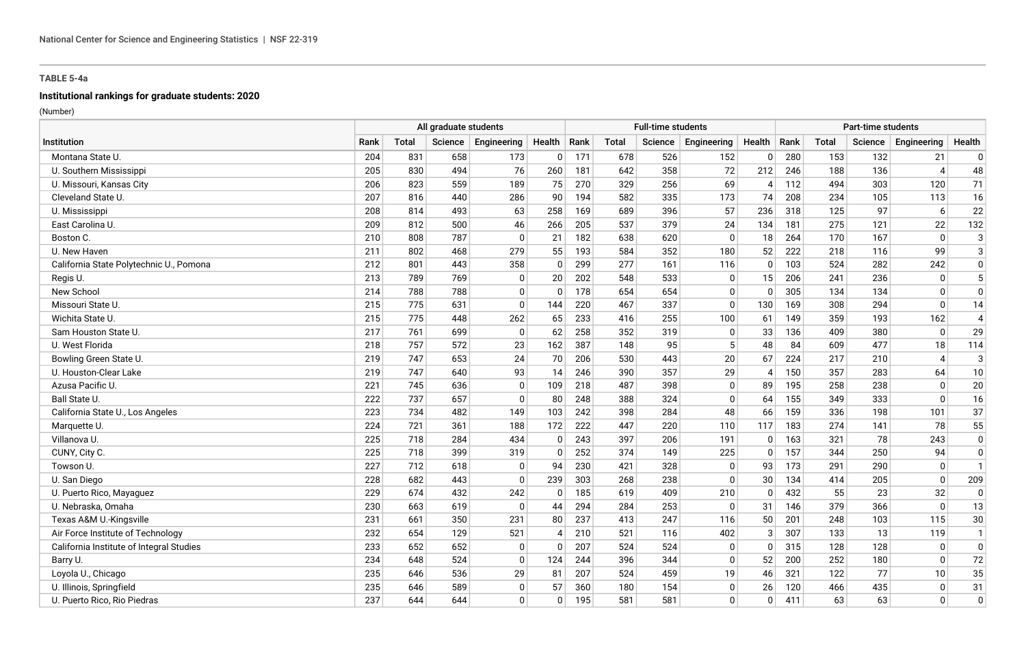# **Institutional rankings for graduate students: 2020**

|                                          |      | All graduate students |         |              |                |      |              | <b>Full-time students</b> |             |                          |      |              | Part-time students |                             |                |
|------------------------------------------|------|-----------------------|---------|--------------|----------------|------|--------------|---------------------------|-------------|--------------------------|------|--------------|--------------------|-----------------------------|----------------|
| Institution                              | Rank | <b>Total</b>          | Science | Engineering  | Health         | Rank | <b>Total</b> | <b>Science</b>            | Engineering | Health                   | Rank | <b>Total</b> | Science            | Engineering                 | Health         |
| Montana State U.                         | 204  | 831                   | 658     | 173          | $\overline{0}$ | 171  | 678          | 526                       | 152         | $\Omega$                 | 280  | 153          | 132                | 21                          | 0              |
| U. Southern Mississippi                  | 205  | 830                   | 494     | 76           | 260            | 181  | 642          | 358                       | 72          | 212                      | 246  | 188          | 136                | $\boldsymbol{\vartriangle}$ | 48             |
| U. Missouri, Kansas City                 | 206  | 823                   | 559     | 189          | 75             | 270  | 329          | 256                       | 69          | 4                        | 112  | 494          | 303                | 120                         | 71             |
| Cleveland State U.                       | 207  | 816                   | 440     | 286          | 90             | 194  | 582          | 335                       | 173         | 74                       | 208  | 234          | 105                | 113                         | 16             |
| U. Mississippi                           | 208  | 814                   | 493     | 63           | 258            | 169  | 689          | 396                       | 57          | 236                      | 318  | 125          | 97                 | 6                           | 22             |
| East Carolina U.                         | 209  | 812                   | 500     | 46           | 266            | 205  | 537          | 379                       | 24          | 134                      | 181  | 275          | 121                | 22                          | 132            |
| Boston C.                                | 210  | 808                   | 787     | $\Omega$     | 21             | 182  | 638          | 620                       | $\Omega$    | 18                       | 264  | 170          | 167                | $\mathbf{0}$                | $\mathbf{3}$   |
| U. New Haven                             | 211  | 802                   | 468     | 279          | 55             | 193  | 584          | 352                       | 180         | 52                       | 222  | 218          | 116                | 99                          | $\mathbf{3}$   |
| California State Polytechnic U., Pomona  | 212  | 801                   | 443     | 358          | $\mathbf{0}$   | 299  | 277          | 161                       | 116         | $\Omega$                 | 103  | 524          | 282                | 242                         | $\mathbf 0$    |
| Regis U.                                 | 213  | 789                   | 769     | $\mathbf{0}$ | 20             | 202  | 548          | 533                       | 0           | 15                       | 206  | 241          | 236                | $\mathbf 0$                 | 5              |
| New School                               | 214  | 788                   | 788     | $\Omega$     | $\Omega$       | 178  | 654          | 654                       | $\mathbf 0$ | $\Omega$                 | 305  | 134          | 134                | $\Omega$                    | $\mathbf 0$    |
| Missouri State U.                        | 215  | 775                   | 631     | $\Omega$     | 144            | 220  | 467          | 337                       | $\Omega$    | 130                      | 169  | 308          | 294                | $\mathbf{0}$                | 14             |
| Wichita State U.                         | 215  | 775                   | 448     | 262          | 65             | 233  | 416          | 255                       | 100         | 61                       | 149  | 359          | 193                | 162                         | $\overline{4}$ |
| Sam Houston State U.                     | 217  | 761                   | 699     | $\mathbf{0}$ | 62             | 258  | 352          | 319                       | 0           | 33                       | 136  | 409          | 380                | $\mathbf{0}$                | 29             |
| U. West Florida                          | 218  | 757                   | 572     | 23           | 162            | 387  | 148          | 95                        | 5           | 48                       | 84   | 609          | 477                | 18                          | 114            |
| Bowling Green State U.                   | 219  | 747                   | 653     | 24           | 70             | 206  | 530          | 443                       | 20          | 67                       | 224  | 217          | 210                | $\boldsymbol{\vartriangle}$ | $\mathbf{3}$   |
| U. Houston-Clear Lake                    | 219  | 747                   | 640     | 93           | 14             | 246  | 390          | 357                       | 29          | $\boldsymbol{\varDelta}$ | 150  | 357          | 283                | 64                          | 10             |
| Azusa Pacific U.                         | 221  | 745                   | 636     | $\mathbf{0}$ | 109            | 218  | 487          | 398                       | $\mathbf 0$ | 89                       | 195  | 258          | 238                | $\Omega$                    | 20             |
| Ball State U.                            | 222  | 737                   | 657     | $\Omega$     | 80             | 248  | 388          | 324                       | $\Omega$    | 64                       | 155  | 349          | 333                | $\Omega$                    | 16             |
| California State U., Los Angeles         | 223  | 734                   | 482     | 149          | 103            | 242  | 398          | 284                       | 48          | 66                       | 159  | 336          | 198                | 101                         | 37             |
| Marquette U.                             | 224  | 721                   | 361     | 188          | 172            | 222  | 447          | 220                       | 110         | 117                      | 183  | 274          | 141                | 78                          | 55             |
| Villanova U.                             | 225  | 718                   | 284     | 434          | $\mathbf{0}$   | 243  | 397          | 206                       | 191         | 0                        | 163  | 321          | 78                 | 243                         | $\mathbf 0$    |
| CUNY, City C.                            | 225  | 718                   | 399     | 319          | $\Omega$       | 252  | 374          | 149                       | 225         | $\Omega$                 | 157  | 344          | 250                | 94                          | $\mathbf 0$    |
| Towson U.                                | 227  | 712                   | 618     | $\Omega$     | 94             | 230  | 421          | 328                       | $\Omega$    | 93                       | 173  | 291          | 290                | $\mathbf{0}$                | $\mathbf{1}$   |
| U. San Diego                             | 228  | 682                   | 443     | $\Omega$     | 239            | 303  | 268          | 238                       | $\Omega$    | 30                       | 134  | 414          | 205                | $\mathbf 0$                 | 209            |
| U. Puerto Rico, Mayaguez                 | 229  | 674                   | 432     | 242          | $\mathbf{0}$   | 185  | 619          | 409                       | 210         | $\Omega$                 | 432  | 55           | 23                 | 32                          | $\pmb{0}$      |
| U. Nebraska, Omaha                       | 230  | 663                   | 619     | $\Omega$     | 44             | 294  | 284          | 253                       | 0           | 31                       | 146  | 379          | 366                | $\mathbf{0}$                | 13             |
| Texas A&M U.-Kingsville                  | 231  | 661                   | 350     | 231          | 80             | 237  | 413          | 247                       | 116         | 50                       | 201  | 248          | 103                | 115                         | 30             |
| Air Force Institute of Technology        | 232  | 654                   | 129     | 521          | 4              | 210  | 521          | 116                       | 402         | 3                        | 307  | 133          | 13                 | 119                         | $\mathbf{1}$   |
| California Institute of Integral Studies | 233  | 652                   | 652     | $\mathbf{0}$ | $\Omega$       | 207  | 524          | 524                       | $\mathbf 0$ | $\Omega$                 | 315  | 128          | 128                | $\mathbf{0}$                | $\pmb{0}$      |
| Barry U.                                 | 234  | 648                   | 524     | $\Omega$     | 124            | 244  | 396          | 344                       | $\Omega$    | 52                       | 200  | 252          | 180                | $\mathbf{0}$                | 72             |
| Loyola U., Chicago                       | 235  | 646                   | 536     | 29           | 81             | 207  | 524          | 459                       | 19          | 46                       | 321  | 122          | 77                 | 10                          | 35             |
| U. Illinois, Springfield                 | 235  | 646                   | 589     | $\mathbf{0}$ | 57             | 360  | 180          | 154                       | $\mathbf 0$ | 26                       | 120  | 466          | 435                | $\mathbf 0$                 | 31             |
| U. Puerto Rico, Rio Piedras              | 237  | 644                   | 644     | $\Omega$     | $\mathbf{0}$   | 195  | 581          | 581                       | $\Omega$    | $\Omega$                 | 411  | 63           | 63                 | $\mathbf{0}$                | $\Omega$       |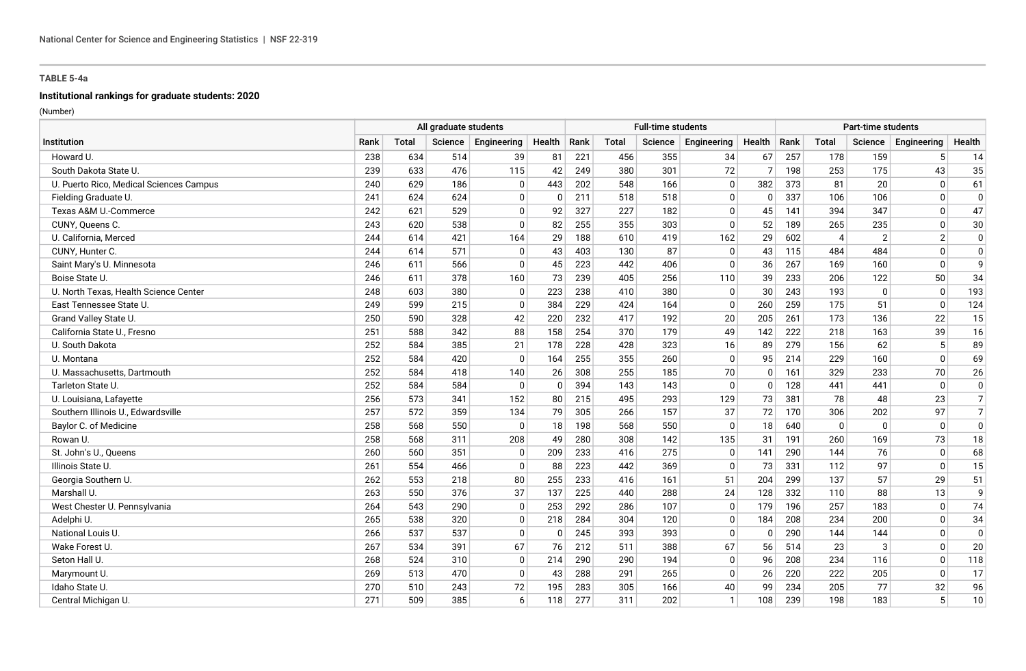# **Institutional rankings for graduate students: 2020**

|                                         | All graduate students |              |         |              |              |      |              | <b>Full-time students</b> |              |          |      |                | <b>Part-time students</b> |                 |                |
|-----------------------------------------|-----------------------|--------------|---------|--------------|--------------|------|--------------|---------------------------|--------------|----------|------|----------------|---------------------------|-----------------|----------------|
| Institution                             | Rank                  | <b>Total</b> | Science | Engineering  | Health       | Rank | <b>Total</b> | Science                   | Engineering  | Health   | Rank | <b>Total</b>   | Science                   | Engineering     | Health         |
| Howard U.                               | 238                   | 634          | 514     | 39           | 81           | 221  | 456          | 355                       | 34           | 67       | 257  | 178            | 159                       | $5\phantom{.0}$ | 14             |
| South Dakota State U.                   | 239                   | 633          | 476     | 115          | 42           | 249  | 380          | 301                       | 72           | 7        | 198  | 253            | 175                       | 43              | 35             |
| U. Puerto Rico, Medical Sciences Campus | 240                   | 629          | 186     | $\mathbf{0}$ | 443          | 202  | 548          | 166                       | 0            | 382      | 373  | 81             | 20                        | $\mathbf{0}$    | 61             |
| Fielding Graduate U.                    | 241                   | 624          | 624     | $\Omega$     | $\mathbf{0}$ | 211  | 518          | 518                       | $\mathbf 0$  | $\Omega$ | 337  | 106            | 106                       | $\mathbf{0}$    | $\mathbf 0$    |
| Texas A&M U.-Commerce                   | 242                   | 621          | 529     | $\Omega$     | 92           | 327  | 227          | 182                       | $\mathbf 0$  | 45       | 141  | 394            | 347                       | $\Omega$        | 47             |
| CUNY, Queens C.                         | 243                   | 620          | 538     | $\Omega$     | 82           | 255  | 355          | 303                       | $\Omega$     | 52       | 189  | 265            | 235                       | $\Omega$        | 30             |
| U. California, Merced                   | 244                   | 614          | 421     | 164          | 29           | 188  | 610          | 419                       | 162          | 29       | 602  | $\overline{4}$ | $\overline{2}$            | $\overline{2}$  | $\mathbf 0$    |
| CUNY, Hunter C.                         | 244                   | 614          | 571     | $\Omega$     | 43           | 403  | 130          | 87                        | 0            | 43       | 115  | 484            | 484                       | $\mathbf{0}$    | 0              |
| Saint Mary's U. Minnesota               | 246                   | 611          | 566     | $\mathbf{0}$ | 45           | 223  | 442          | 406                       | $\mathbf 0$  | 36       | 267  | 169            | 160                       | $\mathbf 0$     | 9              |
| Boise State U.                          | 246                   | 611          | 378     | 160          | 73           | 239  | 405          | 256                       | 110          | 39       | 233  | 206            | 122                       | 50              | 34             |
| U. North Texas, Health Science Center   | 248                   | 603          | 380     | $\mathbf{0}$ | 223          | 238  | 410          | 380                       | 0            | 30       | 243  | 193            | $\mathbf{0}$              | $\mathbf 0$     | 193            |
| East Tennessee State U.                 | 249                   | 599          | 215     | $\Omega$     | 384          | 229  | 424          | 164                       | $\Omega$     | 260      | 259  | 175            | 51                        | $\mathbf 0$     | 124            |
| Grand Valley State U.                   | 250                   | 590          | 328     | 42           | 220          | 232  | 417          | 192                       | 20           | 205      | 261  | 173            | 136                       | 22              | 15             |
| California State U., Fresno             | 251                   | 588          | 342     | 88           | 158          | 254  | 370          | 179                       | 49           | 142      | 222  | 218            | 163                       | 39              | 16             |
| U. South Dakota                         | 252                   | 584          | 385     | 21           | 178          | 228  | 428          | 323                       | 16           | 89       | 279  | 156            | 62                        | 5               | 89             |
| U. Montana                              | 252                   | 584          | 420     | $\mathbf{0}$ | 164          | 255  | 355          | 260                       | $\mathbf 0$  | 95       | 214  | 229            | 160                       | $\mathbf{0}$    | 69             |
| U. Massachusetts, Dartmouth             | 252                   | 584          | 418     | 140          | 26           | 308  | 255          | 185                       | 70           | $\Omega$ | 161  | 329            | 233                       | 70              | 26             |
| Tarleton State U.                       | 252                   | 584          | 584     | $\Omega$     | $\mathbf{0}$ | 394  | 143          | 143                       | $\Omega$     | $\Omega$ | 128  | 441            | 441                       | $\mathbf{0}$    | $\pmb{0}$      |
| U. Louisiana, Lafayette                 | 256                   | 573          | 341     | 152          | 80           | 215  | 495          | 293                       | 129          | 73       | 381  | 78             | 48                        | 23              | $\overline{7}$ |
| Southern Illinois U., Edwardsville      | 257                   | 572          | 359     | 134          | 79           | 305  | 266          | 157                       | 37           | 72       | 170  | 306            | 202                       | 97              | $\overline{7}$ |
| Baylor C. of Medicine                   | 258                   | 568          | 550     | $\Omega$     | 18           | 198  | 568          | 550                       | $\Omega$     | 18       | 640  | $\mathbf{0}$   | $\mathbf{0}$              | $\Omega$        | $\mathbf 0$    |
| Rowan U.                                | 258                   | 568          | 311     | 208          | 49           | 280  | 308          | 142                       | 135          | 31       | 191  | 260            | 169                       | 73              | 18             |
| St. John's U., Queens                   | 260                   | 560          | 351     | 0            | 209          | 233  | 416          | 275                       | 0            | 141      | 290  | 144            | 76                        | $\mathbf{0}$    | 68             |
| Illinois State U.                       | 261                   | 554          | 466     | $\mathbf 0$  | 88           | 223  | 442          | 369                       | $\mathbf 0$  | 73       | 331  | 112            | 97                        | $\mathbf{0}$    | 15             |
| Georgia Southern U.                     | 262                   | 553          | 218     | 80           | 255          | 233  | 416          | 161                       | 51           | 204      | 299  | 137            | 57                        | 29              | 51             |
| Marshall U.                             | 263                   | 550          | 376     | 37           | 137          | 225  | 440          | 288                       | 24           | 128      | 332  | 110            | 88                        | 13              | 9              |
| West Chester U. Pennsylvania            | 264                   | 543          | 290     | $\Omega$     | 253          | 292  | 286          | 107                       | $\mathbf 0$  | 179      | 196  | 257            | 183                       | $\mathbf{0}$    | 74             |
| Adelphi U.                              | 265                   | 538          | 320     | 0            | 218          | 284  | 304          | 120                       | 0            | 184      | 208  | 234            | 200                       | $\mathbf{0}$    | 34             |
| National Louis U.                       | 266                   | 537          | 537     | 0            | $\mathbf{0}$ | 245  | 393          | 393                       | 0            | $\Omega$ | 290  | 144            | 144                       | $\mathbf{0}$    | $\mathbf 0$    |
| Wake Forest U.                          | 267                   | 534          | 391     | 67           | 76           | 212  | 511          | 388                       | 67           | 56       | 514  | 23             | 3                         | $\mathbf{0}$    | 20             |
| Seton Hall U.                           | 268                   | 524          | 310     | $\mathbf 0$  | 214          | 290  | 290          | 194                       | $\mathbf 0$  | 96       | 208  | 234            | 116                       | $\mathbf{0}$    | 118            |
| Marymount U.                            | 269                   | 513          | 470     | $\Omega$     | 43           | 288  | 291          | 265                       | $\mathbf 0$  | 26       | 220  | 222            | 205                       | $\mathbf 0$     | 17             |
| Idaho State U.                          | 270                   | 510          | 243     | 72           | 195          | 283  | 305          | 166                       | 40           | 99       | 234  | 205            | 77                        | 32              | 96             |
| Central Michigan U.                     | 271                   | 509          | 385     | 6            | 118          | 277  | 311          | 202                       | $\mathbf{1}$ | 108      | 239  | 198            | 183                       | 5               | 10             |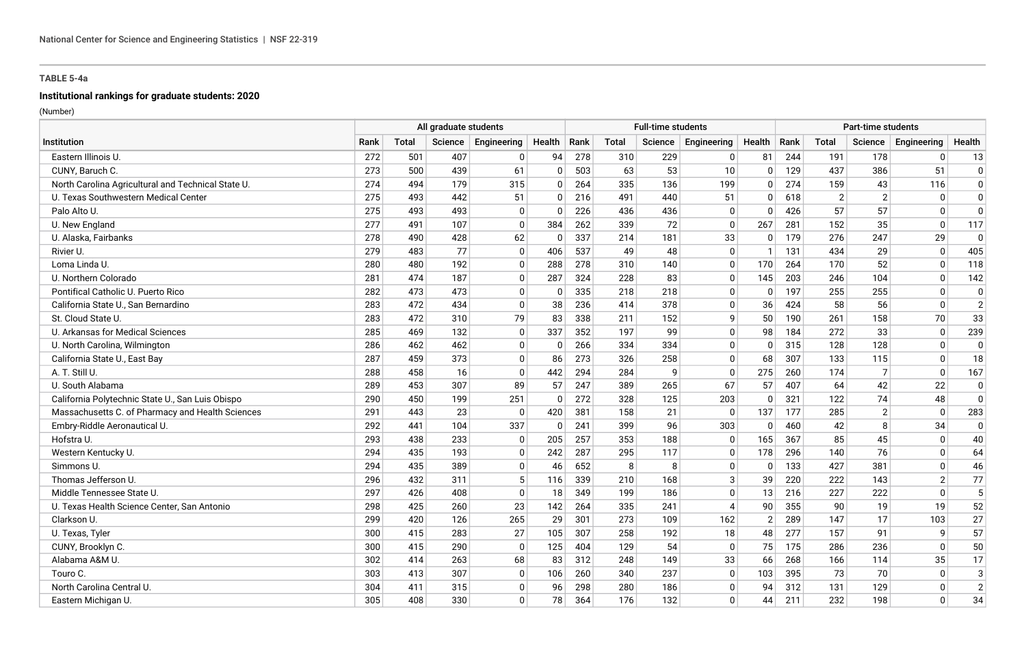# **Institutional rankings for graduate students: 2020**

|                                                    | All graduate students |       |         |                |                |      |       | <b>Full-time students</b> |                |                |      |                | Part-time students |                |                |
|----------------------------------------------------|-----------------------|-------|---------|----------------|----------------|------|-------|---------------------------|----------------|----------------|------|----------------|--------------------|----------------|----------------|
| <b>Institution</b>                                 | Rank                  | Total | Science | Engineering    | Health         | Rank | Total | Science                   | Engineering    | Health         | Rank | <b>Total</b>   | Science            | Engineering    | Health         |
| Eastern Illinois U                                 | 272                   | 501   | 407     | 0              | 94             | 278  | 310   | 229                       | 0              | 81             | 244  | 191            | 178                | $\mathbf{0}$   | 13             |
| CUNY, Baruch C.                                    | 273                   | 500   | 439     | 61             | $\mathbf{0}$   | 503  | 63    | 53                        | 10             | n              | 129  | 437            | 386                | 51             | $\mathbf 0$    |
| North Carolina Agricultural and Technical State U. | 274                   | 494   | 179     | 315            | $\mathbf{0}$   | 264  | 335   | 136                       | 199            | $\Omega$       | 274  | 159            | 43                 | 116            | $\mathbf 0$    |
| U. Texas Southwestern Medical Center               | 275                   | 493   | 442     | 51             | $\mathbf{0}$   | 216  | 491   | 440                       | 51             | $\Omega$       | 618  | $\overline{2}$ | $\overline{2}$     | $\mathbf{0}$   | $\mathbf{0}$   |
| Palo Alto U.                                       | 275                   | 493   | 493     | $\mathbf 0$    | $\mathbf{0}$   | 226  | 436   | 436                       | 0              | $\Omega$       | 426  | 57             | 57                 | $\Omega$       | $\mathbf 0$    |
| U. New England                                     | 277                   | 491   | 107     | $\mathbf 0$    | 384            | 262  | 339   | 72                        | $\mathbf 0$    | 267            | 281  | 152            | 35                 | $\mathbf 0$    | 117            |
| U. Alaska, Fairbanks                               | 278                   | 490   | 428     | 62             | $\mathbf 0$    | 337  | 214   | 181                       | 33             | 0              | 179  | 276            | 247                | 29             | 0              |
| Rivier U.                                          | 279                   | 483   | 77      | $\mathbf 0$    | 406            | 537  | 49    | 48                        | $\mathbf 0$    | $\mathbf 1$    | 131  | 434            | 29                 | $\mathbf 0$    | 405            |
| Loma Linda U.                                      | 280                   | 480   | 192     | $\mathbf 0$    | 288            | 278  | 310   | 140                       | $\mathbf 0$    | 170            | 264  | 170            | 52                 | $\mathbf{0}$   | 118            |
| U. Northern Colorado                               | 281                   | 474   | 187     | $\mathbf 0$    | 287            | 324  | 228   | 83                        | $\mathbf 0$    | 145            | 203  | 246            | 104                | $\mathbf{0}$   | 142            |
| Pontifical Catholic U. Puerto Rico                 | 282                   | 473   | 473     | $\Omega$       | $\mathbf{0}$   | 335  | 218   | 218                       | 0              | $\Omega$       | 197  | 255            | 255                | $\mathbf{0}$   | $\Omega$       |
| California State U., San Bernardino                | 283                   | 472   | 434     | $\mathbf 0$    | 38             | 236  | 414   | 378                       | $\mathbf 0$    | 36             | 424  | 58             | 56                 | $\mathbf 0$    | $\overline{2}$ |
| St. Cloud State U.                                 | 283                   | 472   | 310     | 79             | 83             | 338  | 211   | 152                       | 9              | 50             | 190  | 261            | 158                | 70             | 33             |
| U. Arkansas for Medical Sciences                   | 285                   | 469   | 132     | 0              | 337            | 352  | 197   | 99                        | 0              | 98             | 184  | 272            | 33                 | $\mathbf{0}$   | 239            |
| U. North Carolina, Wilmington                      | 286                   | 462   | 462     | $\mathbf 0$    | $\overline{0}$ | 266  | 334   | 334                       | $\mathbf 0$    | $\Omega$       | 315  | 128            | 128                | $\mathbf{0}$   | $\mathbf 0$    |
| California State U., East Bay                      | 287                   | 459   | 373     | $\mathbf 0$    | 86             | 273  | 326   | 258                       | $\mathbf 0$    | 68             | 307  | 133            | 115                | $\mathbf{0}$   | 18             |
| A. T. Still U.                                     | 288                   | 458   | 16      | $\mathbf 0$    | 442            | 294  | 284   | 9                         | $\Omega$       | 275            | 260  | 174            | 7                  | $\mathbf{0}$   | 167            |
| U. South Alabama                                   | 289                   | 453   | 307     | 89             | 57             | 247  | 389   | 265                       | 67             | 57             | 407  | 64             | 42                 | 22             | $\Omega$       |
| California Polytechnic State U., San Luis Obispo   | 290                   | 450   | 199     | 251            | $\mathbf 0$    | 272  | 328   | 125                       | 203            | $\Omega$       | 321  | 122            | 74                 | 48             | $\Omega$       |
| Massachusetts C. of Pharmacy and Health Sciences   | 291                   | 443   | 23      | 0              | 420            | 381  | 158   | 21                        | $\Omega$       | 137            | 177  | 285            | $\overline{2}$     | $\mathbf{0}$   | 283            |
| Embry-Riddle Aeronautical U.                       | 292                   | 441   | 104     | 337            | $\mathbf 0$    | 241  | 399   | 96                        | 303            | $\Omega$       | 460  | 42             | 8                  | 34             | $\mathbf 0$    |
| Hofstra U.                                         | 293                   | 438   | 233     | 0              | 205            | 257  | 353   | 188                       | 0              | 165            | 367  | 85             | 45                 | $\mathbf{0}$   | 40             |
| Western Kentucky U.                                | 294                   | 435   | 193     | $\mathbf 0$    | 242            | 287  | 295   | 117                       | $\mathbf{0}$   | 178            | 296  | 140            | 76                 | $\mathbf{0}$   | 64             |
| Simmons U.                                         | 294                   | 435   | 389     | $\Omega$       | 46             | 652  | 8     | 8                         | $\mathbf 0$    | $\Omega$       | 133  | 427            | 381                | $\mathbf{0}$   | 46             |
| Thomas Jefferson U.                                | 296                   | 432   | 311     | $\overline{5}$ | 116            | 339  | 210   | 168                       | 3              | 39             | 220  | 222            | 143                | $\overline{2}$ | 77             |
| Middle Tennessee State U.                          | 297                   | 426   | 408     | $\mathbf 0$    | 18             | 349  | 199   | 186                       | $\Omega$       | 13             | 216  | 227            | 222                | $\mathbf{0}$   | 5              |
| U. Texas Health Science Center, San Antonio        | 298                   | 425   | 260     | 23             | 142            | 264  | 335   | 241                       | $\overline{4}$ | 90             | 355  | 90             | 19                 | 19             | 52             |
| Clarkson U.                                        | 299                   | 420   | 126     | 265            | 29             | 301  | 273   | 109                       | 162            | $\overline{2}$ | 289  | 147            | 17                 | 103            | 27             |
| U. Texas, Tyler                                    | 300                   | 415   | 283     | 27             | 105            | 307  | 258   | 192                       | 18             | 48             | 277  | 157            | 91                 | q              | 57             |
| CUNY, Brooklyn C.                                  | 300                   | 415   | 290     | $\mathbf 0$    | 125            | 404  | 129   | 54                        | $\mathbf 0$    | 75             | 175  | 286            | 236                | $\Omega$       | 50             |
| Alabama A&M U.                                     | 302                   | 414   | 263     | 68             | 83             | 312  | 248   | 149                       | 33             | 66             | 268  | 166            | 114                | 35             | 17             |
| Touro C.                                           | 303                   | 413   | 307     | $\mathbf 0$    | 106            | 260  | 340   | 237                       | $\mathbf 0$    | 103            | 395  | 73             | 70                 | $\mathbf{0}$   | $\mathbf{3}$   |
| North Carolina Central U.                          | 304                   | 411   | 315     | $\mathbf 0$    | 96             | 298  | 280   | 186                       | 0              | 94             | 312  | 131            | 129                | $\Omega$       | $\overline{2}$ |
| Eastern Michigan U.                                | 305                   | 408   | 330     | $\Omega$       | 78             | 364  | 176   | 132                       | $\Omega$       | 44             | 211  | 232            | 198                | $\Omega$       | 34             |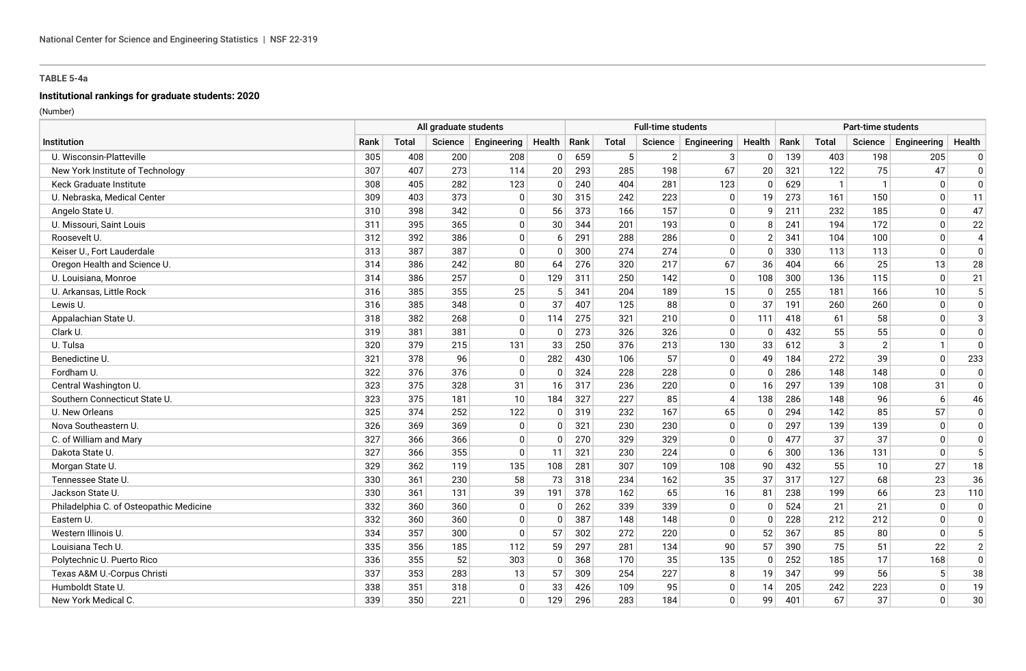# **Institutional rankings for graduate students: 2020**

|                                         | All graduate students |              |         |              |              | <b>Full-time students</b> |       |                |                |          | Part-time students |              |                |              |                |
|-----------------------------------------|-----------------------|--------------|---------|--------------|--------------|---------------------------|-------|----------------|----------------|----------|--------------------|--------------|----------------|--------------|----------------|
| Institution                             | Rank                  | <b>Total</b> | Science | Engineering  | Health       | Rank                      | Total | Science        | Engineering    | Health   | Rank               | <b>Total</b> | Science        | Engineering  | Health         |
| U. Wisconsin-Platteville                | 305                   | 408          | 200     | 208          | $\mathbf 0$  | 659                       | 5     | $\overline{2}$ | 3              | $\Omega$ | 139                | 403          | 198            | 205          | 0              |
| New York Institute of Technology        | 307                   | 407          | 273     | 114          | 20           | 293                       | 285   | 198            | 67             | 20       | 321                | 122          | 75             | 47           | $\mathbf 0$    |
| Keck Graduate Institute                 | 308                   | 405          | 282     | 123          | $\mathbf{0}$ | 240                       | 404   | 281            | 123            | $\Omega$ | 629                | $\mathbf{1}$ | $\mathbf{1}$   | $\mathbf{0}$ | $\mathbf 0$    |
| U. Nebraska, Medical Center             | 309                   | 403          | 373     | $\Omega$     | 30           | 315                       | 242   | 223            | $\Omega$       | 19       | 273                | 161          | 150            | $\mathbf{0}$ | 11             |
| Angelo State U.                         | 310                   | 398          | 342     | $\mathbf{0}$ | 56           | 373                       | 166   | 157            | 0              | g        | 211                | 232          | 185            | $\mathbf{0}$ | 47             |
| U. Missouri, Saint Louis                | 311                   | 395          | 365     | $\mathbf 0$  | 30           | 344                       | 201   | 193            | $\mathbf 0$    | 8        | 241                | 194          | 172            | $\mathbf 0$  | 22             |
| Roosevelt U.                            | 312                   | 392          | 386     | $\mathbf 0$  | 6            | 291                       | 288   | 286            | $\mathbf 0$    | -2       | 341                | 104          | 100            | $\mathbf 0$  | $\overline{4}$ |
| Keiser U., Fort Lauderdale              | 313                   | 387          | 387     | $\mathbf 0$  | $\Omega$     | 300                       | 274   | 274            | $\mathbf 0$    | $\Omega$ | 330                | 113          | 113            | $\mathbf{0}$ | $\Omega$       |
| Oregon Health and Science U.            | 314                   | 386          | 242     | 80           | 64           | 276                       | 320   | 217            | 67             | 36       | 404                | 66           | 25             | 13           | 28             |
| U. Louisiana, Monroe                    | 314                   | 386          | 257     | $\mathbf{0}$ | 129          | 311                       | 250   | 142            | $\mathbf 0$    | 108      | 300                | 136          | 115            | $\Omega$     | 21             |
| U. Arkansas, Little Rock                | 316                   | 385          | 355     | 25           | 5            | 341                       | 204   | 189            | 15             | $\Omega$ | 255                | 181          | 166            | 10           | 5              |
| Lewis U.                                | 316                   | 385          | 348     | $\Omega$     | 37           | 407                       | 125   | 88             | $\mathbf 0$    | 37       | 191                | 260          | 260            | $\mathbf 0$  | $\pmb{0}$      |
| Appalachian State U.                    | 318                   | 382          | 268     | $\mathbf{0}$ | 114          | 275                       | 321   | 210            | 0              | 111      | 418                | 61           | 58             | $\mathbf{0}$ | 3              |
| Clark U.                                | 319                   | 381          | 381     | $\mathbf{0}$ | $\mathbf 0$  | 273                       | 326   | 326            | 0              | $\Omega$ | 432                | 55           | 55             | $\mathbf{0}$ | 0              |
| U. Tulsa                                | 320                   | 379          | 215     | 131          | 33           | 250                       | 376   | 213            | 130            | 33       | 612                | 3            | $\overline{2}$ | $\mathbf{1}$ | $\mathbf 0$    |
| Benedictine U.                          | 321                   | 378          | 96      | 0            | 282          | 430                       | 106   | 57             | 0              | 49       | 184                | 272          | 39             | $\mathbf{0}$ | 233            |
| Fordham U                               | 322                   | 376          | 376     | $\Omega$     | $\mathbf{0}$ | 324                       | 228   | 228            | $\mathbf 0$    | $\Omega$ | 286                | 148          | 148            | $\Omega$     | $\Omega$       |
| Central Washington U.                   | 323                   | 375          | 328     | 31           | 16           | 317                       | 236   | 220            | $\mathbf 0$    | 16       | 297                | 139          | 108            | 31           | $\Omega$       |
| Southern Connecticut State U.           | 323                   | 375          | 181     | 10           | 184          | 327                       | 227   | 85             | $\overline{4}$ | 138      | 286                | 148          | 96             | 6            | 46             |
| U. New Orleans                          | 325                   | 374          | 252     | 122          | $\mathbf{0}$ | 319                       | 232   | 167            | 65             | $\Omega$ | 294                | 142          | 85             | 57           | 0              |
| Nova Southeastern U.                    | 326                   | 369          | 369     | 0            | $\mathbf{0}$ | 321                       | 230   | 230            | 0              | $\Omega$ | 297                | 139          | 139            | 0            | $\mathbf 0$    |
| C. of William and Mary                  | 327                   | 366          | 366     | 0            | $\mathbf{0}$ | 270                       | 329   | 329            | $\mathbf 0$    | $\Omega$ | 477                | 37           | 37             | $\mathbf{0}$ | $\mathbf 0$    |
| Dakota State U.                         | 327                   | 366          | 355     | $\Omega$     | 11           | 321                       | 230   | 224            | $\Omega$       | -6       | 300                | 136          | 131            | $\mathbf{0}$ | 5              |
| Morgan State U.                         | 329                   | 362          | 119     | 135          | 108          | 281                       | 307   | 109            | 108            | 90       | 432                | 55           | 10             | 27           | 18             |
| Tennessee State U.                      | 330                   | 361          | 230     | 58           | 73           | 318                       | 234   | 162            | 35             | 37       | 317                | 127          | 68             | 23           | 36             |
| Jackson State U.                        | 330                   | 361          | 131     | 39           | 191          | 378                       | 162   | 65             | 16             | 81       | 238                | 199          | 66             | 23           | 110            |
| Philadelphia C. of Osteopathic Medicine | 332                   | 360          | 360     | $\mathbf{0}$ | $\mathbf{0}$ | 262                       | 339   | 339            | $\Omega$       | $\Omega$ | 524                | 21           | 21             | $\Omega$     | $\mathbf 0$    |
| Eastern U.                              | 332                   | 360          | 360     | $\mathbf 0$  | $\Omega$     | 387                       | 148   | 148            | 0              | $\Omega$ | 228                | 212          | 212            | $\mathbf{0}$ | $\mathbf 0$    |
| Western Illinois U.                     | 334                   | 357          | 300     | $\Omega$     | 57           | 302                       | 272   | 220            | $\Omega$       | 52       | 367                | 85           | 80             | $\Omega$     | 5              |
| Louisiana Tech U.                       | 335                   | 356          | 185     | 112          | 59           | 297                       | 281   | 134            | 90             | 57       | 390                | 75           | 51             | 22           | $\overline{2}$ |
| Polytechnic U. Puerto Rico              | 336                   | 355          | 52      | 303          | $\mathbf{0}$ | 368                       | 170   | 35             | 135            | $\Omega$ | 252                | 185          | 17             | 168          | $\mathbf 0$    |
| Texas A&M U.-Corpus Christi             | 337                   | 353          | 283     | 13           | 57           | 309                       | 254   | 227            | 8              | 19       | 347                | 99           | 56             | 5            | 38             |
| Humboldt State U.                       | 338                   | 351          | 318     | $\mathbf{0}$ | 33           | 426                       | 109   | 95             | $\mathbf 0$    | 14       | 205                | 242          | 223            | $\mathbf 0$  | 19             |
| New York Medical C.                     | 339                   | 350          | 221     | $\mathbf{0}$ | 129          | 296                       | 283   | 184            | $\Omega$       | 99       | 401                | 67           | 37             | $\Omega$     | 30             |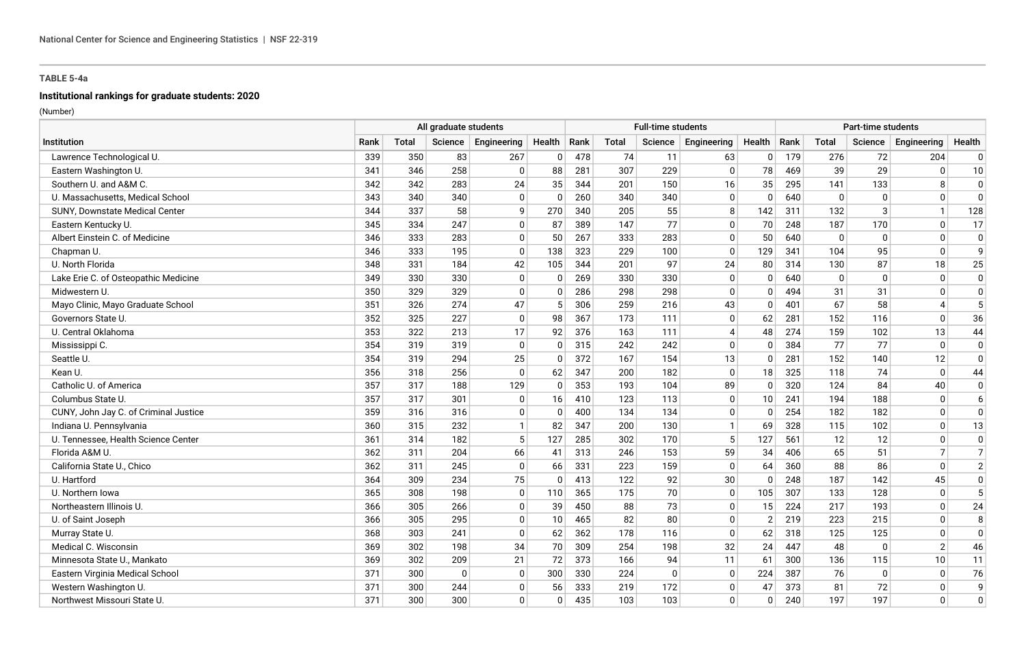# **Institutional rankings for graduate students: 2020**

|                                       | All graduate students |              |             |              |              | <b>Full-time students</b> |              |          |                |                | Part-time students |              |              |                          |                |
|---------------------------------------|-----------------------|--------------|-------------|--------------|--------------|---------------------------|--------------|----------|----------------|----------------|--------------------|--------------|--------------|--------------------------|----------------|
| Institution                           | Rank                  | <b>Total</b> | Science     | Engineering  | Health       | Rank                      | <b>Total</b> | Science  | Engineering    | Health         | Rank               | <b>Total</b> | Science      | Engineering              | Health         |
| Lawrence Technological U.             | 339                   | 350          | 83          | 267          | $\mathbf 0$  | 478                       | 74           | 11       | 63             | $\Omega$       | 179                | 276          | 72           | 204                      | 0              |
| Eastern Washington U.                 | 341                   | 346          | 258         | 0            | 88           | 281                       | 307          | 229      | 0              | 78             | 469                | 39           | 29           | $\mathbf{0}$             | 10             |
| Southern U. and A&M C.                | 342                   | 342          | 283         | 24           | 35           | 344                       | 201          | 150      | 16             | 35             | 295                | 141          | 133          | 8                        | $\mathbf 0$    |
| U. Massachusetts, Medical School      | 343                   | 340          | 340         | $\Omega$     | $\mathbf{0}$ | 260                       | 340          | 340      | $\Omega$       | $\Omega$       | 640                | $\Omega$     | $\mathbf{0}$ | $\Omega$                 | $\Omega$       |
| SUNY, Downstate Medical Center        | 344                   | 337          | 58          | 9            | 270          | 340                       | 205          | 55       | 8              | 142            | 311                | 132          | 3            | $\mathbf{1}$             | 128            |
| Eastern Kentucky U.                   | 345                   | 334          | 247         | $\mathbf 0$  | 87           | 389                       | 147          | 77       | $\mathbf 0$    | 70             | 248                | 187          | 170          | $\mathbf 0$              | 17             |
| Albert Einstein C. of Medicine        | 346                   | 333          | 283         | $\mathbf 0$  | 50           | 267                       | 333          | 283      | $\mathbf 0$    | 50             | 640                | 0            | $\mathbf 0$  | $\mathbf 0$              | 0              |
| Chapman U.                            | 346                   | 333          | 195         | $\mathbf 0$  | 138          | 323                       | 229          | 100      | $\mathbf 0$    | 129            | 341                | 104          | 95           | $\Omega$                 | 9              |
| U. North Florida                      | 348                   | 331          | 184         | 42           | 105          | 344                       | 201          | 97       | 24             | 80             | 314                | 130          | 87           | 18                       | 25             |
| Lake Erie C. of Osteopathic Medicine  | 349                   | 330          | 330         | $\mathbf 0$  | $\Omega$     | 269                       | 330          | 330      | $\mathbf 0$    | $\Omega$       | 640                | $\Omega$     | $\mathbf{0}$ | $\Omega$                 | $\mathbf 0$    |
| Midwestern U                          | 350                   | 329          | 329         | $\mathbf{0}$ | $\Omega$     | 286                       | 298          | 298      | $\Omega$       | $\Omega$       | 494                | 31           | 31           | $\Omega$                 | $\Omega$       |
| Mayo Clinic, Mayo Graduate School     | 351                   | 326          | 274         | 47           | 5            | 306                       | 259          | 216      | 43             | $\Omega$       | 401                | 67           | 58           | $\boldsymbol{\varDelta}$ | 5              |
| Governors State U.                    | 352                   | 325          | 227         | 0            | 98           | 367                       | 173          | 111      | 0              | 62             | 281                | 152          | 116          | $\mathbf{0}$             | 36             |
| U. Central Oklahoma                   | 353                   | 322          | 213         | 17           | 92           | 376                       | 163          | 111      | $\overline{4}$ | 48             | 274                | 159          | 102          | 13                       | 44             |
| Mississippi C.                        | 354                   | 319          | 319         | $\mathbf 0$  | $\mathbf{0}$ | 315                       | 242          | 242      | $\mathbf 0$    | $\Omega$       | 384                | 77           | 77           | $\mathbf{0}$             | $\mathbf 0$    |
| Seattle U.                            | 354                   | 319          | 294         | 25           | $\mathbf{0}$ | 372                       | 167          | 154      | 13             | $\Omega$       | 281                | 152          | 140          | 12                       | $\mathbf 0$    |
| Kean U.                               | 356                   | 318          | 256         | $\Omega$     | 62           | 347                       | 200          | 182      | $\mathbf 0$    | 18             | 325                | 118          | 74           | $\Omega$                 | 44             |
| Catholic U. of America                | 357                   | 317          | 188         | 129          | $\mathbf{0}$ | 353                       | 193          | 104      | 89             | $\Omega$       | 320                | 124          | 84           | 40                       | $\Omega$       |
| Columbus State U.                     | 357                   | 317          | 301         | $\mathbf 0$  | 16           | 410                       | 123          | 113      | $\mathbf 0$    | 10             | 241                | 194          | 188          | $\mathbf 0$              | 6              |
| CUNY, John Jay C. of Criminal Justice | 359                   | 316          | 316         | $\mathbf{0}$ | $\mathbf{0}$ | 400                       | 134          | 134      | 0              | $\Omega$       | 254                | 182          | 182          | $\Omega$                 | $\Omega$       |
| Indiana U. Pennsylvania               | 360                   | 315          | 232         |              | 82           | 347                       | 200          | 130      | $\mathbf{1}$   | 69             | 328                | 115          | 102          | $\mathbf{0}$             | 13             |
| U. Tennessee, Health Science Center   | 361                   | 314          | 182         | 5            | 127          | 285                       | 302          | 170      | 5              | 127            | 561                | 12           | 12           | 0                        | $\mathbf 0$    |
| Florida A&M U.                        | 362                   | 311          | 204         | 66           | 41           | 313                       | 246          | 153      | 59             | 34             | 406                | 65           | 51           | $\overline{7}$           | $\overline{7}$ |
| California State U., Chico            | 362                   | 311          | 245         | $\Omega$     | 66           | 331                       | 223          | 159      | $\Omega$       | 64             | 360                | 88           | 86           | $\mathbf{0}$             | $\overline{2}$ |
| U. Hartford                           | 364                   | 309          | 234         | 75           | $\mathbf{0}$ | 413                       | 122          | 92       | 30             | $\Omega$       | 248                | 187          | 142          | 45                       | $\mathbf 0$    |
| U. Northern Iowa                      | 365                   | 308          | 198         | $\Omega$     | 110          | 365                       | 175          | 70       | $\mathbf 0$    | 105            | 307                | 133          | 128          | $\mathbf{0}$             | 5              |
| Northeastern Illinois U.              | 366                   | 305          | 266         | $\mathbf{0}$ | 39           | 450                       | 88           | 73       | $\Omega$       | 15             | 224                | 217          | 193          | $\Omega$                 | 24             |
| U. of Saint Joseph                    | 366                   | 305          | 295         | $\mathbf 0$  | 10           | 465                       | 82           | 80       | $\mathbf 0$    | $\overline{2}$ | 219                | 223          | 215          | $\mathbf{0}$             | 8              |
| Murray State U.                       | 368                   | 303          | 241         | $\Omega$     | 62           | 362                       | 178          | 116      | $\Omega$       | 62             | 318                | 125          | 125          | $\Omega$                 | $\mathbf 0$    |
| Medical C. Wisconsin                  | 369                   | 302          | 198         | 34           | 70           | 309                       | 254          | 198      | 32             | 24             | 447                | 48           | $\Omega$     | $\overline{2}$           | 46             |
| Minnesota State U., Mankato           | 369                   | 302          | 209         | 21           | 72           | 373                       | 166          | 94       | 11             | 61             | 300                | 136          | 115          | 10                       | 11             |
| Eastern Virginia Medical School       | 371                   | 300          | $\mathbf 0$ | $\mathbf{0}$ | 300          | 330                       | 224          | $\Omega$ | $\mathbf 0$    | 224            | 387                | 76           | $\mathbf 0$  | $\mathbf 0$              | 76             |
| Western Washington U.                 | 371                   | 300          | 244         | $\mathbf 0$  | 56           | 333                       | 219          | 172      | $\mathbf 0$    | 47             | 373                | 81           | 72           | $\mathbf 0$              | 9              |
| Northwest Missouri State U.           | 371                   | 300          | 300         | $\Omega$     | $\mathbf{0}$ | 435                       | 103          | 103      | $\Omega$       | $\Omega$       | 240                | 197          | 197          | $\Omega$                 | $\mathbf{0}$   |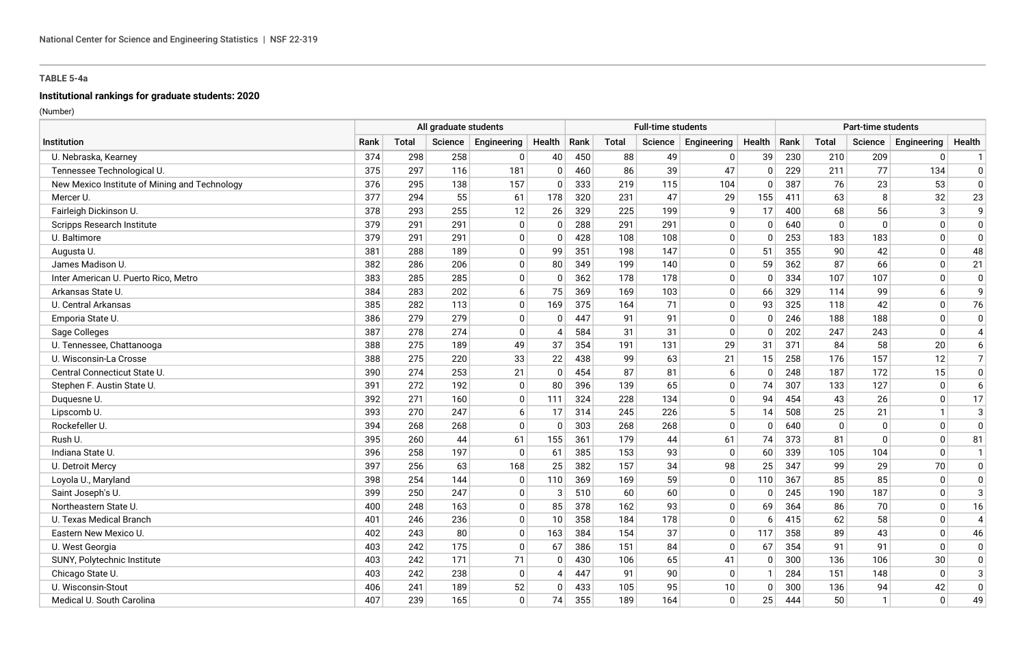# **Institutional rankings for graduate students: 2020**

|                                               | All graduate students |              |         |             |                |     |       | <b>Full-time students</b> |              |          |      |              | <b>Part-time students</b> |              |                |
|-----------------------------------------------|-----------------------|--------------|---------|-------------|----------------|-----|-------|---------------------------|--------------|----------|------|--------------|---------------------------|--------------|----------------|
| Institution                                   | Rank                  | <b>Total</b> | Science | Engineering | Health   Rank  |     | Total | Science                   | Engineering  | Health   | Rank | Total        | Science                   | Engineering  | Health         |
| U. Nebraska, Kearney                          | 374                   | 298          | 258     | 0           | 40             | 450 | 88    | 49                        | $\Omega$     | 39       | 230  | 210          | 209                       | $\mathbf 0$  | $\mathbf{1}$   |
| Tennessee Technological U.                    | 375                   | 297          | 116     | 181         | $\mathbf{0}$   | 460 | 86    | 39                        | 47           | $\Omega$ | 229  | 211          | 77                        | 134          | $\mathbf{0}$   |
| New Mexico Institute of Mining and Technology | 376                   | 295          | 138     | 157         | 0              | 333 | 219   | 115                       | 104          | $\Omega$ | 387  | 76           | 23                        | 53           | $\mathbf{0}$   |
| Mercer U.                                     | 377                   | 294          | 55      | 61          | 178            | 320 | 231   | 47                        | 29           | 155      | 411  | 63           | 8                         | 32           | 23             |
| Fairleigh Dickinson U.                        | 378                   | 293          | 255     | 12          | 26             | 329 | 225   | 199                       | 9            | 17       | 400  | 68           | 56                        | $\mathbf{3}$ | 9              |
| Scripps Research Institute                    | 379                   | 291          | 291     | $\mathbf 0$ | $\mathbf{0}$   | 288 | 291   | 291                       | 0            | $\Omega$ | 640  | $\mathbf{0}$ | $\Omega$                  | $\mathbf{0}$ | $\mathbf 0$    |
| U. Baltimore                                  | 379                   | 291          | 291     | $\mathbf 0$ | $\mathbf{0}$   | 428 | 108   | 108                       | 0            | $\Omega$ | 253  | 183          | 183                       | $\mathbf{0}$ | $\mathbf{0}$   |
| Augusta U.                                    | 381                   | 288          | 189     | $\mathbf 0$ | 99             | 351 | 198   | 147                       | 0            | 51       | 355  | 90           | 42                        | $\mathbf{0}$ | 48             |
| James Madison U.                              | 382                   | 286          | 206     | $\mathbf 0$ | 80             | 349 | 199   | 140                       | $\mathbf 0$  | 59       | 362  | 87           | 66                        | $\Omega$     | 21             |
| Inter American U. Puerto Rico, Metro          | 383                   | 285          | 285     | $\Omega$    | $\mathbf{0}$   | 362 | 178   | 178                       | $\mathbf{0}$ | $\Omega$ | 334  | 107          | 107                       | $\Omega$     | $\Omega$       |
| Arkansas State U.                             | 384                   | 283          | 202     | 6           | 75             | 369 | 169   | 103                       | 0            | 66       | 329  | 114          | 99                        | 6            | 9              |
| U. Central Arkansas                           | 385                   | 282          | 113     | $\mathbf 0$ | 169            | 375 | 164   | 71                        | $\mathbf{0}$ | 93       | 325  | 118          | 42                        | $\Omega$     | 76             |
| Emporia State U.                              | 386                   | 279          | 279     | 0           | 0              | 447 | 91    | 91                        | 0            | 0        | 246  | 188          | 188                       | $\mathbf{0}$ | $\mathbf 0$    |
| Sage Colleges                                 | 387                   | 278          | 274     | $\mathbf 0$ | $\overline{4}$ | 584 | 31    | 31                        | $\mathbf 0$  | $\Omega$ | 202  | 247          | 243                       | $\Omega$     | $\overline{4}$ |
| U. Tennessee, Chattanooga                     | 388                   | 275          | 189     | 49          | 37             | 354 | 191   | 131                       | 29           | 31       | 371  | 84           | 58                        | 20           | 6              |
| U. Wisconsin-La Crosse                        | 388                   | 275          | 220     | 33          | 22             | 438 | 99    | 63                        | 21           | 15       | 258  | 176          | 157                       | 12           | $\overline{7}$ |
| Central Connecticut State U.                  | 390                   | 274          | 253     | 21          | $\mathbf{0}$   | 454 | 87    | 81                        | 6            | 0        | 248  | 187          | 172                       | 15           | $\mathbf 0$    |
| Stephen F. Austin State U.                    | 391                   | 272          | 192     | $\mathbf 0$ | 80             | 396 | 139   | 65                        | 0            | 74       | 307  | 133          | 127                       | $\Omega$     | 6              |
| Duguesne U.                                   | 392                   | 271          | 160     | $\mathbf 0$ | 111            | 324 | 228   | 134                       | 0            | 94       | 454  | 43           | 26                        | $\mathbf{0}$ | 17             |
| Lipscomb U.                                   | 393                   | 270          | 247     | 6           | 17             | 314 | 245   | 226                       | 5            | 14       | 508  | 25           | 21                        | $\mathbf{1}$ | 3              |
| Rockefeller U.                                | 394                   | 268          | 268     | $\Omega$    | $\mathbf{0}$   | 303 | 268   | 268                       | $\mathbf{0}$ | $\Omega$ | 640  | $\mathbf{0}$ | $\mathbf{0}$              | $\Omega$     | $\Omega$       |
| Rush U.                                       | 395                   | 260          | 44      | 61          | 155            | 361 | 179   | 44                        | 61           | 74       | 373  | 81           | $\Omega$                  | $\mathbf{0}$ | 81             |
| Indiana State U.                              | 396                   | 258          | 197     | $\Omega$    | 61             | 385 | 153   | 93                        | $\mathbf{0}$ | 60       | 339  | 105          | 104                       | $\Omega$     | $\mathbf 1$    |
| U. Detroit Mercy                              | 397                   | 256          | 63      | 168         | 25             | 382 | 157   | 34                        | 98           | 25       | 347  | 99           | 29                        | 70           | $\mathbf 0$    |
| Loyola U., Maryland                           | 398                   | 254          | 144     | $\Omega$    | 110            | 369 | 169   | 59                        | $\mathbf 0$  | 110      | 367  | 85           | 85                        | $\mathbf{0}$ | $\mathbf 0$    |
| Saint Joseph's U.                             | 399                   | 250          | 247     | $\mathbf 0$ | 3              | 510 | 60    | 60                        | 0            | $\Omega$ | 245  | 190          | 187                       | $\Omega$     | 3              |
| Northeastern State U.                         | 400                   | 248          | 163     | $\Omega$    | 85             | 378 | 162   | 93                        | 0            | 69       | 364  | 86           | 70                        | $\Omega$     | 16             |
| U. Texas Medical Branch                       | 401                   | 246          | 236     | $\mathbf 0$ | 10             | 358 | 184   | 178                       | 0            | 6        | 415  | 62           | 58                        | $\Omega$     | $\overline{4}$ |
| Eastern New Mexico U.                         | 402                   | 243          | 80      | $\mathbf 0$ | 163            | 384 | 154   | 37                        | $\mathbf{0}$ | 117      | 358  | 89           | 43                        | $\Omega$     | 46             |
| U. West Georgia                               | 403                   | 242          | 175     | $\mathbf 0$ | 67             | 386 | 151   | 84                        | $\Omega$     | 67       | 354  | 91           | 91                        | $\Omega$     | $\mathbf 0$    |
| SUNY, Polytechnic Institute                   | 403                   | 242          | 171     | 71          | $\overline{0}$ | 430 | 106   | 65                        | 41           | $\Omega$ | 300  | 136          | 106                       | 30           | $\mathbf 0$    |
| Chicago State U.                              | 403                   | 242          | 238     | $\mathbf 0$ | $\overline{4}$ | 447 | 91    | 90                        | $\mathbf 0$  |          | 284  | 151          | 148                       | $\Omega$     | 3              |
| U. Wisconsin-Stout                            | 406                   | 241          | 189     | 52          | $\mathbf{0}$   | 433 | 105   | 95                        | 10           | $\Omega$ | 300  | 136          | 94                        | 42           | $\mathbf 0$    |
| Medical U. South Carolina                     | 407                   | 239          | 165     | $\Omega$    | 74             | 355 | 189   | 164                       | $\mathbf{0}$ | 25       | 444  | 50           | $\mathbf{1}$              | $\Omega$     | 49             |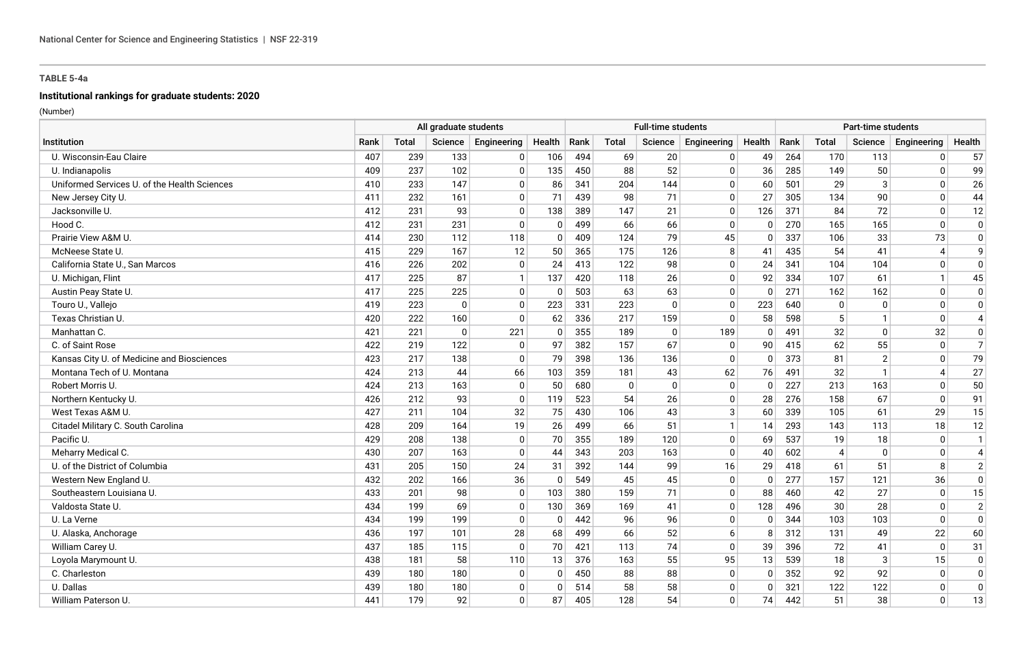# **Institutional rankings for graduate students: 2020**

|                                              | All graduate students |              |             |              |              |      | <b>Full-time students</b> |          |              |          |      | Part-time students |                |                       |                |  |  |  |
|----------------------------------------------|-----------------------|--------------|-------------|--------------|--------------|------|---------------------------|----------|--------------|----------|------|--------------------|----------------|-----------------------|----------------|--|--|--|
| Institution                                  | Rank                  | <b>Total</b> | Science     | Engineering  | Health       | Rank | Total                     | Science  | Engineering  | Health   | Rank | Total              | Science        | Engineering           | Health         |  |  |  |
| U. Wisconsin-Eau Claire                      | 407                   | 239          | 133         | 0            | 106          | 494  | 69                        | 20       | 0            | 49       | 264  | 170                | 113            | $\mathbf{0}$          | 57             |  |  |  |
| U. Indianapolis                              | 409                   | 237          | 102         | $\mathbf{0}$ | 135          | 450  | 88                        | 52       | $\mathbf{0}$ | 36       | 285  | 149                | 50             | $\mathbf{0}$          | 99             |  |  |  |
| Uniformed Services U. of the Health Sciences | 410                   | 233          | 147         | $\mathbf{0}$ | 86           | 341  | 204                       | 144      | $\mathbf 0$  | 60       | 501  | 29                 | 3              | $\mathbf{0}$          | 26             |  |  |  |
| New Jersey City U.                           | 411                   | 232          | 161         | $\Omega$     | 71           | 439  | 98                        | 71       | $\mathbf 0$  | 27       | 305  | 134                | 90             | $\Omega$              | 44             |  |  |  |
| Jacksonville U.                              | 412                   | 231          | 93          | $\mathbf{0}$ | 138          | 389  | 147                       | 21       | $\pmb{0}$    | 126      | 371  | 84                 | 72             | $\mathbf 0$           | 12             |  |  |  |
| Hood C.                                      | 412                   | 231          | 231         | $\Omega$     | 0            | 499  | 66                        | 66       | $\mathbf 0$  | $\Omega$ | 270  | 165                | 165            | $\mathbf{0}$          | $\mathbf 0$    |  |  |  |
| Prairie View A&M U.                          | 414                   | 230          | 112         | 118          | 0            | 409  | 124                       | 79       | 45           | $\Omega$ | 337  | 106                | 33             | 73                    | $\mathbf 0$    |  |  |  |
| McNeese State U.                             | 415                   | 229          | 167         | 12           | 50           | 365  | 175                       | 126      | 8            | 41       | 435  | 54                 | 41             | $\boldsymbol{\Delta}$ | 9              |  |  |  |
| California State U., San Marcos              | 416                   | 226          | 202         | $\mathbf{0}$ | 24           | 413  | 122                       | 98       | $\mathbf 0$  | 24       | 341  | 104                | 104            | $\mathbf{0}$          | $\Omega$       |  |  |  |
| U. Michigan, Flint                           | 417                   | 225          | 87          | $\mathbf 1$  | 137          | 420  | 118                       | 26       | $\Omega$     | 92       | 334  | 107                | 61             | $\mathbf{1}$          | 45             |  |  |  |
| Austin Peay State U.                         | 417                   | 225          | 225         | $\mathbf{0}$ | $\mathbf{0}$ | 503  | 63                        | 63       | $\mathbf 0$  | $\Omega$ | 271  | 162                | 162            | $\mathbf 0$           | $\mathbf 0$    |  |  |  |
| Touro U., Vallejo                            | 419                   | 223          | $\Omega$    | $\Omega$     | 223          | 331  | 223                       | $\Omega$ | $\mathbf 0$  | 223      | 640  | $\mathbf 0$        | $\Omega$       | $\mathbf{0}$          | $\mathbf 0$    |  |  |  |
| Texas Christian U.                           | 420                   | 222          | 160         | $\Omega$     | 62           | 336  | 217                       | 159      | 0            | 58       | 598  | 5                  | $\mathbf{1}$   | $\mathbf{0}$          | $\overline{4}$ |  |  |  |
| Manhattan C.                                 | 421                   | 221          | $\mathbf 0$ | 221          | $\mathbf{0}$ | 355  | 189                       | $\Omega$ | 189          | $\Omega$ | 491  | 32                 | $\Omega$       | 32                    | $\mathbf 0$    |  |  |  |
| C. of Saint Rose                             | 422                   | 219          | 122         | 0            | 97           | 382  | 157                       | 67       | 0            | 90       | 415  | 62                 | 55             | $\mathbf{0}$          | $\overline{7}$ |  |  |  |
| Kansas City U. of Medicine and Biosciences   | 423                   | 217          | 138         | $\mathbf{0}$ | 79           | 398  | 136                       | 136      | $\mathbf 0$  | $\Omega$ | 373  | 81                 | $\overline{2}$ | $\Omega$              | 79             |  |  |  |
| Montana Tech of U. Montana                   | 424                   | 213          | 44          | 66           | 103          | 359  | 181                       | 43       | 62           | 76       | 491  | 32                 | $\mathbf{1}$   | $\overline{4}$        | 27             |  |  |  |
| Robert Morris U.                             | 424                   | 213          | 163         | $\Omega$     | 50           | 680  | $\mathbf 0$               | $\Omega$ | $\mathbf 0$  | $\Omega$ | 227  | 213                | 163            | $\Omega$              | 50             |  |  |  |
| Northern Kentucky U.                         | 426                   | 212          | 93          | $\mathbf{0}$ | 119          | 523  | 54                        | 26       | $\mathbf 0$  | 28       | 276  | 158                | 67             | $\mathbf{0}$          | 91             |  |  |  |
| West Texas A&M U.                            | 427                   | 211          | 104         | 32           | 75           | 430  | 106                       | 43       | 3            | 60       | 339  | 105                | 61             | 29                    | 15             |  |  |  |
| Citadel Military C. South Carolina           | 428                   | 209          | 164         | 19           | 26           | 499  | 66                        | 51       | $\mathbf{1}$ | 14       | 293  | 143                | 113            | 18                    | 12             |  |  |  |
| Pacific U.                                   | 429                   | 208          | 138         | $\mathbf{0}$ | 70           | 355  | 189                       | 120      | $\mathbf 0$  | 69       | 537  | 19                 | 18             | $\mathbf 0$           | $\mathbf{1}$   |  |  |  |
| Meharry Medical C.                           | 430                   | 207          | 163         | $\mathbf{0}$ | 44           | 343  | 203                       | 163      | $\Omega$     | 40       | 602  | $\overline{4}$     | $\mathbf{0}$   | $\Omega$              | $\overline{4}$ |  |  |  |
| U. of the District of Columbia               | 431                   | 205          | 150         | 24           | 31           | 392  | 144                       | 99       | 16           | 29       | 418  | 61                 | 51             | 8                     | $\overline{2}$ |  |  |  |
| Western New England U.                       | 432                   | 202          | 166         | 36           | $\Omega$     | 549  | 45                        | 45       | $\mathbf 0$  | $\Omega$ | 277  | 157                | 121            | 36                    | $\mathbf 0$    |  |  |  |
| Southeastern Louisiana U.                    | 433                   | 201          | 98          | $\Omega$     | 103          | 380  | 159                       | 71       | 0            | 88       | 460  | 42                 | 27             | $\mathbf{0}$          | 15             |  |  |  |
| Valdosta State U.                            | 434                   | 199          | 69          | $\mathbf{0}$ | 130          | 369  | 169                       | 41       | $\Omega$     | 128      | 496  | 30                 | 28             | $\mathbf{0}$          | $\overline{2}$ |  |  |  |
| U. La Verne                                  | 434                   | 199          | 199         | $\mathbf{0}$ | 0            | 442  | 96                        | 96       | 0            | $\Omega$ | 344  | 103                | 103            | $\mathbf{0}$          | $\mathbf 0$    |  |  |  |
| U. Alaska, Anchorage                         | 436                   | 197          | 101         | 28           | 68           | 499  | 66                        | 52       | 6            | 8        | 312  | 131                | 49             | 22                    | 60             |  |  |  |
| William Carey U.                             | 437                   | 185          | 115         | $\Omega$     | 70           | 421  | 113                       | 74       | $\mathbf 0$  | 39       | 396  | 72                 | 41             | $\mathbf 0$           | 31             |  |  |  |
| Loyola Marymount U.                          | 438                   | 181          | 58          | 110          | 13           | 376  | 163                       | 55       | 95           | 13       | 539  | 18                 | 3              | 15                    | $\Omega$       |  |  |  |
| C. Charleston                                | 439                   | 180          | 180         | $\mathbf{0}$ | 0            | 450  | 88                        | 88       | $\mathbf 0$  | 0        | 352  | 92                 | 92             | $\mathbf{0}$          | 0              |  |  |  |
| U. Dallas                                    | 439                   | 180          | 180         | $\Omega$     | 0            | 514  | 58                        | 58       | $\mathbf 0$  | $\Omega$ | 321  | 122                | 122            | $\Omega$              | $\overline{0}$ |  |  |  |
| William Paterson U.                          | 441                   | 179          | 92          | $\Omega$     | 87           | 405  | 128                       | 54       | $\mathbf{0}$ | 74       | 442  | 51                 | 38             | $\Omega$              | 13             |  |  |  |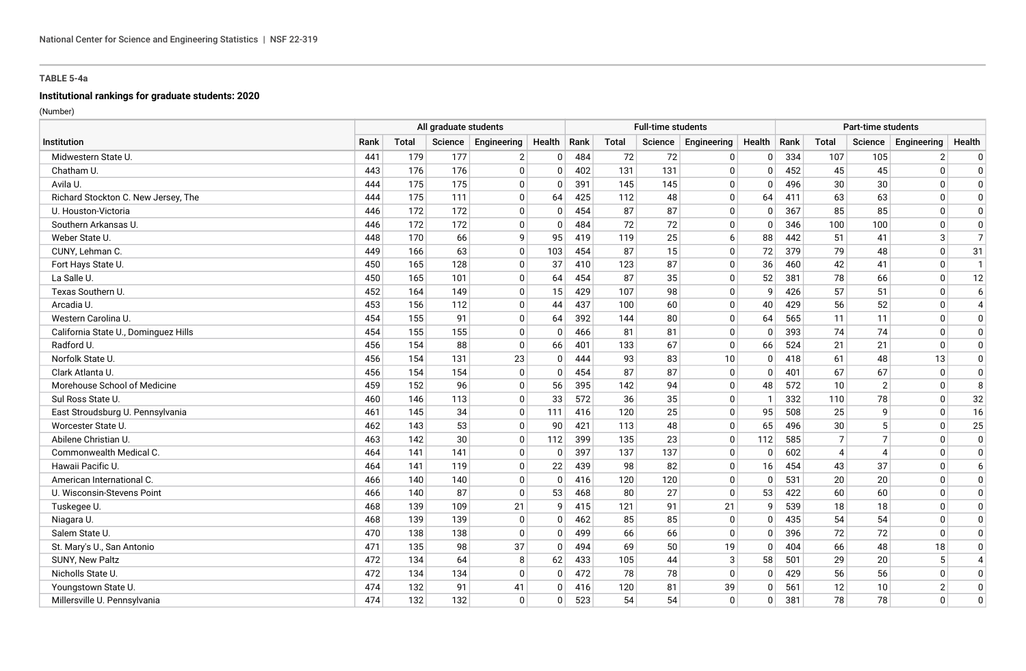# **Institutional rankings for graduate students: 2020**

|                                      | All graduate students |              |     |                     | <b>Full-time students</b> |     |       |         |             | Part-time students |      |                          |                |                |                          |
|--------------------------------------|-----------------------|--------------|-----|---------------------|---------------------------|-----|-------|---------|-------------|--------------------|------|--------------------------|----------------|----------------|--------------------------|
| Institution                          | Rank                  | <b>Total</b> |     | Science Engineering | Health   Rank             |     | Total | Science | Engineering | Health             | Rank | Total                    | Science        | Engineering    | Health                   |
| Midwestern State U.                  | 441                   | 179          | 177 | $\overline{2}$      | $\mathbf 0$               | 484 | 72    | 72      | 0           | $\Omega$           | 334  | 107                      | 105            | $\overline{2}$ | 0                        |
| Chatham U.                           | 443                   | 176          | 176 | $\Omega$            | $\mathbf{0}$              | 402 | 131   | 131     | $\Omega$    | $\Omega$           | 452  | 45                       | 45             | $\mathbf{0}$   | $\mathbf 0$              |
| Avila U.                             | 444                   | 175          | 175 | $\mathbf 0$         | $\mathbf{0}$              | 391 | 145   | 145     | $\mathbf 0$ | $\Omega$           | 496  | 30                       | 30             | $\mathbf{0}$   | $\Omega$                 |
| Richard Stockton C. New Jersey, The  | 444                   | 175          | 111 | $\Omega$            | 64                        | 425 | 112   | 48      | $\mathbf 0$ | 64                 | 411  | 63                       | 63             | $\Omega$       | $\Omega$                 |
| U. Houston-Victoria                  | 446                   | 172          | 172 | $\mathbf 0$         | $\mathbf 0$               | 454 | 87    | 87      | $\pmb{0}$   | $\Omega$           | 367  | 85                       | 85             | $\mathbf 0$    | $\Omega$                 |
| Southern Arkansas U.                 | 446                   | 172          | 172 | $\Omega$            | $\mathbf{0}$              | 484 | 72    | 72      | $\mathbf 0$ | $\Omega$           | 346  | 100                      | 100            | $\mathbf{0}$   | $\mathbf 0$              |
| Weber State U.                       | 448                   | 170          | 66  | 9                   | 95                        | 419 | 119   | 25      | 6           | 88                 | 442  | 51                       | 41             | 3              | $\overline{7}$           |
| CUNY, Lehman C.                      | 449                   | 166          | 63  | 0                   | 103                       | 454 | 87    | 15      | $\mathbf 0$ | 72                 | 379  | 79                       | 48             | $\mathbf{0}$   | 31                       |
| Fort Hays State U.                   | 450                   | 165          | 128 | $\mathbf 0$         | 37                        | 410 | 123   | 87      | $\mathbf 0$ | 36                 | 460  | 42                       | 41             | $\mathbf 0$    | $\mathbf{1}$             |
| La Salle U.                          | 450                   | 165          | 101 | $\Omega$            | 64                        | 454 | 87    | 35      | $\Omega$    | 52                 | 381  | 78                       | 66             | $\Omega$       | 12                       |
| Texas Southern U.                    | 452                   | 164          | 149 | $\mathbf 0$         | 15                        | 429 | 107   | 98      | $\mathbf 0$ | q                  | 426  | 57                       | 51             | $\mathbf 0$    | 6                        |
| Arcadia U.                           | 453                   | 156          | 112 | $\Omega$            | 44                        | 437 | 100   | 60      | $\mathbf 0$ | 40                 | 429  | 56                       | 52             | $\mathbf{0}$   | $\overline{4}$           |
| Western Carolina U.                  | 454                   | 155          | 91  | $\mathbf 0$         | 64                        | 392 | 144   | 80      | 0           | 64                 | 565  | 11                       | 11             | 0              | 0                        |
| California State U., Dominguez Hills | 454                   | 155          | 155 | $\mathbf 0$         | $\Omega$                  | 466 | 81    | 81      | $\mathbf 0$ | $\Omega$           | 393  | 74                       | 74             | $\mathbf{0}$   | $\mathbf 0$              |
| Radford U.                           | 456                   | 154          | 88  | 0                   | 66                        | 401 | 133   | 67      | 0           | 66                 | 524  | 21                       | 21             | 0              | 0                        |
| Norfolk State U                      | 456                   | 154          | 131 | 23                  | $\mathbf{0}$              | 444 | 93    | 83      | 10          | $\Omega$           | 418  | 61                       | 48             | 13             | $\mathbf 0$              |
| Clark Atlanta U.                     | 456                   | 154          | 154 | $\mathbf 0$         | $\mathbf{0}$              | 454 | 87    | 87      | $\mathbf 0$ | $\Omega$           | 401  | 67                       | 67             | $\mathbf{0}$   | $\Omega$                 |
| Morehouse School of Medicine         | 459                   | 152          | 96  | $\mathbf 0$         | 56                        | 395 | 142   | 94      | $\mathbf 0$ | 48                 | 572  | 10                       | $\overline{2}$ | $\Omega$       | 8                        |
| Sul Ross State U.                    | 460                   | 146          | 113 | $\Omega$            | 33                        | 572 | 36    | 35      | $\mathbf 0$ | -1                 | 332  | 110                      | 78             | $\mathbf{0}$   | 32                       |
| East Stroudsburg U. Pennsylvania     | 461                   | 145          | 34  | $\mathbf 0$         | 111                       | 416 | 120   | 25      | $\mathbf 0$ | 95                 | 508  | 25                       | 9              | $\mathbf 0$    | 16                       |
| Worcester State U.                   | 462                   | 143          | 53  | $\mathbf{0}$        | 90                        | 421 | 113   | 48      | $\mathbf 0$ | 65                 | 496  | 30                       | -5             | 0              | 25                       |
| Abilene Christian U.                 | 463                   | 142          | 30  | $\mathbf 0$         | 112                       | 399 | 135   | 23      | $\mathbf 0$ | 112                | 585  | 7                        | $\overline{7}$ | $\mathbf 0$    | $\mathbf 0$              |
| Commonwealth Medical C.              | 464                   | 141          | 141 | $\Omega$            | $\mathbf{0}$              | 397 | 137   | 137     | $\Omega$    | $\Omega$           | 602  | $\boldsymbol{\varDelta}$ | 4              | $\Omega$       | $\Omega$                 |
| Hawaii Pacific U.                    | 464                   | 141          | 119 | $\Omega$            | 22                        | 439 | 98    | 82      | $\mathbf 0$ | 16                 | 454  | 43                       | 37             | $\Omega$       | 6                        |
| American International C.            | 466                   | 140          | 140 | $\Omega$            | $\mathbf{0}$              | 416 | 120   | 120     | $\mathbf 0$ | $\Omega$           | 531  | 20                       | 20             | $\mathbf{0}$   | $\mathbf 0$              |
| U. Wisconsin-Stevens Point           | 466                   | 140          | 87  | $\mathbf 0$         | 53                        | 468 | 80    | 27      | $\mathbf 0$ | 53                 | 422  | 60                       | 60             | $\mathbf{0}$   | 0                        |
| Tuskegee U.                          | 468                   | 139          | 109 | 21                  | 9                         | 415 | 121   | 91      | 21          | q                  | 539  | 18                       | 18             | $\Omega$       | 0                        |
| Niagara U.                           | 468                   | 139          | 139 | $\mathbf 0$         | $\mathbf{0}$              | 462 | 85    | 85      | $\mathbf 0$ | $\Omega$           | 435  | 54                       | 54             | $\mathbf{0}$   | $\mathbf 0$              |
| Salem State U.                       | 470                   | 138          | 138 | $\Omega$            | $\mathbf{0}$              | 499 | 66    | 66      | $\Omega$    | $\Omega$           | 396  | 72                       | 72             | $\Omega$       | $\mathbf 0$              |
| St. Mary's U., San Antonio           | 471                   | 135          | 98  | 37                  | $\mathbf{0}$              | 494 | 69    | 50      | 19          | $\Omega$           | 404  | 66                       | 48             | 18             | $\Omega$                 |
| SUNY, New Paltz                      | 472                   | 134          | 64  | 8                   | 62                        | 433 | 105   | 44      | $\sqrt{3}$  | 58                 | 501  | 29                       | 20             | 5              | $\boldsymbol{\varDelta}$ |
| Nicholls State U.                    | 472                   | 134          | 134 | $\mathbf{0}$        | $\mathbf 0$               | 472 | 78    | 78      | $\mathbf 0$ | $\Omega$           | 429  | 56                       | 56             | $\mathbf{0}$   | 0                        |
| Youngstown State U.                  | 474                   | 132          | 91  | 41                  | $\mathbf{0}$              | 416 | 120   | 81      | 39          | $\Omega$           | 561  | 12                       | 10             | $\overline{2}$ | $\Omega$                 |
| Millersville U. Pennsylvania         | 474                   | 132          | 132 | $\mathbf{0}$        | $\mathbf{0}$              | 523 | 54    | 54      | $\Omega$    | $\Omega$           | 381  | 78                       | 78             | $\Omega$       | $\mathbf{0}$             |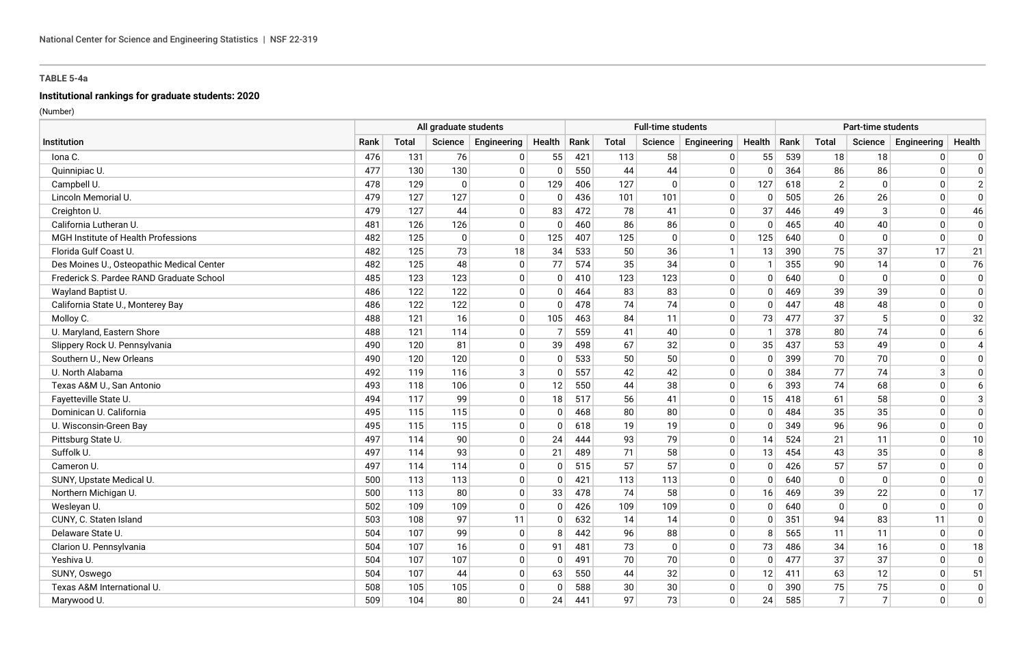# **Institutional rankings for graduate students: 2020**

|                                           | All graduate students |              |             |              |              |      |              | <b>Full-time students</b> |              |              | Part-time students |                |                |              |                |  |
|-------------------------------------------|-----------------------|--------------|-------------|--------------|--------------|------|--------------|---------------------------|--------------|--------------|--------------------|----------------|----------------|--------------|----------------|--|
| Institution                               | Rank                  | <b>Total</b> | Science     | Engineering  | Health       | Rank | <b>Total</b> | Science                   | Engineering  | Health       | Rank               | <b>Total</b>   | Science        | Engineering  | Health         |  |
| lona C.                                   | 476                   | 131          | 76          | 0            | 55           | 421  | 113          | 58                        | 0            | 55           | 539                | 18             | 18             | $\mathbf{0}$ | 0              |  |
| Quinnipiac U.                             | 477                   | 130          | 130         | $\mathbf 0$  | $\mathbf{0}$ | 550  | 44           | 44                        | $\mathbf 0$  | $\Omega$     | 364                | 86             | 86             | $\mathbf{0}$ | 0              |  |
| Campbell U.                               | 478                   | 129          | $\mathbf 0$ | $\mathbf 0$  | 129          | 406  | 127          | $\Omega$                  | $\mathbf 0$  | 127          | 618                | 2              | $\mathbf 0$    | $\mathbf{0}$ | $\overline{2}$ |  |
| Lincoln Memorial U                        | 479                   | 127          | 127         | $\Omega$     | $\mathbf{0}$ | 436  | 101          | 101                       | $\Omega$     | $\Omega$     | 505                | 26             | 26             | $\Omega$     | $\Omega$       |  |
| Creighton U.                              | 479                   | 127          | 44          | $\mathbf 0$  | 83           | 472  | 78           | 41                        | $\mathbf 0$  | 37           | 446                | 49             | 3              | $\Omega$     | 46             |  |
| California Lutheran U.                    | 481                   | 126          | 126         | $\Omega$     | $\mathbf{0}$ | 460  | 86           | 86                        | $\mathbf 0$  | $\Omega$     | 465                | 40             | 40             | $\Omega$     | $\Omega$       |  |
| MGH Institute of Health Professions       | 482                   | 125          | $\mathbf 0$ | $\mathbf 0$  | 125          | 407  | 125          | $\mathbf{0}$              | $\mathbf 0$  | 125          | 640                | 0              | $\mathbf 0$    | $\mathbf 0$  | $\Omega$       |  |
| Florida Gulf Coast U.                     | 482                   | 125          | 73          | 18           | 34           | 533  | 50           | 36                        | $\mathbf{1}$ | 13           | 390                | 75             | 37             | 17           | 21             |  |
| Des Moines U., Osteopathic Medical Center | 482                   | 125          | 48          | $\mathbf 0$  | 77           | 574  | 35           | 34                        | $\mathbf 0$  | -1           | 355                | 90             | 14             | $\mathbf{0}$ | 76             |  |
| Frederick S. Pardee RAND Graduate School  | 485                   | 123          | 123         | $\mathbf 0$  | $\mathbf{0}$ | 410  | 123          | 123                       | $\mathbf 0$  | $\Omega$     | 640                | $\Omega$       | $\Omega$       | $\mathbf{0}$ | $\mathbf 0$    |  |
| Wayland Baptist U.                        | 486                   | 122          | 122         | $\Omega$     | $\Omega$     | 464  | 83           | 83                        | $\mathbf 0$  | $\Omega$     | 469                | 39             | 39             | $\Omega$     | $\Omega$       |  |
| California State U., Monterey Bay         | 486                   | 122          | 122         | $\mathbf 0$  | $\mathbf{0}$ | 478  | 74           | 74                        | $\mathbf 0$  | $\Omega$     | 447                | 48             | 48             | $\mathbf{0}$ | $\mathbf 0$    |  |
| Molloy C.                                 | 488                   | 121          | 16          | $\mathbf{0}$ | 105          | 463  | 84           | 11                        | 0            | 73           | 477                | 37             | 5              | $\mathbf{0}$ | 32             |  |
| U. Maryland, Eastern Shore                | 488                   | 121          | 114         | 0            | 7            | 559  | 41           | 40                        | 0            | $\mathbf{1}$ | 378                | 80             | 74             | 0            | 6              |  |
| Slippery Rock U. Pennsylvania             | 490                   | 120          | 81          | $\mathbf 0$  | 39           | 498  | 67           | 32                        | $\mathbf 0$  | 35           | 437                | 53             | 49             | $\Omega$     | $\overline{4}$ |  |
| Southern U., New Orleans                  | 490                   | 120          | 120         | $\mathbf 0$  | $\mathbf{0}$ | 533  | 50           | 50                        | $\mathbf 0$  | $\Omega$     | 399                | 70             | 70             | $\mathbf{0}$ | $\mathbf 0$    |  |
| U. North Alabama                          | 492                   | 119          | 116         | 3            | $\mathbf{0}$ | 557  | 42           | 42                        | $\mathbf 0$  | $\Omega$     | 384                | 77             | 74             | 3            | $\Omega$       |  |
| Texas A&M U., San Antonio                 | 493                   | 118          | 106         | $\Omega$     | 12           | 550  | 44           | 38                        | $\mathbf 0$  | -6           | 393                | 74             | 68             | $\Omega$     | 6              |  |
| Fayetteville State U.                     | 494                   | 117          | 99          | $\mathbf 0$  | 18           | 517  | 56           | 41                        | $\pmb{0}$    | 15           | 418                | 61             | 58             | $\Omega$     | 3              |  |
| Dominican U. California                   | 495                   | 115          | 115         | $\mathbf{0}$ | $\mathbf{0}$ | 468  | 80           | 80                        | 0            | $\Omega$     | 484                | 35             | 35             | $\Omega$     | $\Omega$       |  |
| U. Wisconsin-Green Bay                    | 495                   | 115          | 115         | $\mathbf 0$  | $\mathbf{0}$ | 618  | 19           | 19                        | $\mathbf 0$  | $\Omega$     | 349                | 96             | 96             | $\mathbf{0}$ | $\mathbf 0$    |  |
| Pittsburg State U.                        | 497                   | 114          | 90          | $\mathbf 0$  | 24           | 444  | 93           | 79                        | $\mathbf 0$  | 14           | 524                | 21             | 11             | $\mathbf{0}$ | 10             |  |
| Suffolk U.                                | 497                   | 114          | 93          | $\mathbf 0$  | 21           | 489  | 71           | 58                        | $\mathbf 0$  | 13           | 454                | 43             | 35             | $\Omega$     | 8              |  |
| Cameron U.                                | 497                   | 114          | 114         | $\Omega$     | $\Omega$     | 515  | 57           | 57                        | $\mathbf 0$  | $\Omega$     | 426                | 57             | 57             | $\mathbf{0}$ | $\mathbf 0$    |  |
| SUNY, Upstate Medical U.                  | 500                   | 113          | 113         | $\mathbf 0$  | $\mathbf{0}$ | 421  | 113          | 113                       | $\mathbf 0$  | $\Omega$     | 640                | $\mathbf 0$    | $\Omega$       | $\mathbf{0}$ | $\mathbf 0$    |  |
| Northern Michigan U.                      | 500                   | 113          | 80          | $\Omega$     | 33           | 478  | 74           | 58                        | $\mathbf 0$  | 16           | 469                | 39             | 22             | $\mathbf{0}$ | 17             |  |
| Wesleyan U.                               | 502                   | 109          | 109         | $\Omega$     | $\mathbf{0}$ | 426  | 109          | 109                       | $\Omega$     | $\Omega$     | 640                | $\mathbf{0}$   | $\Omega$       | $\Omega$     | $\mathbf 0$    |  |
| CUNY, C. Staten Island                    | 503                   | 108          | 97          | 11           | $\mathbf{0}$ | 632  | 14           | 14                        | $\mathbf 0$  | $\Omega$     | 351                | 94             | 83             | 11           | $\mathbf 0$    |  |
| Delaware State U.                         | 504                   | 107          | 99          | $\Omega$     | 8            | 442  | 96           | 88                        | $\Omega$     | 8            | 565                | 11             | 11             | $\Omega$     | $\mathbf 0$    |  |
| Clarion U. Pennsylvania                   | 504                   | 107          | 16          | $\mathbf 0$  | 91           | 481  | 73           | $\Omega$                  | $\mathbf 0$  | 73           | 486                | 34             | 16             | $\mathbf{0}$ | 18             |  |
| Yeshiva U.                                | 504                   | 107          | 107         | $\Omega$     | $\mathbf{0}$ | 491  | 70           | 70                        | $\mathbf 0$  | $\Omega$     | 477                | 37             | 37             | $\Omega$     | $\Omega$       |  |
| SUNY, Oswego                              | 504                   | 107          | 44          | $\mathbf 0$  | 63           | 550  | 44           | 32                        | $\mathbf 0$  | 12           | 411                | 63             | 12             | $\mathbf{0}$ | 51             |  |
| Texas A&M International U.                | 508                   | 105          | 105         | $\mathbf 0$  | $\Omega$     | 588  | 30           | 30                        | $\mathbf 0$  | $\Omega$     | 390                | 75             | 75             | $\mathbf{0}$ | $\Omega$       |  |
| Marywood U.                               | 509                   | 104          | 80          | $\mathbf{0}$ | 24           | 441  | 97           | 73                        | $\Omega$     | 24           | 585                | 7 <sup>1</sup> | $\overline{7}$ | $\Omega$     | $\Omega$       |  |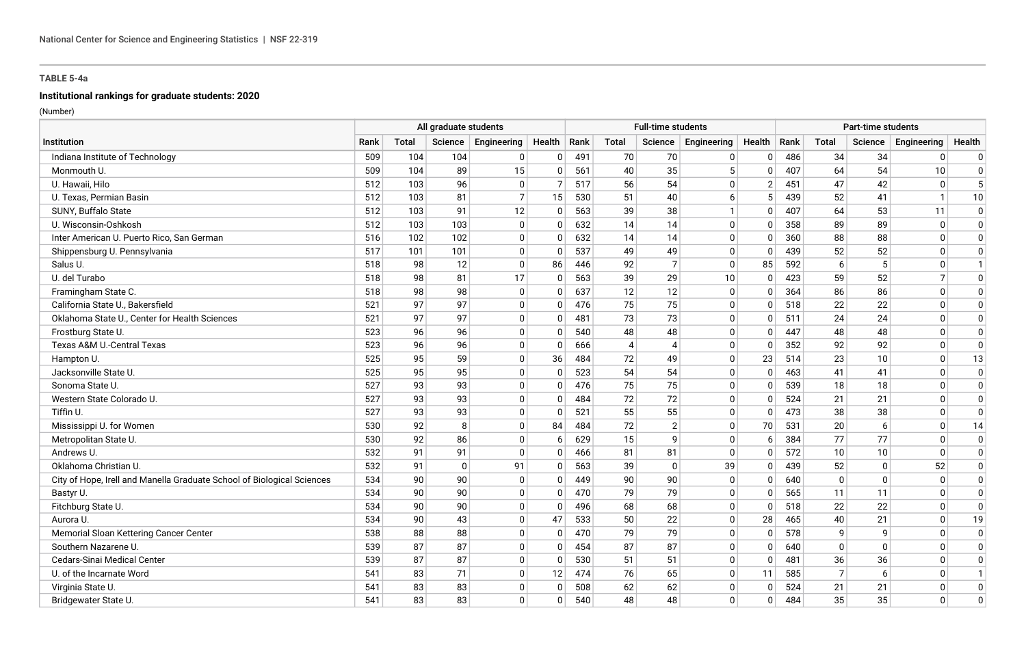# **Institutional rankings for graduate students: 2020**

|                                                                        | All graduate students |              |              |                     | <b>Full-time students</b> |     |                |                |              | Part-time students |      |                |              |                |              |
|------------------------------------------------------------------------|-----------------------|--------------|--------------|---------------------|---------------------------|-----|----------------|----------------|--------------|--------------------|------|----------------|--------------|----------------|--------------|
| Institution                                                            | Rank                  | <b>Total</b> |              | Science Engineering | Health   Rank             |     | Total          | Science        | Engineering  | Health             | Rank | Total          | Science      | Engineering    | Health       |
| Indiana Institute of Technology                                        | 509                   | 104          | 104          | 0                   | $\mathbf{0}$              | 491 | 70             | 70             | 0            | $\Omega$           | 486  | 34             | 34           | $\mathbf{0}$   | 0            |
| Monmouth U.                                                            | 509                   | 104          | 89           | 15                  | $\mathbf{0}$              | 561 | 40             | 35             | 5            | $\Omega$           | 407  | 64             | 54           | 10             | $\mathbf 0$  |
| U. Hawaii, Hilo                                                        | 512                   | 103          | 96           | $\mathbf 0$         | $\overline{7}$            | 517 | 56             | 54             | $\mathbf 0$  | $\overline{2}$     | 451  | 47             | 42           | $\mathbf 0$    | 5            |
| U. Texas, Permian Basin                                                | 512                   | 103          | 81           | $\overline{7}$      | 15                        | 530 | 51             | 40             | 6            | -5                 | 439  | 52             | 41           | $\mathbf{1}$   | 10           |
| SUNY, Buffalo State                                                    | 512                   | 103          | 91           | 12                  | $\mathbf 0$               | 563 | 39             | 38             | $\mathbf{1}$ | $\Omega$           | 407  | 64             | 53           | 11             | $\mathbf 0$  |
| U. Wisconsin-Oshkosh                                                   | 512                   | 103          | 103          | $\Omega$            | $\mathbf{0}$              | 632 | 14             | 14             | $\mathbf 0$  | $\Omega$           | 358  | 89             | 89           | $\mathbf{0}$   | $\mathbf 0$  |
| Inter American U. Puerto Rico, San German                              | 516                   | 102          | 102          | 0                   | $\mathbf{0}$              | 632 | 14             | 14             | $\mathbf 0$  | $\Omega$           | 360  | 88             | 88           | $\mathbf{0}$   | $\mathbf 0$  |
| Shippensburg U. Pennsylvania                                           | 517                   | 101          | 101          | 0                   | $\mathbf{0}$              | 537 | 49             | 49             | $\mathbf 0$  | $\Omega$           | 439  | 52             | 52           | $\mathbf{0}$   | $\mathbf 0$  |
| Salus U.                                                               | 518                   | 98           | 12           | $\mathbf 0$         | 86                        | 446 | 92             | $\overline{7}$ | $\mathbf 0$  | 85                 | 592  | 6              | 5            | $\mathbf{0}$   | -1           |
| U. del Turabo                                                          | 518                   | 98           | 81           | 17                  | $\Omega$                  | 563 | 39             | 29             | 10           | $\Omega$           | 423  | 59             | 52           | $\overline{7}$ | $\mathbf{0}$ |
| Framingham State C.                                                    | 518                   | 98           | 98           | $\mathbf 0$         | $\mathbf{0}$              | 637 | 12             | 12             | $\mathbf 0$  | $\Omega$           | 364  | 86             | 86           | $\mathbf{0}$   | 0            |
| California State U., Bakersfield                                       | 521                   | 97           | 97           | $\Omega$            | $\mathbf{0}$              | 476 | 75             | 75             | $\mathbf 0$  | $\Omega$           | 518  | 22             | 22           | $\mathbf{0}$   | $\mathbf 0$  |
| Oklahoma State U., Center for Health Sciences                          | 521                   | 97           | 97           | $\mathbf 0$         | $\mathbf 0$               | 481 | 73             | 73             | 0            | $\Omega$           | 511  | 24             | 24           | $\mathbf 0$    | 0            |
| Frostburg State U.                                                     | 523                   | 96           | 96           | $\mathbf 0$         | $\mathbf{0}$              | 540 | 48             | 48             | $\mathbf 0$  | $\Omega$           | 447  | 48             | 48           | $\Omega$       | $\mathbf 0$  |
| Texas A&M U.-Central Texas                                             | 523                   | 96           | 96           | $\mathbf 0$         | $\mathbf 0$               | 666 | $\overline{4}$ | $\overline{4}$ | $\mathbf 0$  | $\Omega$           | 352  | 92             | 92           | $\mathbf 0$    | $\mathbf 0$  |
| Hampton U.                                                             | 525                   | 95           | 59           | $\Omega$            | 36                        | 484 | 72             | 49             | $\mathbf 0$  | 23                 | 514  | 23             | 10           | $\mathbf{0}$   | 13           |
| Jacksonville State U.                                                  | 525                   | 95           | 95           | $\mathbf 0$         | $\mathbf{0}$              | 523 | 54             | 54             | 0            | $\Omega$           | 463  | 41             | 41           | $\mathbf{0}$   | $\Omega$     |
| Sonoma State U.                                                        | 527                   | 93           | 93           | $\mathbf 0$         | $\mathbf{0}$              | 476 | 75             | 75             | $\mathbf 0$  | $\Omega$           | 539  | 18             | 18           | $\Omega$       | $\Omega$     |
| Western State Colorado U.                                              | 527                   | 93           | 93           | $\Omega$            | $\mathbf{0}$              | 484 | 72             | 72             | $\mathbf 0$  | $\Omega$           | 524  | 21             | 21           | $\mathbf{0}$   | $\Omega$     |
| Tiffin U.                                                              | 527                   | 93           | 93           | $\Omega$            | $\mathbf{0}$              | 521 | 55             | 55             | $\mathbf 0$  | $\Omega$           | 473  | 38             | 38           | 0              | $\mathbf 0$  |
| Mississippi U. for Women                                               | 530                   | 92           | 8            | $\mathbf 0$         | 84                        | 484 | 72             | $\overline{2}$ | $\mathbf 0$  | 70                 | 531  | 20             | 6            | 0              | 14           |
| Metropolitan State U.                                                  | 530                   | 92           | 86           | $\mathbf 0$         | 6                         | 629 | 15             | 9              | $\mathbf 0$  | -6                 | 384  | 77             | 77           | $\mathbf 0$    | $\mathbf 0$  |
| Andrews U.                                                             | 532                   | 91           | 91           | $\Omega$            | $\Omega$                  | 466 | 81             | 81             | $\Omega$     |                    | 572  | 10             | 10           | $\Omega$       | $\mathbf{0}$ |
| Oklahoma Christian U.                                                  | 532                   | 91           | $\mathbf{0}$ | 91                  | $\mathbf{0}$              | 563 | 39             | $\Omega$       | 39           | $\Omega$           | 439  | 52             | $\Omega$     | 52             | $\mathbf 0$  |
| City of Hope, Irell and Manella Graduate School of Biological Sciences | 534                   | 90           | 90           | $\Omega$            | $\mathbf{0}$              | 449 | 90             | 90             | $\mathbf 0$  | $\Omega$           | 640  | $\Omega$       | $\mathbf{0}$ | $\mathbf{0}$   | $\mathbf 0$  |
| Bastyr U.                                                              | 534                   | 90           | 90           | $\mathbf 0$         | $\Omega$                  | 470 | 79             | 79             | $\mathbf 0$  | $\Omega$           | 565  | 11             | 11           | $\mathbf{0}$   | $\mathbf 0$  |
| Fitchburg State U.                                                     | 534                   | 90           | 90           | $\mathbf{0}$        | 0                         | 496 | 68             | 68             | $\Omega$     | $\Omega$           | 518  | 22             | 22           | $\Omega$       | $\mathbf 0$  |
| Aurora U.                                                              | 534                   | 90           | 43           | $\mathbf 0$         | 47                        | 533 | 50             | 22             | $\mathbf 0$  | 28                 | 465  | 40             | 21           | $\mathbf{0}$   | 19           |
| Memorial Sloan Kettering Cancer Center                                 | 538                   | 88           | 88           | $\Omega$            | $\mathbf{0}$              | 470 | 79             | 79             | $\mathbf 0$  | $\Omega$           | 578  | q              | 9            | $\Omega$       | $\mathbf 0$  |
| Southern Nazarene U.                                                   | 539                   | 87           | 87           | $\mathbf 0$         | $\mathbf{0}$              | 454 | 87             | 87             | $\mathbf 0$  | $\Omega$           | 640  | $\Omega$       | $\Omega$     | $\Omega$       | $\Omega$     |
| <b>Cedars-Sinai Medical Center</b>                                     | 539                   | 87           | 87           | $\Omega$            | $\mathbf{0}$              | 530 | 51             | 51             | $\mathbf 0$  | $\Omega$           | 481  | 36             | 36           | $\Omega$       | $\Omega$     |
| U. of the Incarnate Word                                               | 541                   | 83           | 71           | $\mathbf 0$         | 12                        | 474 | 76             | 65             | 0            | 11                 | 585  | $\overline{7}$ | 6            | $\mathbf{0}$   |              |
| Virginia State U.                                                      | 541                   | 83           | 83           | $\mathbf 0$         | $\Omega$                  | 508 | 62             | 62             | $\mathbf 0$  | $\Omega$           | 524  | 21             | 21           | $\mathbf 0$    | $\Omega$     |
| Bridgewater State U.                                                   | 541                   | 83           | 83           | $\Omega$            | $\mathbf{0}$              | 540 | 48             | 48             | $\Omega$     | $\Omega$           | 484  | 35             | 35           | $\Omega$       | $\mathbf{0}$ |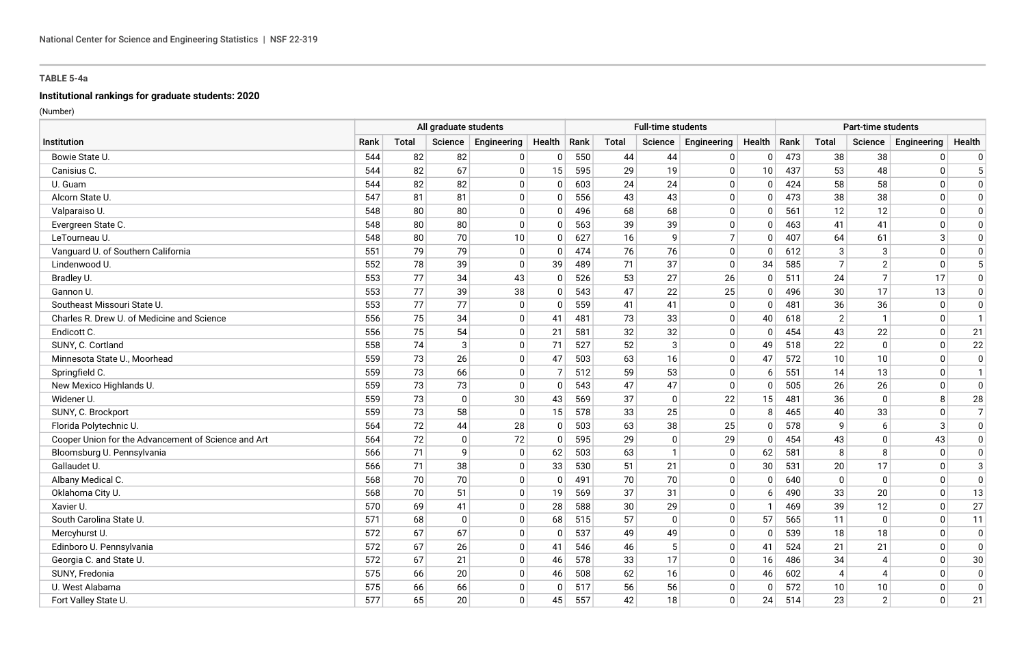# **Institutional rankings for graduate students: 2020**

|                                                     | All graduate students |              |              |                     | <b>Full-time students</b> |     |       |              |                | Part-time students |      |                |                          |              |                |
|-----------------------------------------------------|-----------------------|--------------|--------------|---------------------|---------------------------|-----|-------|--------------|----------------|--------------------|------|----------------|--------------------------|--------------|----------------|
| Institution                                         | Rank                  | <b>Total</b> |              | Science Engineering | Health   Rank             |     | Total | Science      | Engineering    | Health             | Rank | Total          | Science                  | Engineering  | Health         |
| Bowie State U.                                      | 544                   | 82           | 82           | 0                   | $\mathbf{0}$              | 550 | 44    | 44           | 0              | $\Omega$           | 473  | 38             | 38                       | $\mathbf{0}$ | 0              |
| Canisius C.                                         | 544                   | 82           | 67           | $\Omega$            | 15                        | 595 | 29    | 19           | $\Omega$       | 10                 | 437  | 53             | 48                       | $\mathbf{0}$ | 5              |
| U. Guam                                             | 544                   | 82           | 82           | $\mathbf 0$         | $\mathbf{0}$              | 603 | 24    | 24           | $\mathbf 0$    | $\Omega$           | 424  | 58             | 58                       | $\mathbf{0}$ | $\Omega$       |
| Alcorn State U.                                     | 547                   | 81           | 81           | $\Omega$            | $\mathbf{0}$              | 556 | 43    | 43           | $\mathbf 0$    | $\Omega$           | 473  | 38             | 38                       | $\Omega$     | $\Omega$       |
| Valparaiso U.                                       | 548                   | 80           | 80           | $\mathbf 0$         | $\mathbf 0$               | 496 | 68    | 68           | $\pmb{0}$      | $\Omega$           | 561  | 12             | 12                       | $\mathbf 0$  | $\Omega$       |
| Evergreen State C.                                  | 548                   | 80           | 80           | $\Omega$            | $\mathbf{0}$              | 563 | 39    | 39           | $\mathbf 0$    | $\Omega$           | 463  | 41             | 41                       | $\mathbf{0}$ | $\mathbf{0}$   |
| LeTourneau U.                                       | 548                   | 80           | 70           | 10                  | $\mathbf{0}$              | 627 | 16    | 9            | $\overline{7}$ | $\Omega$           | 407  | 64             | 61                       | 3            | $\mathbf{0}$   |
| Vanguard U. of Southern California                  | 551                   | 79           | 79           | 0                   | $\mathbf{0}$              | 474 | 76    | 76           | $\mathbf 0$    | $\Omega$           | 612  | 3              | 3                        | $\Omega$     | $\mathbf{0}$   |
| Lindenwood U.                                       | 552                   | 78           | 39           | $\mathbf 0$         | 39                        | 489 | 71    | 37           | $\mathbf 0$    | 34                 | 585  | $\overline{7}$ | $\overline{2}$           | $\Omega$     | 5              |
| Bradley U.                                          | 553                   | 77           | 34           | 43                  | $\Omega$                  | 526 | 53    | 27           | 26             | $\Omega$           | 511  | 24             | $\overline{7}$           | 17           | $\mathbf 0$    |
| Gannon U.                                           | 553                   | 77           | 39           | 38                  | $\mathbf{0}$              | 543 | 47    | 22           | 25             | $\Omega$           | 496  | 30             | 17                       | 13           | $\mathbf 0$    |
| Southeast Missouri State U.                         | 553                   | 77           | 77           | $\mathbf 0$         | $\mathbf{0}$              | 559 | 41    | 41           | $\mathbf 0$    | $\Omega$           | 481  | 36             | 36                       | $\mathbf 0$  | $\pmb{0}$      |
| Charles R. Drew U. of Medicine and Science          | 556                   | 75           | 34           | $\mathbf 0$         | 41                        | 481 | 73    | 33           | 0              | 40                 | 618  | $\overline{2}$ | $\mathbf{1}$             | $\mathbf{0}$ | $\mathbf{1}$   |
| Endicott C.                                         | 556                   | 75           | 54           | $\mathbf 0$         | 21                        | 581 | 32    | 32           | $\mathbf 0$    | $\Omega$           | 454  | 43             | 22                       | $\mathbf{0}$ | 21             |
| SUNY, C. Cortland                                   | 558                   | 74           | 3            | 0                   | 71                        | 527 | 52    | 3            | 0              | 49                 | 518  | 22             | $\mathbf 0$              | $\mathbf{0}$ | 22             |
| Minnesota State U., Moorhead                        | 559                   | 73           | 26           | $\mathbf 0$         | 47                        | 503 | 63    | 16           | $\mathbf 0$    | 47                 | 572  | 10             | 10                       | $\mathbf{0}$ | $\mathbf 0$    |
| Springfield C.                                      | 559                   | 73           | 66           | $\mathbf 0$         | 7                         | 512 | 59    | 53           | $\mathbf 0$    | -6                 | 551  | 14             | 13                       | $\mathbf{0}$ | $\mathbf{1}$   |
| New Mexico Highlands U.                             | 559                   | 73           | 73           | $\Omega$            | $\mathbf{0}$              | 543 | 47    | 47           | $\mathbf 0$    | $\Omega$           | 505  | 26             | 26                       | $\mathbf{0}$ | $\mathbf 0$    |
| Widener U.                                          | 559                   | 73           | $\mathbf{0}$ | 30                  | 43                        | 569 | 37    | $\mathbf{0}$ | 22             | 15                 | 481  | 36             | $\mathbf{0}$             | 8            | 28             |
| SUNY, C. Brockport                                  | 559                   | 73           | 58           | $\mathbf 0$         | 15                        | 578 | 33    | 25           | $\mathbf 0$    | 8                  | 465  | 40             | 33                       | 0            | $\overline{7}$ |
| Florida Polytechnic U.                              | 564                   | 72           | 44           | 28                  | $\mathbf{0}$              | 503 | 63    | 38           | 25             | $\Omega$           | 578  | q              | 6                        | 3            | $\mathbf{0}$   |
| Cooper Union for the Advancement of Science and Art | 564                   | 72           | $\mathbf 0$  | 72                  | $\mathbf{0}$              | 595 | 29    | $\mathbf{0}$ | 29             | $\Omega$           | 454  | 43             | $\mathbf 0$              | 43           | $\mathbf 0$    |
| Bloomsburg U. Pennsylvania                          | 566                   | 71           | 9            | $\Omega$            | 62                        | 503 | 63    | $\mathbf 1$  | $\Omega$       | 62                 | 581  | 8              | -8                       | $\Omega$     | $\mathbf{0}$   |
| Gallaudet U.                                        | 566                   | 71           | 38           | $\Omega$            | 33                        | 530 | 51    | 21           | $\mathbf 0$    | 30                 | 531  | 20             | 17                       | 0            | $\mathbf{3}$   |
| Albany Medical C.                                   | 568                   | 70           | 70           | $\Omega$            | $\mathbf{0}$              | 491 | 70    | 70           | $\mathbf 0$    | $\Omega$           | 640  | $\mathbf{0}$   | $\Omega$                 | $\mathbf{0}$ | $\mathbf 0$    |
| Oklahoma City U.                                    | 568                   | 70           | 51           | $\mathbf 0$         | 19                        | 569 | 37    | 31           | $\mathbf 0$    | -6                 | 490  | 33             | 20                       | $\mathbf{0}$ | 13             |
| Xavier U.                                           | 570                   | 69           | 41           | $\mathbf{0}$        | 28                        | 588 | 30    | 29           | $\Omega$       | -1                 | 469  | 39             | 12                       | $\mathbf{0}$ | 27             |
| South Carolina State U                              | 571                   | 68           | $\mathbf 0$  | $\mathbf 0$         | 68                        | 515 | 57    | $\mathbf{0}$ | $\mathbf 0$    | 57                 | 565  | 11             | $\Omega$                 | $\mathbf{0}$ | 11             |
| Mercyhurst U.                                       | 572                   | 67           | 67           | $\Omega$            | $\Omega$                  | 537 | 49    | 49           | $\mathbf 0$    | $\Omega$           | 539  | 18             | 18                       | $\Omega$     | $\mathbf 0$    |
| Edinboro U. Pennsylvania                            | 572                   | 67           | 26           | $\mathbf 0$         | 41                        | 546 | 46    | 5            | $\mathbf 0$    | 41                 | 524  | 21             | 21                       | $\Omega$     | $\mathbf 0$    |
| Georgia C. and State U.                             | 572                   | 67           | 21           | $\mathbf 0$         | 46                        | 578 | 33    | 17           | $\mathbf 0$    | 16                 | 486  | 34             | $\boldsymbol{\varDelta}$ | $\Omega$     | 30             |
| SUNY, Fredonia                                      | 575                   | 66           | 20           | $\mathbf 0$         | 46                        | 508 | 62    | 16           | 0              | 46                 | 602  | $\overline{4}$ | 4                        | $\mathbf{0}$ | $\mathbf 0$    |
| U. West Alabama                                     | 575                   | 66           | 66           | $\mathbf 0$         | $\Omega$                  | 517 | 56    | 56           | $\mathbf 0$    | $\Omega$           | 572  | 10             | 10                       | $\mathbf{0}$ | $\Omega$       |
| Fort Valley State U.                                | 577                   | 65           | 20           | $\mathbf{0}$        | 45                        | 557 | 42    | 18           | $\Omega$       | 24                 | 514  | 23             | $\overline{2}$           | $\Omega$     | 21             |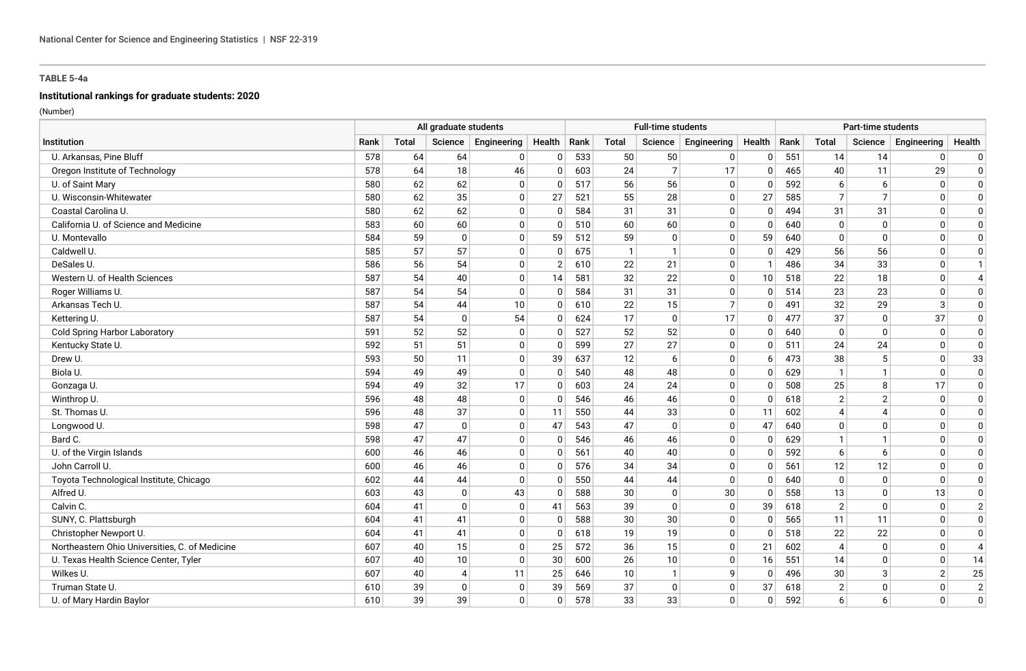# **Institutional rankings for graduate students: 2020**

|                                                | All graduate students |              |              |             |                |     | <b>Full-time students</b> |                |                |          |      | Part-time students       |                          |                |                |  |  |  |
|------------------------------------------------|-----------------------|--------------|--------------|-------------|----------------|-----|---------------------------|----------------|----------------|----------|------|--------------------------|--------------------------|----------------|----------------|--|--|--|
| Institution                                    | Rank                  | <b>Total</b> | Science      | Engineering | Health   Rank  |     | Total                     | Science        | Engineering    | Health   | Rank | <b>Total</b>             | Science                  | Engineering    | Health         |  |  |  |
| U. Arkansas, Pine Bluff                        | 578                   | 64           | 64           | 0           | $\mathbf{0}$   | 533 | 50                        | 50             | 0              | O        | 551  | 14                       | 14                       | $\mathbf{0}$   | $\mathbf 0$    |  |  |  |
| Oregon Institute of Technology                 | 578                   | 64           | 18           | 46          | $\mathbf{0}$   | 603 | 24                        | $\overline{7}$ | 17             | $\Omega$ | 465  | 40                       | 11                       | 29             | $\mathbf 0$    |  |  |  |
| U. of Saint Mary                               | 580                   | 62           | 62           | $\mathbf 0$ | $\overline{0}$ | 517 | 56                        | 56             | $\Omega$       | $\Omega$ | 592  | 6                        | 6                        | $\mathbf{0}$   | $\Omega$       |  |  |  |
| U. Wisconsin-Whitewater                        | 580                   | 62           | 35           | $\mathbf 0$ | 27             | 521 | 55                        | 28             | $\mathbf 0$    | 27       | 585  | $\overline{7}$           | $\overline{7}$           | $\mathbf{0}$   | $\Omega$       |  |  |  |
| Coastal Carolina U.                            | 580                   | 62           | 62           | $\mathbf 0$ | $\overline{0}$ | 584 | 31                        | 31             | $\mathbf 0$    | $\Omega$ | 494  | 31                       | 31                       | $\Omega$       | $\Omega$       |  |  |  |
| California U. of Science and Medicine          | 583                   | 60           | 60           | $\mathbf 0$ | $\mathbf 0$    | 510 | 60                        | 60             | $\mathbf 0$    | $\Omega$ | 640  | $\mathbf{0}$             | $\mathbf 0$              | $\mathbf{0}$   | 0              |  |  |  |
| U. Montevallo                                  | 584                   | 59           | $\mathbf{0}$ | $\mathbf 0$ | 59             | 512 | 59                        | $\mathbf{0}$   | 0              | 59       | 640  | $\Omega$                 | $\mathbf{0}$             | $\mathbf{0}$   | $\Omega$       |  |  |  |
| Caldwell U.                                    | 585                   | 57           | 57           | $\mathbf 0$ | $\mathbf{0}$   | 675 | $\mathbf{1}$              | -1             | $\mathbf 0$    | $\Omega$ | 429  | 56                       | 56                       | $\mathbf 0$    | $\Omega$       |  |  |  |
| DeSales U.                                     | 586                   | 56           | 54           | $\mathbf 0$ | $\overline{2}$ | 610 | 22                        | 21             | $\mathbf 0$    | -1       | 486  | 34                       | 33                       | $\mathbf{0}$   |                |  |  |  |
| Western U. of Health Sciences                  | 587                   | 54           | 40           | $\mathbf 0$ | 14             | 581 | 32                        | 22             | $\mathbf 0$    | 10       | 518  | 22                       | 18                       | $\Omega$       | $\overline{4}$ |  |  |  |
| Roger Williams U.                              | 587                   | 54           | 54           | $\mathbf 0$ | $\overline{0}$ | 584 | 31                        | 31             | $\mathbf 0$    | $\Omega$ | 514  | 23                       | 23                       | $\Omega$       | 0              |  |  |  |
| Arkansas Tech U.                               | 587                   | 54           | 44           | 10          | $\overline{0}$ | 610 | 22                        | 15             | $\overline{7}$ | $\Omega$ | 491  | 32                       | 29                       | 3              | $\mathbf 0$    |  |  |  |
| Kettering U.                                   | 587                   | 54           | $\mathbf{0}$ | 54          | $\mathbf{0}$   | 624 | 17                        | $\mathbf{0}$   | 17             | n        | 477  | 37                       | $\mathbf{0}$             | 37             | $\mathbf 0$    |  |  |  |
| <b>Cold Spring Harbor Laboratory</b>           | 591                   | 52           | 52           | $\mathbf 0$ | $\mathbf{0}$   | 527 | 52                        | 52             | $\mathbf 0$    | $\Omega$ | 640  | $\Omega$                 | $\mathbf{0}$             | $\mathbf{0}$   | $\mathbf 0$    |  |  |  |
| Kentucky State U.                              | 592                   | 51           | 51           | $\mathbf 0$ | $\mathbf{0}$   | 599 | 27                        | 27             | 0              | $\Omega$ | 511  | 24                       | 24                       | 0              | $\mathbf 0$    |  |  |  |
| Drew U.                                        | 593                   | 50           | 11           | $\mathbf 0$ | 39             | 637 | 12                        | 6              | $\mathbf 0$    | 6        | 473  | 38                       | 5                        | $\Omega$       | 33             |  |  |  |
| Biola U.                                       | 594                   | 49           | 49           | $\mathbf 0$ | 0              | 540 | 48                        | 48             | $\mathbf 0$    | n        | 629  | $\mathbf{1}$             | $\mathbf 1$              | $\mathbf{0}$   | $\Omega$       |  |  |  |
| Gonzaga U.                                     | 594                   | 49           | 32           | 17          | $\overline{0}$ | 603 | 24                        | 24             | $\mathbf 0$    |          | 508  | 25                       | 8                        | 17             | $\Omega$       |  |  |  |
| Winthrop U.                                    | 596                   | 48           | 48           | 0           | $\mathbf 0$    | 546 | 46                        | 46             | $\mathbf 0$    | $\Omega$ | 618  | $\overline{2}$           | $\overline{2}$           | 0              | $\Omega$       |  |  |  |
| St. Thomas U.                                  | 596                   | 48           | 37           | $\mathbf 0$ | 11             | 550 | 44                        | 33             | $\mathbf 0$    | 11       | 602  | $\boldsymbol{\varDelta}$ | $\boldsymbol{\varDelta}$ | $\Omega$       | $\Omega$       |  |  |  |
| Longwood U.                                    | 598                   | 47           | $\mathbf 0$  | $\mathbf 0$ | 47             | 543 | 47                        | 0              | $\mathbf 0$    | 47       | 640  | $\Omega$                 | $\mathbf{0}$             | 0              | 0              |  |  |  |
| Bard C.                                        | 598                   | 47           | 47           | $\mathbf 0$ | $\mathbf{0}$   | 546 | 46                        | 46             | $\mathbf 0$    | $\Omega$ | 629  |                          | $\mathbf{1}$             | $\mathbf{0}$   | $\mathbf{0}$   |  |  |  |
| U. of the Virgin Islands                       | 600                   | 46           | 46           | $\mathbf 0$ | $\mathbf{0}$   | 561 | 40                        | 40             | $\mathbf 0$    |          | 592  | 6                        | 6                        | $\Omega$       | $\Omega$       |  |  |  |
| John Carroll U.                                | 600                   | 46           | 46           | $\Omega$    | $\Omega$       | 576 | 34                        | 34             | $\Omega$       |          | 561  | 12                       | 12                       | n              | $\mathbf{0}$   |  |  |  |
| Toyota Technological Institute, Chicago        | 602                   | 44           | 44           | $\mathbf 0$ | $\overline{0}$ | 550 | 44                        | 44             | $\Omega$       | $\Omega$ | 640  | $\mathbf{0}$             | $\mathbf 0$              | $\Omega$       | $\mathbf 0$    |  |  |  |
| Alfred U.                                      | 603                   | 43           | $\mathbf{0}$ | 43          | $\mathbf{0}$   | 588 | 30                        | $\mathbf{0}$   | 30             | n        | 558  | 13                       | $\mathbf{0}$             | 13             | $\mathbf 0$    |  |  |  |
| Calvin C.                                      | 604                   | 41           | $\mathbf{0}$ | $\mathbf 0$ | 41             | 563 | 39                        | $\mathbf 0$    | $\mathbf 0$    | 39       | 618  | $\overline{2}$           | $\mathbf{0}$             | $\mathbf{0}$   | $\overline{2}$ |  |  |  |
| SUNY, C. Plattsburgh                           | 604                   | 41           | 41           | $\mathbf 0$ | $\mathbf{0}$   | 588 | 30                        | 30             | 0              | $\Omega$ | 565  | 11                       | 11                       | $\mathbf{0}$   | $\mathbf 0$    |  |  |  |
| Christopher Newport U.                         | 604                   | 41           | 41           | $\mathbf 0$ | $\mathbf{0}$   | 618 | 19                        | 19             | $\mathbf 0$    | $\Omega$ | 518  | 22                       | 22                       | $\mathbf{0}$   | $\mathbf 0$    |  |  |  |
| Northeastern Ohio Universities, C. of Medicine | 607                   | 40           | 15           | $\Omega$    | 25             | 572 | 36                        | 15             | $\Omega$       | 21       | 602  | $\boldsymbol{\Delta}$    | $\mathbf{0}$             | $\Omega$       | $\overline{4}$ |  |  |  |
| U. Texas Health Science Center, Tyler          | 607                   | 40           | 10           | $\mathbf 0$ | 30             | 600 | 26                        | 10             | $\mathbf 0$    | 16       | 551  | 14                       | $\mathbf{0}$             | $\mathbf{0}$   | 14             |  |  |  |
| Wilkes U.                                      | 607                   | 40           | 4            | 11          | 25             | 646 | 10                        |                | 9              | $\Omega$ | 496  | 30                       | 3                        | $\overline{2}$ | 25             |  |  |  |
| Truman State U.                                | 610                   | 39           | $\mathbf 0$  | $\mathbf 0$ | 39             | 569 | 37                        | $\mathbf{0}$   | $\mathbf 0$    | 37       | 618  | $\overline{2}$           | $\mathbf 0$              | $\mathbf{0}$   | $\overline{2}$ |  |  |  |
| U. of Mary Hardin Baylor                       | 610                   | 39           | 39           | $\Omega$    | $\mathbf{0}$   | 578 | 33                        | 33             | $\Omega$       | O        | 592  | 6                        | 6                        | $\Omega$       | 0              |  |  |  |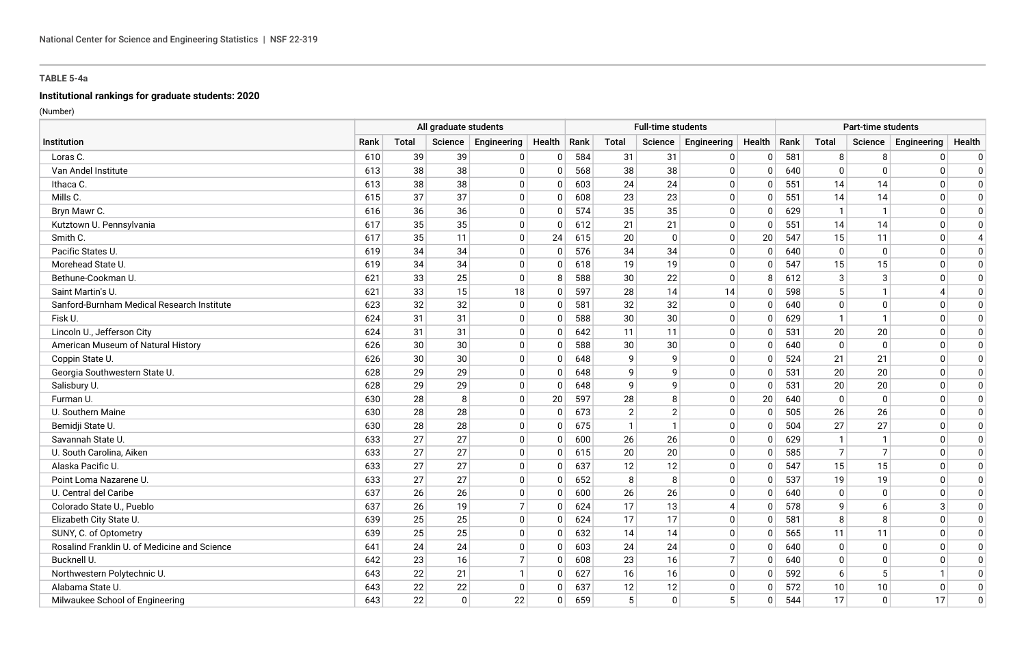# **Institutional rankings for graduate students: 2020**

|                                              | All graduate students |              |          |                |                |     | <b>Full-time students</b> |                |                |          |      | Part-time students |                |              |              |  |  |  |
|----------------------------------------------|-----------------------|--------------|----------|----------------|----------------|-----|---------------------------|----------------|----------------|----------|------|--------------------|----------------|--------------|--------------|--|--|--|
| Institution                                  | Rank                  | <b>Total</b> | Science  | Engineering    | Health   Rank  |     | Total                     | Science        | Engineering    | Health   | Rank | Total              | Science        | Engineering  | Health       |  |  |  |
| Loras C.                                     | 610                   | 39           | 39       | $\overline{0}$ | $\overline{0}$ | 584 | 31                        | 31             | 0              | $\Omega$ | 581  | 8                  | 8              | $\mathbf 0$  | $\mathbf{0}$ |  |  |  |
| Van Andel Institute                          | 613                   | 38           | 38       | $\Omega$       | $\mathbf{0}$   | 568 | 38                        | 38             | 0              | 0        | 640  | $\mathbf{0}$       | $\Omega$       | $\mathbf{0}$ | $\mathbf{0}$ |  |  |  |
| Ithaca C.                                    | 613                   | 38           | 38       | $\overline{0}$ | $\Omega$       | 603 | 24                        | 24             | 0              | $\Omega$ | 551  | 14                 | 14             | $\Omega$     | $\Omega$     |  |  |  |
| Mills C.                                     | 615                   | 37           | 37       | $\overline{0}$ | $\overline{0}$ | 608 | 23                        | 23             | 0              | $\Omega$ | 551  | 14                 | 14             | $\mathbf{0}$ | $\mathbf{0}$ |  |  |  |
| Bryn Mawr C.                                 | 616                   | 36           | 36       | $\overline{0}$ | $\mathbf 0$    | 574 | 35                        | 35             | 0              | 0        | 629  | $\mathbf{1}$       | $\mathbf{1}$   | $\mathbf{0}$ | $\Omega$     |  |  |  |
| Kutztown U. Pennsylvania                     | 617                   | 35           | 35       | $\overline{0}$ | 0              | 612 | 21                        | 21             | 0              | 0        | 551  | 14                 | 14             | $\mathbf{0}$ | 0            |  |  |  |
| Smith C.                                     | 617                   | 35           | 11       | $\overline{0}$ | 24             | 615 | 20                        | $\mathbf{0}$   | 0              | 20       | 547  | 15                 | 11             | $\mathbf{0}$ |              |  |  |  |
| Pacific States U.                            | 619                   | 34           | 34       | $\overline{0}$ | 0              | 576 | 34                        | 34             | 0              | 0        | 640  | $\mathbf 0$        | $\mathbf{0}$   | $\mathbf{0}$ | 0            |  |  |  |
| Morehead State U.                            | 619                   | 34           | 34       | $\overline{0}$ | $\Omega$       | 618 | 19                        | 19             | $\mathbf 0$    | 0        | 547  | 15                 | 15             | $\Omega$     | $\Omega$     |  |  |  |
| Bethune-Cookman U.                           | 621                   | 33           | 25       | $\overline{0}$ | 8              | 588 | 30                        | 22             | $\mathbf 0$    | 8        | 612  | 3                  | 3              | $\Omega$     | $\mathbf{0}$ |  |  |  |
| Saint Martin's U.                            | 621                   | 33           | 15       | 18             | $\overline{0}$ | 597 | 28                        | 14             | 14             | $\Omega$ | 598  | 5                  |                |              | $\mathbf 0$  |  |  |  |
| Sanford-Burnham Medical Research Institute   | 623                   | 32           | 32       | $\mathbf{0}$   | 0              | 581 | 32                        | 32             | 0              | $\Omega$ | 640  | $\mathbf 0$        | $\Omega$       | $\mathbf{0}$ | $\mathbf 0$  |  |  |  |
| Fisk U.                                      | 624                   | 31           | 31       | $\overline{0}$ | $\Omega$       | 588 | 30                        | 30             | 0              | $\Omega$ | 629  | $\mathbf{1}$       | $\mathbf{1}$   | $\Omega$     | $\mathbf 0$  |  |  |  |
| Lincoln U., Jefferson City                   | 624                   | 31           | 31       | $\mathbf{0}$   | 0              | 642 | 11                        | 11             | 0              | 0        | 531  | 20                 | 20             | $\mathbf{0}$ | 0            |  |  |  |
| American Museum of Natural History           | 626                   | 30           | 30       | $\overline{0}$ | 0              | 588 | 30                        | 30             | $\mathbf 0$    | 0        | 640  | $\mathbf{0}$       | $\mathbf{0}$   | $\Omega$     | $\mathbf 0$  |  |  |  |
| Coppin State U.                              | 626                   | 30           | 30       | $\overline{0}$ | 0              | 648 | 9                         | 9              | 0              | 0        | 524  | 21                 | 21             | $\Omega$     | $\Omega$     |  |  |  |
| Georgia Southwestern State U.                | 628                   | 29           | 29       | $\overline{0}$ | $\Omega$       | 648 | 9                         | 9              | $\Omega$       | $\Omega$ | 531  | 20                 | 20             | $\Omega$     | $\Omega$     |  |  |  |
| Salisbury U.                                 | 628                   | 29           | 29       | $\overline{0}$ | $\overline{0}$ | 648 | 9                         | 9              | 0              | $\Omega$ | 531  | 20                 | 20             | $\mathbf{0}$ | $\mathbf{0}$ |  |  |  |
| Furman U.                                    | 630                   | 28           | 8        | $\overline{0}$ | 20             | 597 | 28                        | 8              | 0              | 20       | 640  | $\mathbf 0$        | $\mathbf{0}$   | $\mathbf{0}$ | $\Omega$     |  |  |  |
| U. Southern Maine                            | 630                   | 28           | 28       | $\pmb{0}$      | 0              | 673 | 2                         | $\overline{2}$ | 0              | 0        | 505  | 26                 | 26             | $\mathbf{0}$ | $\Omega$     |  |  |  |
| Bemidji State U.                             | 630                   | 28           | 28       | $\overline{0}$ | $\Omega$       | 675 | $\mathbf{1}$              | $\mathbf{1}$   | 0              | 0        | 504  | 27                 | 27             | $\Omega$     | $\Omega$     |  |  |  |
| Savannah State U.                            | 633                   | 27           | 27       | $\overline{0}$ | 0              | 600 | 26                        | 26             | 0              | 0        | 629  | $\mathbf{1}$       | -1             | $\mathbf{0}$ | $\mathbf{0}$ |  |  |  |
| U. South Carolina, Aiken                     | 633                   | 27           | 27       | $\overline{0}$ | $\Omega$       | 615 | 20                        | 20             | $\mathbf 0$    | $\Omega$ | 585  | $\overline{7}$     | $\overline{7}$ | $\Omega$     | $\Omega$     |  |  |  |
| Alaska Pacific U.                            | 633                   | 27           | 27       | $\overline{0}$ | $\Omega$       | 637 | 12                        | 12             | 0              | $\Omega$ | 547  | 15                 | 15             | $\Omega$     | $\mathbf{0}$ |  |  |  |
| Point Loma Nazarene U.                       | 633                   | 27           | 27       | $\overline{0}$ | $\Omega$       | 652 | 8                         | 8              | $\mathbf 0$    | $\Omega$ | 537  | 19                 | 19             | $\Omega$     | $\mathbf 0$  |  |  |  |
| U. Central del Caribe                        | 637                   | 26           | 26       | $\mathbf{0}$   | 0              | 600 | 26                        | 26             | 0              | $\Omega$ | 640  | $\mathbf 0$        | $\Omega$       | $\Omega$     | 0            |  |  |  |
| Colorado State U., Pueblo                    | 637                   | 26           | 19       | $\overline{7}$ | $\Omega$       | 624 | 17                        | 13             | $\overline{4}$ | $\Omega$ | 578  | q                  | 6              | 3            | $\mathbf 0$  |  |  |  |
| Elizabeth City State U.                      | 639                   | 25           | 25       | $\overline{0}$ | $\overline{0}$ | 624 | 17                        | 17             | 0              | 0        | 581  | 8                  | 8              | $\Omega$     | $\mathbf{0}$ |  |  |  |
| SUNY, C. of Optometry                        | 639                   | 25           | 25       | $\Omega$       | $\Omega$       | 632 | 14                        | 14             | 0              | $\Omega$ | 565  | 11                 | 11             | $\Omega$     | $\Omega$     |  |  |  |
| Rosalind Franklin U. of Medicine and Science | 641                   | 24           | 24       | $\overline{0}$ | $\Omega$       | 603 | 24                        | 24             | 0              | 0        | 640  | $\overline{0}$     | $\mathbf{0}$   | $\Omega$     | $\Omega$     |  |  |  |
| Bucknell U.                                  | 642                   | 23           | 16       | $\overline{7}$ | $\overline{0}$ | 608 | 23                        | 16             | $\overline{7}$ | $\Omega$ | 640  | $\overline{0}$     | $\Omega$       | $\Omega$     | $\Omega$     |  |  |  |
| Northwestern Polytechnic U.                  | 643                   | 22           | 21       | $\mathbf{1}$   | $\overline{0}$ | 627 | 16                        | 16             | $\mathbf 0$    | 0        | 592  | 6                  | 5              |              | 0            |  |  |  |
| Alabama State U.                             | 643                   | 22           | 22       | $\mathbf{0}$   | $\Omega$       | 637 | 12                        | 12             | 0              | 0        | 572  | 10                 | 10             | $\mathbf{0}$ | $\mathbf{0}$ |  |  |  |
| Milwaukee School of Engineering              | 643                   | 22           | $\Omega$ | 22             | $\Omega$       | 659 | 5                         | $\Omega$       | 5              | $\Omega$ | 544  | 17                 | $\mathbf{0}$   | 17           | $\Omega$     |  |  |  |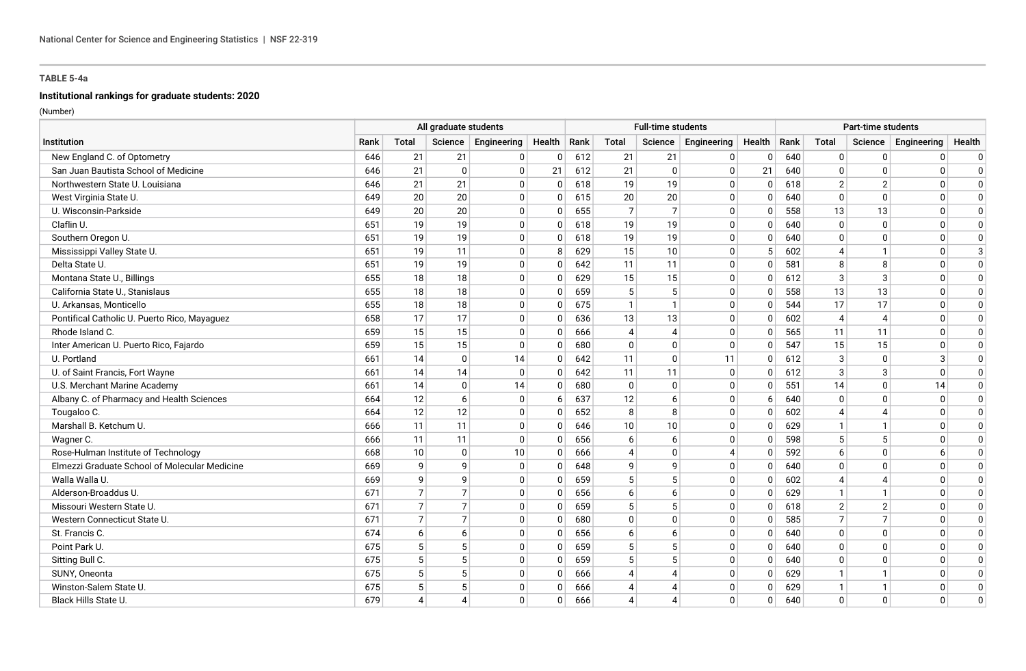# **Institutional rankings for graduate students: 2020**

|                                               | All graduate students |                          |                       |                       | <b>Full-time students</b> |     |                             |                          |                | Part-time students |      |                |                          |              |             |  |
|-----------------------------------------------|-----------------------|--------------------------|-----------------------|-----------------------|---------------------------|-----|-----------------------------|--------------------------|----------------|--------------------|------|----------------|--------------------------|--------------|-------------|--|
| Institution                                   | Rank                  | Total                    |                       | Science   Engineering | Health   Rank             |     | Total                       | Science                  | Engineering    | Health             | Rank | Total          | Science                  | Engineering  | Health      |  |
| New England C. of Optometry                   | 646                   | 21                       | 21                    | 0                     | $\mathbf 0$               | 612 | 21                          | 21                       | 0              | $\Omega$           | 640  | $\overline{0}$ | $\mathbf 0$              | $\mathbf{0}$ | 0           |  |
| San Juan Bautista School of Medicine          | 646                   | 21                       | $\mathbf{0}$          | $\Omega$              | 21                        | 612 | 21                          | $\mathbf{0}$             | $\Omega$       | 21                 | 640  | $\mathbf{0}$   | $\mathbf{0}$             | $\mathbf{0}$ | $\Omega$    |  |
| Northwestern State U. Louisiana               | 646                   | 21                       | 21                    | $\Omega$              | $\mathbf{0}$              | 618 | 19                          | 19                       | $\mathbf 0$    | $\Omega$           | 618  | $\overline{2}$ | $\overline{2}$           | $\Omega$     | $\Omega$    |  |
| West Virginia State U.                        | 649                   | 20                       | 20                    | $\mathbf 0$           | $\mathbf{0}$              | 615 | 20                          | 20                       | 0              | 0                  | 640  | $\mathbf{0}$   | $\mathbf 0$              | $\Omega$     | $\Omega$    |  |
| U. Wisconsin-Parkside                         | 649                   | 20                       | 20                    | $\mathbf 0$           | $\mathbf{0}$              | 655 | $\overline{7}$              | $\overline{7}$           | $\mathbf 0$    | $\Omega$           | 558  | 13             | 13                       | $\Omega$     | $\Omega$    |  |
| Claflin U.                                    | 651                   | 19                       | 19                    | $\mathbf 0$           | $\mathbf{0}$              | 618 | 19                          | 19                       | $\mathbf 0$    | 0                  | 640  | 0              | $\mathbf 0$              | $\mathbf{0}$ | 0           |  |
| Southern Oregon U.                            | 651                   | 19                       | 19                    | $\mathbf 0$           | $\mathbf{0}$              | 618 | 19                          | 19                       | $\mathbf 0$    | $\Omega$           | 640  | $\Omega$       | $\Omega$                 | $\mathbf{0}$ | $\Omega$    |  |
| Mississippi Valley State U.                   | 651                   | 19                       | 11                    | $\mathbf 0$           | 8                         | 629 | 15                          | 10                       | $\mathbf 0$    |                    | 602  | 4              | -1                       | $\mathbf{0}$ | 3           |  |
| Delta State U.                                | 651                   | 19                       | 19                    | $\mathbf 0$           | $\Omega$                  | 642 | 11                          | 11                       | $\mathbf 0$    | $\Omega$           | 581  | 8              | 8                        | $\Omega$     | $\Omega$    |  |
| Montana State U., Billings                    | 655                   | 18                       | 18                    | $\mathbf 0$           | $\Omega$                  | 629 | 15                          | 15                       | $\mathbf 0$    | $\Omega$           | 612  | 3              | $\mathbf{3}$             | $\mathbf{0}$ | $\Omega$    |  |
| California State U., Stanislaus               | 655                   | 18                       | 18                    | $\mathbf 0$           | $\mathbf{0}$              | 659 | $5\phantom{.0}$             | 5                        | $\mathbf 0$    | $\Omega$           | 558  | 13             | 13                       | $\mathbf{0}$ | $\mathbf 0$ |  |
| U. Arkansas, Monticello                       | 655                   | 18                       | 18                    | $\mathbf 0$           | $\mathbf 0$               | 675 | $\mathbf{1}$                | $\mathbf{1}$             | 0              | $\Omega$           | 544  | 17             | 17                       | $\mathbf 0$  | $\mathbf 0$ |  |
| Pontifical Catholic U. Puerto Rico, Mayaguez  | 658                   | 17                       | 17                    | $\Omega$              | $\mathbf{0}$              | 636 | 13                          | 13                       | $\mathbf 0$    | $\Omega$           | 602  | $\overline{4}$ | $\boldsymbol{\varDelta}$ | $\mathbf{0}$ | $\mathbf 0$ |  |
| Rhode Island C.                               | 659                   | 15                       | 15                    | 0                     | $\mathbf 0$               | 666 | $\overline{4}$              | $\overline{4}$           | 0              | $\Omega$           | 565  | 11             | 11                       | $\mathbf{0}$ | 0           |  |
| Inter American U. Puerto Rico, Fajardo        | 659                   | 15                       | 15                    | $\mathbf 0$           | $\mathbf{0}$              | 680 | $\mathbf 0$                 | $\mathbf 0$              | $\mathbf 0$    | $\Omega$           | 547  | 15             | 15                       | $\Omega$     | $\mathbf 0$ |  |
| U. Portland                                   | 661                   | 14                       | $\mathbf 0$           | 14                    | $\mathbf{0}$              | 642 | 11                          | $\mathbf{0}$             | 11             | $\Omega$           | 612  | 3              | $\mathbf{0}$             | 3            | $\Omega$    |  |
| U. of Saint Francis, Fort Wayne               | 661                   | 14                       | 14                    | $\mathbf{0}$          | $\mathbf{0}$              | 642 | 11                          | 11                       | $\mathbf 0$    | $\Omega$           | 612  | 3              | 3                        | $\Omega$     | $\Omega$    |  |
| U.S. Merchant Marine Academy                  | 661                   | 14                       | $\Omega$              | 14                    | $\mathbf 0$               | 680 | $\mathbf 0$                 | $\mathbf 0$              | 0              |                    | 551  | 14             | $\mathbf 0$              | 14           | $\Omega$    |  |
| Albany C. of Pharmacy and Health Sciences     | 664                   | 12                       | 6                     | $\mathbf 0$           | 6                         | 637 | 12                          | 6                        | $\mathbf 0$    | -6                 | 640  | $\Omega$       | $\mathbf{0}$             | $\mathbf{0}$ | $\Omega$    |  |
| Tougaloo C.                                   | 664                   | 12                       | 12                    | 0                     | $\mathbf{0}$              | 652 | 8                           | 8                        | 0              | $\Omega$           | 602  | 4              | 4                        | 0            | $\Omega$    |  |
| Marshall B. Ketchum U.                        | 666                   | 11                       | 11                    | $\mathbf 0$           | $\mathbf{0}$              | 646 | 10                          | 10                       | $\mathbf 0$    | $\Omega$           | 629  |                | $\mathbf{1}$             | $\Omega$     | $\Omega$    |  |
| Wagner C.                                     | 666                   | 11                       | 11                    | $\mathbf 0$           | $\Omega$                  | 656 | 6                           | 6                        | $\mathbf 0$    | $\Omega$           | 598  | 5              | 5                        | $\Omega$     | 0           |  |
| Rose-Hulman Institute of Technology           | 668                   | 10                       | $\mathbf{0}$          | 10                    | $\Omega$                  | 666 | $\overline{4}$              | $\Omega$                 | $\overline{4}$ |                    | 592  | 6              | $\Omega$                 | 6            | $\Omega$    |  |
| Elmezzi Graduate School of Molecular Medicine | 669                   | 9                        | 9                     | $\mathbf 0$           | $\mathbf{0}$              | 648 | 9                           | 9                        | $\mathbf 0$    | $\Omega$           | 640  | $\Omega$       | $\mathbf{0}$             | $\Omega$     | $\mathbf 0$ |  |
| Walla Walla U.                                | 669                   | 9                        | $\mathsf{Q}$          | $\Omega$              | $\mathbf{0}$              | 659 | 5                           | 5                        | $\mathbf 0$    | $\Omega$           | 602  | Δ              |                          | $\Omega$     | $\mathbf 0$ |  |
| Alderson-Broaddus U.                          | 671                   | $\overline{7}$           | $\overline{7}$        | 0                     | 0                         | 656 | 6                           | 6                        | 0              | $\Omega$           | 629  |                | $\mathbf 1$              | $\mathbf{0}$ | 0           |  |
| Missouri Western State U.                     | 671                   | $\overline{7}$           | $\overline{7}$        | $\Omega$              | $\mathbf{0}$              | 659 | 5                           | 5                        | $\mathbf 0$    | $\Omega$           | 618  | $\overline{2}$ | $\overline{2}$           | $\Omega$     | $\mathbf 0$ |  |
| Western Connecticut State U                   | 671                   | $\overline{7}$           | $\overline{7}$        | $\mathbf 0$           | $\mathbf{0}$              | 680 | $\mathbf 0$                 | $\mathbf{0}$             | $\mathbf 0$    | $\Omega$           | 585  | $\overline{7}$ | $\overline{7}$           | $\mathbf{0}$ | $\mathbf 0$ |  |
| St. Francis C.                                | 674                   | 6                        | 6                     | $\Omega$              | $\mathbf{0}$              | 656 | 6                           | 6                        | $\mathbf 0$    | $\Omega$           | 640  | $\Omega$       | $\Omega$                 | $\Omega$     | $\mathbf 0$ |  |
| Point Park U.                                 | 675                   | 5                        | 5                     | $\mathbf 0$           | $\mathbf{0}$              | 659 | 5                           | 5                        | $\mathbf 0$    |                    | 640  | $\Omega$       | $\mathbf{0}$             | $\Omega$     | $\Omega$    |  |
| Sitting Bull C.                               | 675                   | 5                        | 5                     | $\mathbf 0$           | $\mathbf{0}$              | 659 | 5                           | 5                        | $\mathbf 0$    | $\Omega$           | 640  | $\Omega$       | $\Omega$                 | $\Omega$     | $\Omega$    |  |
| SUNY, Oneonta                                 | 675                   | 5                        | 5                     | $\mathbf 0$           | $\mathbf 0$               | 666 | $\overline{A}$              | $\boldsymbol{4}$         | $\mathbf 0$    | $\Omega$           | 629  |                |                          | $\mathbf{0}$ | 0           |  |
| Winston-Salem State U                         | 675                   | 5                        | 5                     | $\mathbf 0$           | $\Omega$                  | 666 | $\overline{4}$              | $\boldsymbol{4}$         | $\mathbf 0$    | $\Omega$           | 629  |                |                          | $\Omega$     | 0           |  |
| Black Hills State U.                          | 679                   | $\boldsymbol{\varDelta}$ | $\boldsymbol{\Delta}$ | $\Omega$              | $\mathbf{0}$              | 666 | $\boldsymbol{\vartriangle}$ | $\boldsymbol{\varDelta}$ | $\Omega$       | $\Omega$           | 640  | $\Omega$       | $\mathbf{0}$             | $\Omega$     | $\Omega$    |  |